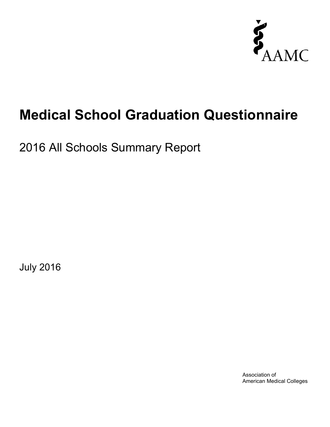

# **Medical School Graduation Questionnaire**

2016 All Schools Summary Report

July 2016

Association of American Medical Colleges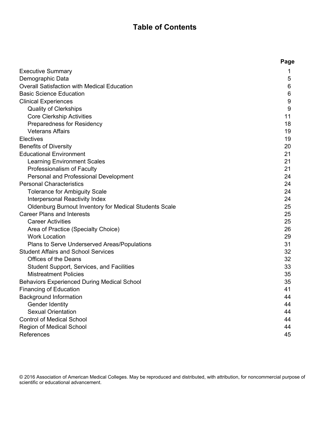# **Table of Contents**

|                                                               | Page |
|---------------------------------------------------------------|------|
| <b>Executive Summary</b>                                      | 1    |
| Demographic Data                                              | 5    |
| Overall Satisfaction with Medical Education                   | 6    |
| <b>Basic Science Education</b>                                | 6    |
| <b>Clinical Experiences</b>                                   | 9    |
| <b>Quality of Clerkships</b>                                  | 9    |
| <b>Core Clerkship Activities</b>                              | 11   |
| Preparedness for Residency                                    | 18   |
| <b>Veterans Affairs</b>                                       | 19   |
| Electives                                                     | 19   |
| <b>Benefits of Diversity</b>                                  | 20   |
| <b>Educational Environment</b>                                | 21   |
| <b>Learning Environment Scales</b>                            | 21   |
| Professionalism of Faculty                                    | 21   |
| Personal and Professional Development                         | 24   |
| <b>Personal Characteristics</b>                               | 24   |
| <b>Tolerance for Ambiguity Scale</b>                          | 24   |
| Interpersonal Reactivity Index                                | 24   |
| <b>Oldenburg Burnout Inventory for Medical Students Scale</b> | 25   |
| <b>Career Plans and Interests</b>                             | 25   |
| <b>Career Activities</b>                                      | 25   |
| Area of Practice (Specialty Choice)                           | 26   |
| <b>Work Location</b>                                          | 29   |
| Plans to Serve Underserved Areas/Populations                  | 31   |
| <b>Student Affairs and School Services</b>                    | 32   |
| <b>Offices of the Deans</b>                                   | 32   |
| Student Support, Services, and Facilities                     | 33   |
| <b>Mistreatment Policies</b>                                  | 35   |
| <b>Behaviors Experienced During Medical School</b>            | 35   |
| <b>Financing of Education</b>                                 | 41   |
| <b>Background Information</b>                                 | 44   |
| Gender Identity                                               | 44   |
| <b>Sexual Orientation</b>                                     | 44   |
| <b>Control of Medical School</b>                              | 44   |
| Region of Medical School                                      | 44   |
| References                                                    | 45   |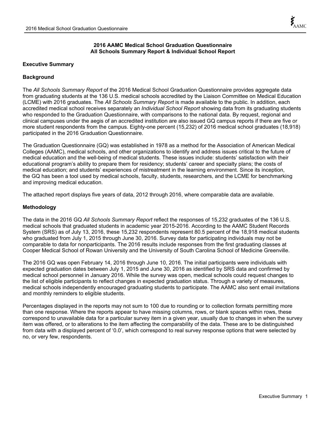# **2016 AAMC Medical School Graduation Questionnaire All Schools Summary Report & Individual School Report**

# **Executive Summary**

# **Background**

The *All Schools Summary Report* of the 2016 Medical School Graduation Questionnaire provides aggregate data from graduating students at the 136 U.S. medical schools accredited by the Liaison Committee on Medical Education (LCME) with 2016 graduates. The *All Schools Summary Report* is made available to the public. In addition, each accredited medical school receives separately an *Individual School Report* showing data from its graduating students who responded to the Graduation Questionnaire, with comparisons to the national data. By request, regional and clinical campuses under the aegis of an accredited institution are also issued GQ campus reports if there are five or more student respondents from the campus. Eighty-one percent (15,232) of 2016 medical school graduates (18,918) participated in the 2016 Graduation Questionnaire.

The Graduation Questionnaire (GQ) was established in 1978 as a method for the Association of American Medical Colleges (AAMC), medical schools, and other organizations to identify and address issues critical to the future of medical education and the well-being of medical students. These issues include: students' satisfaction with their educational program's ability to prepare them for residency; students' career and specialty plans; the costs of medical education; and students' experiences of mistreatment in the learning environment. Since its inception, the GQ has been a tool used by medical schools, faculty, students, researchers, and the LCME for benchmarking and improving medical education.

The attached report displays five years of data, 2012 through 2016, where comparable data are available.

# **Methodology**

The data in the 2016 GQ *All Schools Summary Report* reflect the responses of 15,232 graduates of the 136 U.S. medical schools that graduated students in academic year 2015-2016. According to the AAMC Student Records System (SRS) as of July 13, 2016, these 15,232 respondents represent 80.5 percent of the 18,918 medical students who graduated from July 1, 2015 through June 30, 2016. Survey data for participating individuals may not be comparable to data for nonparticipants. The 2016 results include responses from the first graduating classes at Cooper Medical School of Rowan University and the University of South Carolina School of Medicine Greenville.

The 2016 GQ was open February 14, 2016 through June 10, 2016. The initial participants were individuals with expected graduation dates between July 1, 2015 and June 30, 2016 as identified by SRS data and confirmed by medical school personnel in January 2016. While the survey was open, medical schools could request changes to the list of eligible participants to reflect changes in expected graduation status. Through a variety of measures, medical schools independently encouraged graduating students to participate. The AAMC also sent email invitations and monthly reminders to eligible students.

Percentages displayed in the reports may not sum to 100 due to rounding or to collection formats permitting more than one response. Where the reports appear to have missing columns, rows, or blank spaces within rows, these correspond to unavailable data for a particular survey item in a given year, usually due to changes in when the survey item was offered, or to alterations to the item affecting the comparability of the data. These are to be distinguished from data with a displayed percent of '0.0', which correspond to real survey response options that were selected by no, or very few, respondents.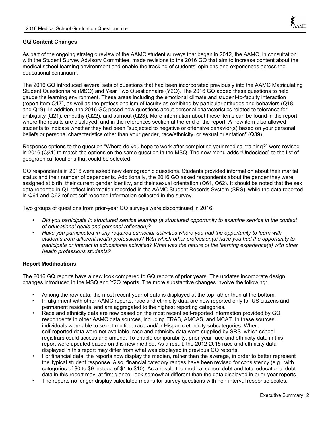# **GQ Content Changes**

As part of the ongoing strategic review of the AAMC student surveys that began in 2012, the AAMC, in consultation with the Student Survey Advisory Committee, made revisions to the 2016 GQ that aim to increase content about the medical school learning environment and enable the tracking of students' opinions and experiences across the educational continuum.

The 2016 GQ introduced several sets of questions that had been incorporated previously into the AAMC Matriculating Student Questionnaire (MSQ) and Year Two Questionnaire (Y2Q). The 2016 GQ added these questions to help gauge the learning environment. These areas including the emotional climate and student-to-faculty interaction (report item Q17), as well as the professionalism of faculty as exhibited by particular attitudes and behaviors (Q18 and Q19). In addition, the 2016 GQ posed new questions about personal characteristics related to tolerance for ambiguity (Q21), empathy (Q22), and burnout (Q23). More information about these items can be found in the report where the results are displayed, and in the references section at the end of the report. A new item also allowed students to indicate whether they had been "subjected to negative or offensive behavior(s) based on your personal beliefs or personal characteristics other than your gender, race/ethnicity, or sexual orientation" (Q39).

Response options to the question "Where do you hope to work after completing your medical training?" were revised in 2016 (Q31) to match the options on the same question in the MSQ. The new menu adds "Undecided" to the list of geographical locations that could be selected.

GQ respondents in 2016 were asked new demographic questions. Students provided information about their marital status and their number of dependents. Additionally, the 2016 GQ asked respondents about the gender they were assigned at birth, their current gender identity, and their sexual orientation (Q61, Q62). It should be noted that the sex data reported in Q1 reflect information recorded in the AAMC Student Records System (SRS), while the data reported in Q61 and Q62 reflect self-reported information collected in the survey.

Two groups of questions from prior-year GQ surveys were discontinued in 2016:

- *Did you participate in structured service learning (a structured opportunity to examine service in the context of educational goals and personal reflection)?*
- *Have you participated in any required curricular activities where you had the opportunity to learn with students from different health professions? With which other profession(s) have you had the opportunity to participate or interact in educational activities? What was the nature of the learning experience(s) with other health professions students?*

# **Report Modifications**

The 2016 GQ reports have a new look compared to GQ reports of prior years. The updates incorporate design changes introduced in the MSQ and Y2Q reports. The more substantive changes involve the following:

- Among the row data, the most recent year of data is displayed at the top rather than at the bottom.
- In alignment with other AAMC reports, race and ethnicity data are now reported only for US citizens and permanent residents, and are aggregated to the highest reporting categories.
- Race and ethnicity data are now based on the most recent self-reported information provided by GQ respondents in other AAMC data sources, including ERAS, AMCAS, and MCAT. In these sources, individuals were able to select multiple race and/or Hispanic ethnicity subcategories. Where self-reported data were not available, race and ethnicity data were supplied by SRS, which school registrars could access and amend. To enable comparability, prior-year race and ethnicity data in this report were updated based on this new method. As a result, the 2012-2015 race and ethnicity data displayed in this report may differ from what was displayed in previous GQ reports.
- For financial data, the reports now display the median, rather than the average, in order to better represent the typical student response. Also, financial category ranges have been revised for consistency (e.g., with categories of \$0 to \$9 instead of \$1 to \$10). As a result, the medical school debt and total educational debt data in this report may, at first glance, look somewhat different than the data displayed in prior-year reports.
- The reports no longer display calculated means for survey questions with non-interval response scales.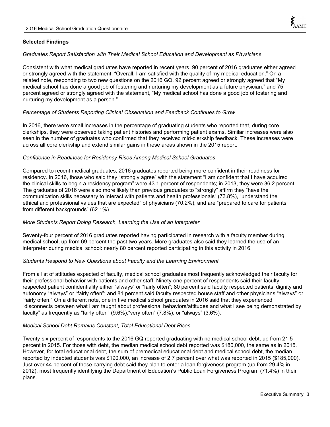# **Selected Findings**

# *Graduates Report Satisfaction with Their Medical School Education and Development as Physicians*

Consistent with what medical graduates have reported in recent years, 90 percent of 2016 graduates either agreed or strongly agreed with the statement, "Overall, I am satisfied with the quality of my medical education." On a related note, responding to two new questions on the 2016 GQ, 92 percent agreed or strongly agreed that "My medical school has done a good job of fostering and nurturing my development as a future physician," and 75 percent agreed or strongly agreed with the statement, "My medical school has done a good job of fostering and nurturing my development as a person."

# *Percentage of Students Reporting Clinical Observation and Feedback Continues to Grow*

In 2016, there were small increases in the percentage of graduating students who reported that, during core clerkships, they were observed taking patient histories and performing patient exams. Similar increases were also seen in the number of graduates who confirmed that they received mid-clerkship feedback. These increases were across all core clerkship and extend similar gains in these areas shown in the 2015 report.

# *Confidence in Readiness for Residency Rises Among Medical School Graduates*

Compared to recent medical graduates, 2016 graduates reported being more confident in their readiness for residency. In 2016, those who said they "strongly agree" with the statement "I am confident that I have acquired the clinical skills to begin a residency program" were 43.1 percent of respondents; in 2013, they were 36.2 percent. The graduates of 2016 were also more likely than previous graduates to "strongly" affirm they "have the communication skills necessary to interact with patients and health professionals" (73.8%), "understand the ethical and professional values that are expected" of physicians (70.2%), and are "prepared to care for patients from different backgrounds" (62.1%).

# *More Students Report Doing Research, Learning the Use of an Interpreter*

Seventy-four percent of 2016 graduates reported having participated in research with a faculty member during medical school, up from 69 percent the past two years. More graduates also said they learned the use of an interpreter during medical school: nearly 80 percent reported participating in this activity in 2016.

# *Students Respond to New Questions about Faculty and the Learning Environment*

From a list of attitudes expected of faculty, medical school graduates most frequently acknowledged their faculty for their professional behavior with patients and other staff. Ninety-one percent of respondents said their faculty respected patient confidentiality either "always" or "fairly often"; 80 percent said faculty respected patients' dignity and autonomy "always" or "fairly often"; and 81 percent said faculty respected house staff and other physicians "always" or "fairly often." On a different note, one in five medical school graduates in 2016 said that they experienced "disconnects between what I am taught about professional behaviors/attitudes and what I see being demonstrated by faculty" as frequently as "fairly often" (9.6%),"very often" (7.8%), or "always" (3.6%).

# *Medical School Debt Remains Constant; Total Educational Debt Rises*

Twenty-six percent of respondents to the 2016 GQ reported graduating with no medical school debt, up from 21.5 percent in 2015. For those with debt, the median medical school debt reported was \$180,000, the same as in 2015. However, for total educational debt, the sum of premedical educational debt and medical school debt, the median reported by indebted students was \$190,000, an increase of 2.7 percent over what was reported in 2015 (\$185,000). Just over 44 percent of those carrying debt said they plan to enter a loan forgiveness program (up from 29.4% in 2012), most frequently identifying the Department of Education's Public Loan Forgiveness Program (71.4%) in their plans.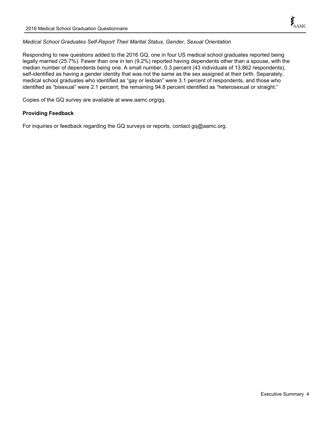# *Medical School Graduates Self-Report Their Marital Status, Gender, Sexual Orientation*

Responding to new questions added to the 2016 GQ, one in four US medical school graduates reported being legally married (25.7%). Fewer than one in ten (9.2%) reported having dependents other than a spouse, with the median number of dependents being one. A small number, 0.3 percent (43 individuals of 13,862 respondents), self-identified as having a gender identity that was not the same as the sex assigned at their birth. Separately, medical school graduates who identified as "gay or lesbian" were 3.1 percent of respondents, and those who identified as "bisexual" were 2.1 percent; the remaining 94.8 percent identified as "heterosexual or straight."

Copies of the GQ survey are available at www.aamc.org/gq.

# **Providing Feedback**

For inquiries or feedback regarding the GQ surveys or reports, contact gq@aamc.org.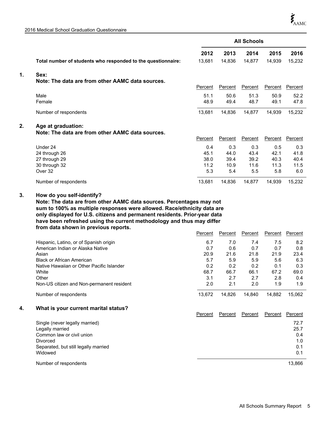2016 Medical School Graduation Questionnaire

|    |                                                              | <b>All Schools</b> |         |                |         |                |
|----|--------------------------------------------------------------|--------------------|---------|----------------|---------|----------------|
|    |                                                              | 2012               | 2013    | 2014           | 2015    | 2016           |
|    | Total number of students who responded to the questionnaire: | 13,681             | 14,836  | 14,877         | 14,939  | 15,232         |
| 1. | Sex:                                                         |                    |         |                |         |                |
|    | Note: The data are from other AAMC data sources.             |                    |         |                |         |                |
|    |                                                              | Percent            | Percent | <b>Percent</b> | Percent | <b>Percent</b> |
|    | Male                                                         | 51.1               | 50.6    | 51.3           | 50.9    | 52.2           |
|    | Female                                                       | 48.9               | 49.4    | 48.7           | 49.1    | 47.8           |
|    | Number of respondents                                        | 13,681             | 14,836  | 14,877         | 14,939  | 15,232         |
| 2. | Age at graduation:                                           |                    |         |                |         |                |
|    | Note: The data are from other AAMC data sources.             |                    |         |                |         |                |
|    |                                                              | Percent            | Percent | Percent        | Percent | Percent        |
|    | Under 24                                                     | 0.4                | 0.3     | 0.3            | 0.5     | 0.3            |
|    | 24 through 26                                                | 45.1               | 44.0    | 43.4           | 42.1    | 41.8           |
|    | 27 through 29                                                | 38.0               | 39.4    | 39.2           | 40.3    | 40.4           |
|    | 30 through 32                                                | 11.2               | 10.9    | 11.6           | 11.3    | 11.5           |
|    | Over 32                                                      | 5.3                | 5.4     | 5.5            | 5.8     | 6.0            |
|    | Number of respondents                                        | 13,681             | 14,836  | 14,877         | 14,939  | 15,232         |

#### **How do you self-identify? 3.**

**Note: The data are from other AAMC data sources. Percentages may not sum to 100% as multiple responses were allowed. Race/ethnicity data are only displayed for U.S. citizens and permanent residents. Prior-year data have been refreshed using the current methodology and thus may differ from data shown in previous reports.**

|                                           | Percent | Percent | Percent | Percent | Percent |
|-------------------------------------------|---------|---------|---------|---------|---------|
| Hispanic, Latino, or of Spanish origin    | 6.7     | 7.0     | 7.4     | 7.5     | 8.2     |
| American Indian or Alaska Native          | 0.7     | 0.6     | 0.7     | 0.7     | 0.8     |
| Asian                                     | 20.9    | 21.6    | 21.8    | 21.9    | 23.4    |
| <b>Black or African American</b>          | 5.7     | 5.9     | 5.9     | 5.6     | 6.3     |
| Native Hawaiian or Other Pacific Islander | 0.2     | 0.2     | 0.2     | 0.1     | 0.3     |
| White                                     | 68.7    | 66.7    | 66.1    | 67.2    | 69.0    |
| Other                                     | 3.1     | 2.7     | 2.7     | 2.8     | 0.4     |
| Non-US citizen and Non-permanent resident | 2.0     | 2.1     | 2.0     | 1.9     | 1.9     |
| Number of respondents                     | 13.672  | 14.826  | 14.840  | 14.882  | 15.062  |

# **4. What is your current marital status?**

|                                      | Percent | Percent | Percent | Percent | Percent |
|--------------------------------------|---------|---------|---------|---------|---------|
| Single (never legally married)       |         |         |         |         | 72.7    |
| Legally married                      |         |         |         |         | 25.7    |
| Common law or civil union            |         |         |         |         | 0.4     |
| <b>Divorced</b>                      |         |         |         |         | 1.0     |
| Separated, but still legally married |         |         |         |         | 0.1     |
| Widowed                              |         |         |         |         | 0.1     |
| Number of respondents                |         |         |         |         | 13,866  |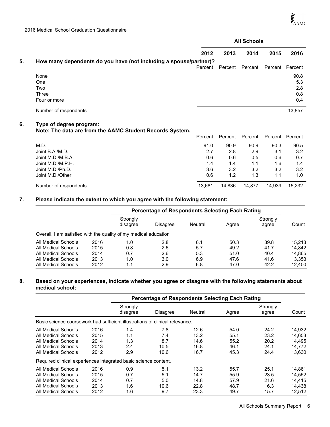|    |                                                                                     |         | <b>All Schools</b> |         |         |                                  |  |
|----|-------------------------------------------------------------------------------------|---------|--------------------|---------|---------|----------------------------------|--|
|    |                                                                                     | 2012    | 2013               | 2014    | 2015    | 2016                             |  |
| 5. | How many dependents do you have (not including a spouse/partner)?                   | Percent | Percent            | Percent | Percent | Percent                          |  |
|    | None<br>One<br>Two<br>Three<br>Four or more                                         |         |                    |         |         | 90.8<br>5.3<br>2.8<br>0.8<br>0.4 |  |
|    | Number of respondents                                                               |         |                    |         |         | 13,857                           |  |
| 6. | Type of degree program:<br>Note: The data are from the AAMC Student Records System. | Percent | Percent            | Percent | Percent | Percent                          |  |
|    | M.D.                                                                                | 91.0    | 90.9               | 90.9    | 90.3    | 90.5                             |  |
|    | Joint B.A./M.D.                                                                     | 2.7     | 2.8                | 2.9     | 3.1     | 3.2                              |  |
|    | Joint M.D./M.B.A.                                                                   | 0.6     | 0.6                | 0.5     | 0.6     | 0.7                              |  |
|    | Joint M.D./M.P.H.                                                                   | 1.4     | 1.4                | 1.1     | 1.6     | 1.4                              |  |
|    | Joint M.D./Ph.D.                                                                    | 3.6     | 3.2                | 3.2     | 3.2     | 3.2                              |  |
|    | Joint M.D./Other                                                                    | 0.6     | 1.2                | 1.3     | 1.1     | 1.0                              |  |
|    | Number of respondents                                                               | 13,681  | 14,836             | 14,877  | 14,939  | 15,232                           |  |

# **7. Please indicate the extent to which you agree with the following statement:**

|                                                                  |      | Percentage of Respondents Selecting Each Rating |          |                |       |                   |        |
|------------------------------------------------------------------|------|-------------------------------------------------|----------|----------------|-------|-------------------|--------|
|                                                                  |      | Strongly<br>disagree                            | Disagree | <b>Neutral</b> | Agree | Strongly<br>agree | Count  |
| Overall, I am satisfied with the quality of my medical education |      |                                                 |          |                |       |                   |        |
| All Medical Schools                                              | 2016 | 1.0                                             | 2.8      | 6.1            | 50.3  | 39.8              | 15.213 |
| All Medical Schools                                              | 2015 | 0.8                                             | 2.6      | 5.7            | 49.2  | 41.7              | 14.842 |
| All Medical Schools                                              | 2014 | 0.7                                             | 2.6      | 5.3            | 51.0  | 40.4              | 14.865 |
| All Medical Schools                                              | 2013 | 1.0                                             | 3.0      | 6.9            | 47.6  | 41.6              | 13.353 |
| All Medical Schools                                              | 2012 | 1.1                                             | 2.9      | 6.8            | 47.0  | 42.2              | 12.400 |

# **8. Based on your experiences, indicate whether you agree or disagree with the following statements about medical school:**

|                                                                              |      | <b>Percentage of Respondents Selecting Each Rating</b> |                 |         |       |                   |        |
|------------------------------------------------------------------------------|------|--------------------------------------------------------|-----------------|---------|-------|-------------------|--------|
|                                                                              |      | Strongly<br>disagree                                   | <b>Disagree</b> | Neutral | Agree | Strongly<br>agree | Count  |
| Basic science coursework had sufficient illustrations of clinical relevance. |      |                                                        |                 |         |       |                   |        |
| All Medical Schools                                                          | 2016 | 1.4                                                    | 7.8             | 12.6    | 54.0  | 24.2              | 14,932 |
| All Medical Schools                                                          | 2015 | 1.1                                                    | 7.4             | 13.2    | 55.1  | 23.2              | 14.653 |
| All Medical Schools                                                          | 2014 | 1.3                                                    | 8.7             | 14.6    | 55.2  | 20.2              | 14.495 |
| All Medical Schools                                                          | 2013 | 2.4                                                    | 10.5            | 16.8    | 46.1  | 24.1              | 14.772 |
| All Medical Schools                                                          | 2012 | 2.9                                                    | 10.6            | 16.7    | 45.3  | 24.4              | 13,630 |
| Required clinical experiences integrated basic science content.              |      |                                                        |                 |         |       |                   |        |
| All Medical Schools                                                          | 2016 | 0.9                                                    | 5.1             | 13.2    | 55.7  | 25.1              | 14.861 |
| All Medical Schools                                                          | 2015 | 0.7                                                    | 5.1             | 14.7    | 55.9  | 23.5              | 14.552 |
| All Medical Schools                                                          | 2014 | 0.7                                                    | 5.0             | 14.8    | 57.9  | 21.6              | 14.415 |
| All Medical Schools                                                          | 2013 | 1.6                                                    | 10.6            | 22.8    | 48.7  | 16.3              | 14.438 |
| All Medical Schools                                                          | 2012 | 1.6                                                    | 9.7             | 23.3    | 49.7  | 15.7              | 12.512 |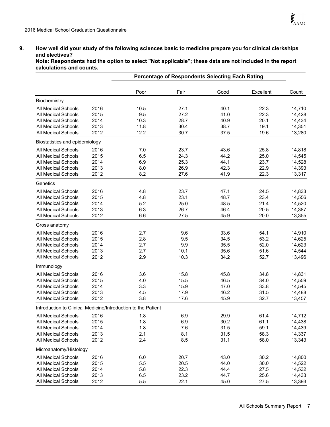# **9. How well did your study of the following sciences basic to medicine prepare you for clinical clerkships and electives?**

**Note: Respondents had the option to select "Not applicable"; these data are not included in the report calculations and counts.**

|                                                               |      |      | <b>Percentage of Respondents Selecting Each Rating</b> |      |           |        |  |
|---------------------------------------------------------------|------|------|--------------------------------------------------------|------|-----------|--------|--|
|                                                               |      | Poor | Fair                                                   | Good | Excellent | Count  |  |
| Biochemistry                                                  |      |      |                                                        |      |           |        |  |
| <b>All Medical Schools</b>                                    | 2016 | 10.5 | 27.1                                                   | 40.1 | 22.3      | 14,710 |  |
| All Medical Schools                                           | 2015 | 9.5  | 27.2                                                   | 41.0 | 22.3      | 14,428 |  |
| All Medical Schools                                           | 2014 | 10.3 | 28.7                                                   | 40.9 | 20.1      | 14,434 |  |
| All Medical Schools                                           | 2013 | 11.8 | 30.4                                                   | 38.7 | 19.1      | 14,351 |  |
| All Medical Schools                                           | 2012 | 12.2 | 30.7                                                   | 37.5 | 19.6      | 13,280 |  |
| Biostatistics and epidemiology                                |      |      |                                                        |      |           |        |  |
| All Medical Schools                                           | 2016 | 7.0  | 23.7                                                   | 43.6 | 25.8      | 14,818 |  |
| All Medical Schools                                           | 2015 | 6.5  | 24.3                                                   | 44.2 | 25.0      | 14,545 |  |
| <b>All Medical Schools</b>                                    | 2014 | 6.9  | 25.3                                                   | 44.1 | 23.7      | 14,528 |  |
| All Medical Schools                                           | 2013 | 8.0  | 26.9                                                   | 42.3 | 22.9      | 14,393 |  |
| All Medical Schools                                           | 2012 | 8.2  | 27.6                                                   | 41.9 | 22.3      | 13,317 |  |
| Genetics                                                      |      |      |                                                        |      |           |        |  |
| All Medical Schools                                           | 2016 | 4.8  | 23.7                                                   | 47.1 | 24.5      | 14,833 |  |
| All Medical Schools                                           | 2015 | 4.8  | 23.1                                                   | 48.7 | 23.4      | 14,556 |  |
| All Medical Schools                                           | 2014 | 5.2  | 25.0                                                   | 48.5 | 21.4      | 14,520 |  |
| All Medical Schools                                           | 2013 | 6.3  | 26.7                                                   | 46.4 | 20.5      | 14,387 |  |
| All Medical Schools                                           | 2012 | 6.6  | 27.5                                                   | 45.9 | 20.0      | 13,355 |  |
| Gross anatomy                                                 |      |      |                                                        |      |           |        |  |
| All Medical Schools                                           | 2016 | 2.7  | 9.6                                                    | 33.6 | 54.1      | 14,910 |  |
| All Medical Schools                                           | 2015 | 2.8  | 9.5                                                    | 34.5 | 53.2      | 14,625 |  |
| All Medical Schools                                           | 2014 | 2.7  | 9.9                                                    | 35.5 | 52.0      | 14,623 |  |
| All Medical Schools                                           | 2013 | 2.7  | 10.1                                                   | 35.6 | 51.6      | 14,544 |  |
| All Medical Schools                                           | 2012 | 2.9  | 10.3                                                   | 34.2 | 52.7      | 13,496 |  |
| Immunology                                                    |      |      |                                                        |      |           |        |  |
| All Medical Schools                                           | 2016 | 3.6  | 15.8                                                   | 45.8 | 34.8      | 14,831 |  |
| All Medical Schools                                           | 2015 | 4.0  | 15.5                                                   | 46.5 | 34.0      | 14,559 |  |
| All Medical Schools                                           | 2014 | 3.3  | 15.9                                                   | 47.0 | 33.8      | 14,545 |  |
| All Medical Schools                                           | 2013 | 4.5  | 17.9                                                   | 46.2 | 31.5      | 14,488 |  |
| All Medical Schools                                           | 2012 | 3.8  | 17.6                                                   | 45.9 | 32.7      | 13,457 |  |
| Introduction to Clinical Medicine/Introduction to the Patient |      |      |                                                        |      |           |        |  |
| All Medical Schools                                           | 2016 | 1.8  | 6.9                                                    | 29.9 | 61.4      | 14,712 |  |
| All Medical Schools                                           | 2015 | 1.8  | 6.9                                                    | 30.2 | 61.1      | 14,438 |  |
| All Medical Schools                                           | 2014 | 1.8  | 7.6                                                    | 31.5 | 59.1      | 14,439 |  |
| All Medical Schools                                           | 2013 | 2.1  | 8.1                                                    | 31.5 | 58.3      | 14,337 |  |
| All Medical Schools                                           | 2012 | 2.4  | 8.5                                                    | 31.1 | 58.0      | 13,343 |  |
| Microanatomy/Histology                                        |      |      |                                                        |      |           |        |  |
| All Medical Schools                                           | 2016 | 6.0  | 20.7                                                   | 43.0 | 30.2      | 14,800 |  |
| All Medical Schools                                           | 2015 | 5.5  | 20.5                                                   | 44.0 | 30.0      | 14,522 |  |
| All Medical Schools                                           | 2014 | 5.8  | 22.3                                                   | 44.4 | 27.5      | 14,532 |  |
| All Medical Schools                                           | 2013 | 6.5  | 23.2                                                   | 44.7 | 25.6      | 14,433 |  |
| All Medical Schools                                           | 2012 | 5.5  | 22.1                                                   | 45.0 | 27.5      | 13,393 |  |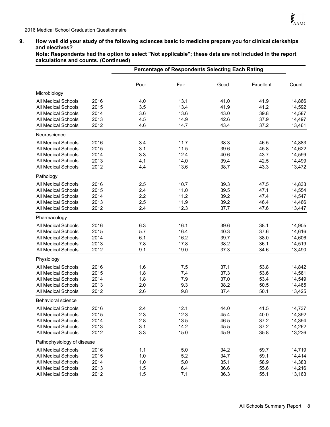# **9. How well did your study of the following sciences basic to medicine prepare you for clinical clerkships and electives?**

**Note: Respondents had the option to select "Not applicable"; these data are not included in the report calculations and counts. (Continued)**

|                            |      |      | <b>Percentage of Respondents Selecting Each Rating</b> |      |           |        |  |  |
|----------------------------|------|------|--------------------------------------------------------|------|-----------|--------|--|--|
|                            |      | Poor | Fair                                                   | Good | Excellent | Count  |  |  |
| Microbiology               |      |      |                                                        |      |           |        |  |  |
| All Medical Schools        | 2016 | 4.0  | 13.1                                                   | 41.0 | 41.9      | 14,866 |  |  |
| All Medical Schools        | 2015 | 3.5  | 13.4                                                   | 41.9 | 41.2      | 14,592 |  |  |
| <b>All Medical Schools</b> | 2014 | 3.6  | 13.6                                                   | 43.0 | 39.8      | 14,587 |  |  |
| All Medical Schools        | 2013 | 4.5  | 14.9                                                   | 42.6 | 37.9      | 14,497 |  |  |
| All Medical Schools        | 2012 | 4.6  | 14.7                                                   | 43.4 | 37.2      | 13,461 |  |  |
| Neuroscience               |      |      |                                                        |      |           |        |  |  |
| <b>All Medical Schools</b> | 2016 | 3.4  | 11.7                                                   | 38.3 | 46.5      | 14,883 |  |  |
| All Medical Schools        | 2015 | 3.1  | 11.5                                                   | 39.6 | 45.8      | 14,622 |  |  |
| <b>All Medical Schools</b> | 2014 | 3.3  | 12.4                                                   | 40.6 | 43.7      | 14,599 |  |  |
| <b>All Medical Schools</b> | 2013 | 4.1  | 14.0                                                   | 39.4 | 42.5      | 14,499 |  |  |
| <b>All Medical Schools</b> | 2012 | 4.4  | 13.6                                                   | 38.7 | 43.3      | 13,472 |  |  |
| Pathology                  |      |      |                                                        |      |           |        |  |  |
| <b>All Medical Schools</b> | 2016 | 2.5  | 10.7                                                   | 39.3 | 47.5      | 14,833 |  |  |
| <b>All Medical Schools</b> | 2015 | 2.4  | 11.0                                                   | 39.5 | 47.1      | 14,554 |  |  |
| <b>All Medical Schools</b> | 2014 | 2.2  | 11.2                                                   | 39.2 | 47.4      | 14,547 |  |  |
| <b>All Medical Schools</b> | 2013 | 2.5  | 11.9                                                   | 39.2 | 46.4      | 14,466 |  |  |
| <b>All Medical Schools</b> | 2012 | 2.4  | 12.3                                                   | 37.7 | 47.6      | 13,447 |  |  |
| Pharmacology               |      |      |                                                        |      |           |        |  |  |
| <b>All Medical Schools</b> | 2016 | 6.3  | 16.1                                                   | 39.6 | 38.1      | 14,905 |  |  |
| <b>All Medical Schools</b> | 2015 | 5.7  | 16.4                                                   | 40.3 | 37.6      | 14,616 |  |  |
| All Medical Schools        | 2014 | 6.1  | 16.2                                                   | 39.7 | 38.0      | 14,606 |  |  |
| <b>All Medical Schools</b> | 2013 | 7.8  | 17.8                                                   | 38.2 | 36.1      | 14,519 |  |  |
| All Medical Schools        | 2012 | 9.1  | 19.0                                                   | 37.3 | 34.6      | 13,490 |  |  |
| Physiology                 |      |      |                                                        |      |           |        |  |  |
| <b>All Medical Schools</b> | 2016 | 1.6  | 7.5                                                    | 37.1 | 53.8      | 14,842 |  |  |
| All Medical Schools        | 2015 | 1.8  | 7.4                                                    | 37.3 | 53.6      | 14,561 |  |  |
| All Medical Schools        | 2014 | 1.8  | 7.9                                                    | 37.0 | 53.4      | 14,549 |  |  |
| All Medical Schools        | 2013 | 2.0  | 9.3                                                    | 38.2 | 50.5      | 14,465 |  |  |
| <b>All Medical Schools</b> | 2012 | 2.6  | 9.8                                                    | 37.4 | 50.1      | 13,425 |  |  |
| <b>Behavioral science</b>  |      |      |                                                        |      |           |        |  |  |
| All Medical Schools        | 2016 | 2.4  | 12.1                                                   | 44.0 | 41.5      | 14,737 |  |  |
| All Medical Schools        | 2015 | 2.3  | 12.3                                                   | 45.4 | 40.0      | 14,392 |  |  |
| All Medical Schools        | 2014 | 2.8  | 13.5                                                   | 46.5 | 37.2      | 14,394 |  |  |
| All Medical Schools        | 2013 | 3.1  | 14.2                                                   | 45.5 | 37.2      | 14,262 |  |  |
| All Medical Schools        | 2012 | 3.3  | 15.0                                                   | 45.9 | 35.8      | 13,236 |  |  |
| Pathophysiology of disease |      |      |                                                        |      |           |        |  |  |
| <b>All Medical Schools</b> | 2016 | 1.1  | $5.0$                                                  | 34.2 | 59.7      | 14,719 |  |  |
| All Medical Schools        | 2015 | 1.0  | 5.2                                                    | 34.7 | 59.1      | 14,414 |  |  |
| All Medical Schools        | 2014 | 1.0  | 5.0                                                    | 35.1 | 58.9      | 14,383 |  |  |
| All Medical Schools        | 2013 | 1.5  | 6.4                                                    | 36.6 | 55.6      | 14,216 |  |  |
| All Medical Schools        | 2012 | 1.5  | 7.1                                                    | 36.3 | 55.1      | 13,163 |  |  |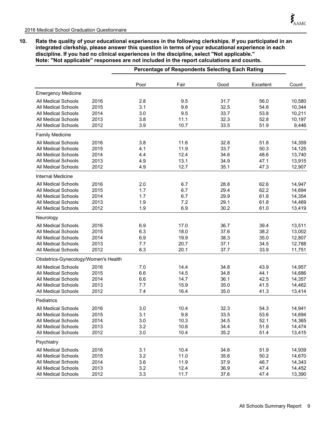**10. Rate the quality of your educational experiences in the following clerkships. If you participated in an integrated clerkship, please answer this question in terms of your educational experience in each discipline. If you had no clinical experiences in the discipline, select ''Not applicable.'' Note: ''Not applicable'' responses are not included in the report calculations and counts.**

|                                      |      |      | Percentage of Respondents Selecting Each Rating |      |           |        |  |
|--------------------------------------|------|------|-------------------------------------------------|------|-----------|--------|--|
|                                      |      | Poor | Fair                                            | Good | Excellent | Count  |  |
| <b>Emergency Medicine</b>            |      |      |                                                 |      |           |        |  |
| All Medical Schools                  | 2016 | 2.8  | 9.5                                             | 31.7 | 56.0      | 10,580 |  |
| All Medical Schools                  | 2015 | 3.1  | 9.6                                             | 32.5 | 54.8      | 10,344 |  |
| All Medical Schools                  | 2014 | 3.0  | 9.5                                             | 33.7 | 53.8      | 10,211 |  |
| <b>All Medical Schools</b>           | 2013 | 3.8  | 11.1                                            | 32.3 | 52.8      | 10,197 |  |
| <b>All Medical Schools</b>           | 2012 | 3.9  | 10.7                                            | 33.5 | 51.9      | 9,446  |  |
| <b>Family Medicine</b>               |      |      |                                                 |      |           |        |  |
| All Medical Schools                  | 2016 | 3.8  | 11.6                                            | 32.8 | 51.8      | 14,359 |  |
| All Medical Schools                  | 2015 | 4.1  | 11.9                                            | 33.7 | 50.3      | 14,125 |  |
| <b>All Medical Schools</b>           | 2014 | 4.4  | 12.4                                            | 34.6 | 48.6      | 13,740 |  |
| All Medical Schools                  | 2013 | 4.9  | 13.1                                            | 34.9 | 47.1      | 13,915 |  |
| <b>All Medical Schools</b>           | 2012 | 4.9  | 12.7                                            | 35.1 | 47.3      | 12,907 |  |
| Internal Medicine                    |      |      |                                                 |      |           |        |  |
| All Medical Schools                  | 2016 | 2.0  | 6.7                                             | 28.8 | 62.6      | 14,947 |  |
| All Medical Schools                  | 2015 | 1.7  | 6.7                                             | 29.4 | 62.2      | 14,694 |  |
| <b>All Medical Schools</b>           | 2014 | 1.7  | 6.7                                             | 29.9 | 61.8      | 14,354 |  |
| All Medical Schools                  | 2013 | 1.9  | 7.2                                             | 29.1 | 61.8      | 14,469 |  |
| <b>All Medical Schools</b>           | 2012 | 1.9  | 6.9                                             | 30.2 | 61.0      | 13,419 |  |
| Neurology                            |      |      |                                                 |      |           |        |  |
| All Medical Schools                  | 2016 | 6.9  | 17.0                                            | 36.7 | 39.4      | 13,511 |  |
| <b>All Medical Schools</b>           | 2015 | 6.3  | 18.0                                            | 37.6 | 38.2      | 13,002 |  |
| All Medical Schools                  | 2014 | 6.9  | 19.9                                            | 38.3 | 35.0      | 12,807 |  |
| <b>All Medical Schools</b>           | 2013 | 7.7  | 20.7                                            | 37.1 | 34.5      | 12,788 |  |
| All Medical Schools                  | 2012 | 8.3  | 20.1                                            | 37.7 | 33.9      | 11,751 |  |
| Obstetrics-Gynecology/Women's Health |      |      |                                                 |      |           |        |  |
| All Medical Schools                  | 2016 | 7.0  | 14.4                                            | 34.8 | 43.9      | 14,957 |  |
| All Medical Schools                  | 2015 | 6.6  | 14.5                                            | 34.8 | 44.1      | 14,686 |  |
| All Medical Schools                  | 2014 | 6.6  | 14.7                                            | 36.1 | 42.5      | 14,357 |  |
| All Medical Schools                  | 2013 | 7.7  | 15.9                                            | 35.0 | 41.5      | 14,462 |  |
| All Medical Schools                  | 2012 | 7.4  | 16.4                                            | 35.0 | 41.3      | 13,414 |  |
| Pediatrics                           |      |      |                                                 |      |           |        |  |
| All Medical Schools                  | 2016 | 3.0  | 10.4                                            | 32.3 | 54.3      | 14,941 |  |
| All Medical Schools                  | 2015 | 3.1  | 9.8                                             | 33.5 | 53.6      | 14,694 |  |
| All Medical Schools                  | 2014 | 3.0  | 10.3                                            | 34.5 | 52.1      | 14,365 |  |
| All Medical Schools                  | 2013 | 3.2  | 10.6                                            | 34.4 | 51.9      | 14,474 |  |
| All Medical Schools                  | 2012 | 3.0  | 10.4                                            | 35.2 | 51.4      | 13,415 |  |
| Psychiatry                           |      |      |                                                 |      |           |        |  |
| All Medical Schools                  | 2016 | 3.1  | 10.4                                            | 34.6 | 51.9      | 14,939 |  |
| All Medical Schools                  | 2015 | 3.2  | 11.0                                            | 35.6 | 50.2      | 14,670 |  |
| All Medical Schools                  | 2014 | 3.6  | 11.9                                            | 37.9 | 46.7      | 14,343 |  |
| All Medical Schools                  | 2013 | 3.2  | 12.4                                            | 36.9 | 47.4      | 14,452 |  |
| All Medical Schools                  | 2012 | 3.3  | 11.7                                            | 37.6 | 47.4      | 13,390 |  |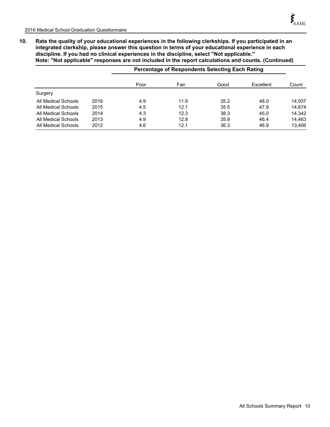**10. Rate the quality of your educational experiences in the following clerkships. If you participated in an integrated clerkship, please answer this question in terms of your educational experience in each discipline. If you had no clinical experiences in the discipline, select ''Not applicable.'' Note: ''Not applicable'' responses are not included in the report calculations and counts. (Continued)**

|                     |      | Percentage of Respondents Selecting Each Rating |      |      |           |        |  |  |
|---------------------|------|-------------------------------------------------|------|------|-----------|--------|--|--|
|                     |      | Poor                                            | Fair | Good | Excellent | Count  |  |  |
| Surgery             |      |                                                 |      |      |           |        |  |  |
| All Medical Schools | 2016 | 4.9                                             | 11.9 | 35.2 | 48.0      | 14,937 |  |  |
| All Medical Schools | 2015 | 4.5                                             | 12.1 | 35.5 | 47.9      | 14.674 |  |  |
| All Medical Schools | 2014 | 4.3                                             | 12.3 | 38.3 | 45.0      | 14.342 |  |  |
| All Medical Schools | 2013 | 4.9                                             | 12.8 | 35.9 | 46.4      | 14.463 |  |  |
| All Medical Schools | 2012 | 4.6                                             | 12.1 | 36.3 | 46.9      | 13,406 |  |  |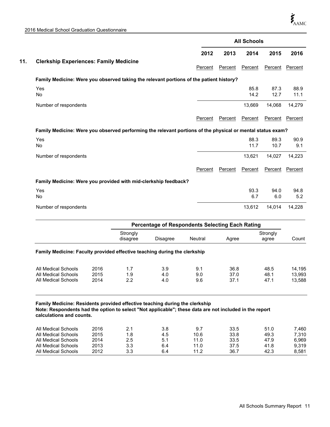|     |                                                                                                            |         | <b>All Schools</b> |              |              |              |
|-----|------------------------------------------------------------------------------------------------------------|---------|--------------------|--------------|--------------|--------------|
|     |                                                                                                            | 2012    | 2013               | 2014         | 2015         | 2016         |
| 11. | <b>Clerkship Experiences: Family Medicine</b>                                                              | Percent | Percent            | Percent      | Percent      | Percent      |
|     | Family Medicine: Were you observed taking the relevant portions of the patient history?                    |         |                    |              |              |              |
|     | Yes<br>No                                                                                                  |         |                    | 85.8<br>14.2 | 87.3<br>12.7 | 88.9<br>11.1 |
|     | Number of respondents                                                                                      |         |                    | 13,669       | 14,068       | 14,279       |
|     |                                                                                                            | Percent | Percent            | Percent      | Percent      | Percent      |
|     | Family Medicine: Were you observed performing the relevant portions of the physical or mental status exam? |         |                    |              |              |              |
|     | Yes<br>No                                                                                                  |         |                    | 88.3<br>11.7 | 89.3<br>10.7 | 90.9<br>9.1  |
|     | Number of respondents                                                                                      |         |                    | 13.621       | 14.027       | 14,223       |
|     |                                                                                                            | Percent | Percent            | Percent      | Percent      | Percent      |
|     | Family Medicine: Were you provided with mid-clerkship feedback?                                            |         |                    |              |              |              |
|     | Yes<br>No                                                                                                  |         |                    | 93.3<br>6.7  | 94.0<br>6.0  | 94.8<br>5.2  |
|     | Number of respondents                                                                                      |         |                    | 13,612       | 14,014       | 14,228       |

|                                                                                                                                                                                                                   |              | <b>Percentage of Respondents Selecting Each Rating</b> |            |            |              |                   |                  |
|-------------------------------------------------------------------------------------------------------------------------------------------------------------------------------------------------------------------|--------------|--------------------------------------------------------|------------|------------|--------------|-------------------|------------------|
|                                                                                                                                                                                                                   |              | Strongly<br>disagree                                   | Disagree   | Neutral    | Agree        | Strongly<br>agree | Count            |
| Family Medicine: Faculty provided effective teaching during the clerkship                                                                                                                                         |              |                                                        |            |            |              |                   |                  |
| All Medical Schools                                                                                                                                                                                               | 2016         | 1.7                                                    | 3.9        | 9.1        | 36.8         | 48.5              | 14,195           |
| All Medical Schools<br>All Medical Schools                                                                                                                                                                        | 2015<br>2014 | 1.9<br>2.2                                             | 4.0<br>4.0 | 9.0<br>9.6 | 37.0<br>37.1 | 48.1<br>47.1      | 13,993<br>13,588 |
| Family Medicine: Residents provided effective teaching during the clerkship<br>Note: Respondents had the option to select "Not applicable"; these data are not included in the report<br>calculations and counts. |              |                                                        |            |            |              |                   |                  |
| All Medical Schools                                                                                                                                                                                               | 2016         | 2.1                                                    | 3.8        | 9.7        | 33.5         | 51.0              | 7,460            |
| All Medical Schools                                                                                                                                                                                               | 2015         | 1.8                                                    | 4.5        | 10.6       | 33.8         | 49.3              | 7,310            |
| All Medical Schools                                                                                                                                                                                               | 2014         | 2.5                                                    | 5.1        | 11.0       | 33.5         | 47.9              | 6,969            |
| All Medical Schools                                                                                                                                                                                               | 2013         | 3.3                                                    | 6.4        | 11.0       | 37.5         | 41.8              | 9,319            |
| All Medical Schools                                                                                                                                                                                               | 2012         | 3.3                                                    | 6.4        | 11.2       | 36.7         | 42.3              | 8,581            |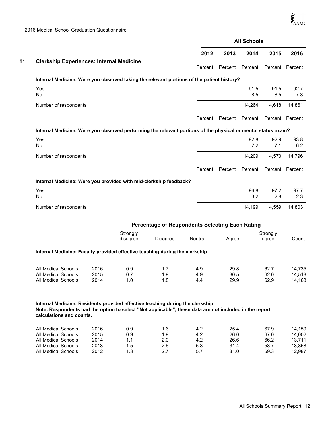|     |                                                                                                              |         |         | <b>All Schools</b> |                |             |
|-----|--------------------------------------------------------------------------------------------------------------|---------|---------|--------------------|----------------|-------------|
|     |                                                                                                              | 2012    | 2013    | 2014               | 2015           | 2016        |
| 11. | <b>Clerkship Experiences: Internal Medicine</b>                                                              | Percent | Percent | Percent            | <b>Percent</b> | Percent     |
|     | Internal Medicine: Were you observed taking the relevant portions of the patient history?                    |         |         |                    |                |             |
|     | Yes<br><b>No</b>                                                                                             |         |         | 91.5<br>8.5        | 91.5<br>8.5    | 92.7<br>7.3 |
|     | Number of respondents                                                                                        |         |         | 14,264             | 14,618         | 14,861      |
|     |                                                                                                              | Percent | Percent | Percent            | Percent        | Percent     |
|     | Internal Medicine: Were you observed performing the relevant portions of the physical or mental status exam? |         |         |                    |                |             |
|     | Yes<br>No                                                                                                    |         |         | 92.8<br>7.2        | 92.9<br>7.1    | 93.8<br>6.2 |
|     | Number of respondents                                                                                        |         |         | 14,209             | 14,570         | 14,796      |
|     |                                                                                                              | Percent | Percent | Percent            | Percent        | Percent     |
|     | Internal Medicine: Were you provided with mid-clerkship feedback?                                            |         |         |                    |                |             |
|     | Yes<br>No                                                                                                    |         |         | 96.8<br>3.2        | 97.2<br>2.8    | 97.7<br>2.3 |
|     | Number of respondents                                                                                        |         |         | 14,199             | 14,559         | 14,803      |
|     |                                                                                                              |         |         |                    |                |             |

|                                                                                                                                                                                                                     |              |                      | Percentage of Respondents Selecting Each Rating |                |              |                   |                  |  |
|---------------------------------------------------------------------------------------------------------------------------------------------------------------------------------------------------------------------|--------------|----------------------|-------------------------------------------------|----------------|--------------|-------------------|------------------|--|
|                                                                                                                                                                                                                     |              | Strongly<br>disagree | Disagree                                        | <b>Neutral</b> | Agree        | Strongly<br>agree | Count            |  |
| Internal Medicine: Faculty provided effective teaching during the clerkship                                                                                                                                         |              |                      |                                                 |                |              |                   |                  |  |
| All Medical Schools                                                                                                                                                                                                 | 2016         | 0.9                  | 1.7                                             | 4.9            | 29.8         | 62.7              | 14,735           |  |
| All Medical Schools<br>All Medical Schools                                                                                                                                                                          | 2015<br>2014 | 0.7<br>1.0           | 1.9<br>1.8                                      | 4.9<br>4.4     | 30.5<br>29.9 | 62.0<br>62.9      | 14,518<br>14,168 |  |
| Internal Medicine: Residents provided effective teaching during the clerkship<br>Note: Respondents had the option to select "Not applicable"; these data are not included in the report<br>calculations and counts. |              |                      |                                                 |                |              |                   |                  |  |
| All Medical Schools                                                                                                                                                                                                 | 2016         | 0.9                  | 1.6                                             | 4.2            | 25.4         | 67.9              | 14,159           |  |
| All Medical Schools                                                                                                                                                                                                 | 2015         | 0.9                  | 1.9                                             | 4.2            | 26.0         | 67.0              | 14,002           |  |
| All Medical Schools                                                                                                                                                                                                 | 2014         | 1.1                  | 2.0                                             | 4.2            | 26.6         | 66.2              | 13.711           |  |
| All Medical Schools                                                                                                                                                                                                 | 2013         | 1.5                  | 2.6                                             | 5.8            | 31.4         | 58.7              | 13,858           |  |
| All Medical Schools                                                                                                                                                                                                 | 2012         | 1.3                  | 2.7                                             | 5.7            | 31.0         | 59.3              | 12,987           |  |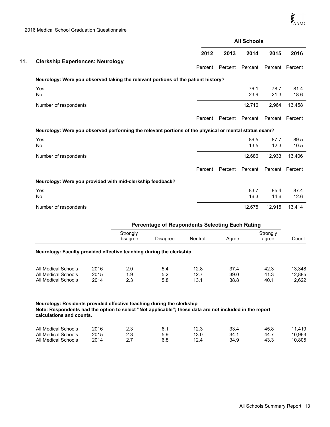|                                                                                                      |                      |                                                        |                |         | <b>All Schools</b> |                   |              |
|------------------------------------------------------------------------------------------------------|----------------------|--------------------------------------------------------|----------------|---------|--------------------|-------------------|--------------|
|                                                                                                      |                      |                                                        | 2012           | 2013    | 2014               | 2015              | 2016         |
| <b>Clerkship Experiences: Neurology</b>                                                              |                      |                                                        | Percent        | Percent | Percent            | Percent           | Percent      |
| Neurology: Were you observed taking the relevant portions of the patient history?                    |                      |                                                        |                |         |                    |                   |              |
| Yes<br><b>No</b>                                                                                     |                      |                                                        |                |         | 76.1<br>23.9       | 78.7<br>21.3      | 81.4<br>18.6 |
| Number of respondents                                                                                |                      |                                                        |                |         | 12,716             | 12,964            | 13,458       |
|                                                                                                      |                      |                                                        | Percent        | Percent | Percent            | Percent           | Percent      |
| Neurology: Were you observed performing the relevant portions of the physical or mental status exam? |                      |                                                        |                |         |                    |                   |              |
| Yes<br><b>No</b>                                                                                     |                      |                                                        |                |         | 86.5<br>13.5       | 87.7<br>12.3      | 89.5<br>10.5 |
| Number of respondents                                                                                |                      |                                                        |                |         | 12,686             | 12,933            | 13,406       |
|                                                                                                      |                      |                                                        | Percent        | Percent | Percent            | Percent           | Percent      |
| Neurology: Were you provided with mid-clerkship feedback?                                            |                      |                                                        |                |         |                    |                   |              |
| Yes<br><b>No</b>                                                                                     |                      |                                                        |                |         | 83.7<br>16.3       | 85.4<br>14.6      | 87.4<br>12.6 |
| Number of respondents                                                                                |                      |                                                        |                |         | 12,675             | 12,915            | 13,414       |
|                                                                                                      |                      | <b>Percentage of Respondents Selecting Each Rating</b> |                |         |                    |                   |              |
|                                                                                                      | Strongly<br>disagree | <b>Disagree</b>                                        | <b>Neutral</b> | Agree   |                    | Strongly<br>agree | Count        |

# **Neurology: Faculty provided effective teaching during the clerkship**

| All Medical Schools | 2016 | 2.0 | 5.4 | 12.8 | 37.4 | 42.3 | 13.348 |
|---------------------|------|-----|-----|------|------|------|--------|
| All Medical Schools | 2015 | 1.9 | 5.2 | 12.7 | 39.0 | 41.3 | 12.885 |
| All Medical Schools | 2014 |     | 5.8 | 13.1 | 38.8 | 40.1 | 12.622 |
|                     |      |     |     |      |      |      |        |

# **Neurology: Residents provided effective teaching during the clerkship Note: Respondents had the option to select "Not applicable"; these data are not included in the report calculations and counts.**

| All Medical Schools<br>All Medical Schools<br>All Medical Schools | 2016<br>2015<br>2014 | 2.3<br>2.3<br><u>.</u> | 5.9<br>6.8 | 12.3<br>13.0<br>12.4 | 33.4<br>34.1<br>34.9 | 45.8<br>44.7<br>43.3 | . 419<br>10.963<br>10.805 |
|-------------------------------------------------------------------|----------------------|------------------------|------------|----------------------|----------------------|----------------------|---------------------------|
|-------------------------------------------------------------------|----------------------|------------------------|------------|----------------------|----------------------|----------------------|---------------------------|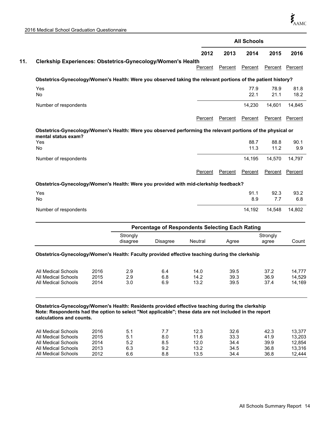|                                                                                                                                                                                                                                                               |      |                      |                                                        |         |         | <b>All Schools</b> |                   |                  |
|---------------------------------------------------------------------------------------------------------------------------------------------------------------------------------------------------------------------------------------------------------------|------|----------------------|--------------------------------------------------------|---------|---------|--------------------|-------------------|------------------|
|                                                                                                                                                                                                                                                               |      |                      |                                                        | 2012    | 2013    | 2014               | 2015              | 2016             |
| Clerkship Experiences: Obstetrics-Gynecology/Women's Health                                                                                                                                                                                                   |      |                      |                                                        |         |         |                    |                   |                  |
|                                                                                                                                                                                                                                                               |      |                      |                                                        | Percent | Percent | Percent            | Percent           | Percent          |
| Obstetrics-Gynecology/Women's Health: Were you observed taking the relevant portions of the patient history?                                                                                                                                                  |      |                      |                                                        |         |         |                    |                   |                  |
| Yes<br>No                                                                                                                                                                                                                                                     |      |                      |                                                        |         |         | 77.9<br>22.1       | 78.9<br>21.1      | 81.8<br>18.2     |
| Number of respondents                                                                                                                                                                                                                                         |      |                      |                                                        |         |         | 14,230             | 14,601            | 14,845           |
|                                                                                                                                                                                                                                                               |      |                      |                                                        | Percent | Percent | Percent            | Percent           | Percent          |
| Obstetrics-Gynecology/Women's Health: Were you observed performing the relevant portions of the physical or<br>mental status exam?                                                                                                                            |      |                      |                                                        |         |         |                    |                   |                  |
| Yes<br>No                                                                                                                                                                                                                                                     |      |                      |                                                        |         |         | 88.7<br>11.3       | 88.8<br>11.2      | 90.1<br>9.9      |
| Number of respondents                                                                                                                                                                                                                                         |      |                      |                                                        |         |         | 14,195             | 14,570            | 14,797           |
|                                                                                                                                                                                                                                                               |      |                      |                                                        | Percent | Percent | Percent            | Percent           | Percent          |
| Obstetrics-Gynecology/Women's Health: Were you provided with mid-clerkship feedback?                                                                                                                                                                          |      |                      |                                                        |         |         |                    |                   |                  |
| Yes<br>No                                                                                                                                                                                                                                                     |      |                      |                                                        |         |         | 91.1<br>8.9        | 92.3<br>7.7       | 93.2<br>6.8      |
| Number of respondents                                                                                                                                                                                                                                         |      |                      |                                                        |         |         | 14,192             | 14,548            | 14,802           |
|                                                                                                                                                                                                                                                               |      |                      | <b>Percentage of Respondents Selecting Each Rating</b> |         |         |                    |                   |                  |
|                                                                                                                                                                                                                                                               |      | Strongly<br>disagree | Disagree                                               | Neutral | Agree   |                    | Strongly<br>agree | Count            |
| Obstetrics-Gynecology/Women's Health: Faculty provided effective teaching during the clerkship                                                                                                                                                                |      |                      |                                                        |         |         |                    |                   |                  |
| <b>All Medical Schools</b>                                                                                                                                                                                                                                    | 2016 | 2.9                  | 6.4                                                    | 14.0    | 39.5    |                    | 37.2              | 14,777           |
| <b>All Medical Schools</b>                                                                                                                                                                                                                                    | 2014 | 3.0                  | 6.9                                                    | 13.2    | 39.5    |                    | 37.4              | 14,529<br>14,169 |
| All Medical Schools<br>Obstetrics-Gynecology/Women's Health: Residents provided effective teaching during the clerkship<br>Note: Respondents had the option to select "Not applicable"; these data are not included in the report<br>calculations and counts. | 2015 | 2.9                  | 6.8                                                    | 14.2    |         |                    | 39.3              | 36.9             |
|                                                                                                                                                                                                                                                               | 001c | E 1                  | 77                                                     | 100     | 22c     |                    |                   | د در             |

| All Medical Schools | 2016 |     |     | 12.3 | 32.6 | 42.3 | 13.377 |
|---------------------|------|-----|-----|------|------|------|--------|
| All Medical Schools | 2015 |     | 8.0 | 11.6 | 33.3 | 41.9 | 13.203 |
| All Medical Schools | 2014 | 5.2 | 8.5 | 12.0 | 34.4 | 39.9 | 12.854 |
| All Medical Schools | 2013 | 6.3 | 9.2 | 13.2 | 34.5 | 36.8 | 13.316 |
| All Medical Schools | 2012 | 6.6 | 8.8 | 13.5 | 34.4 | 36.8 | 12.444 |
|                     |      |     |     |      |      |      |        |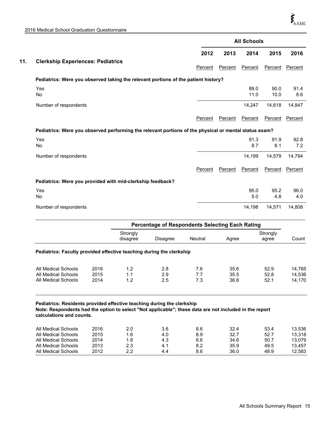All Medical Schools

|     |                                                                                                       |         |         | <b>All Schools</b> |              |             |
|-----|-------------------------------------------------------------------------------------------------------|---------|---------|--------------------|--------------|-------------|
|     |                                                                                                       | 2012    | 2013    | 2014               | 2015         | 2016        |
| 11. | <b>Clerkship Experiences: Pediatrics</b>                                                              | Percent | Percent | Percent            | Percent      | Percent     |
|     | Pediatrics: Were you observed taking the relevant portions of the patient history?                    |         |         |                    |              |             |
|     | Yes<br><b>No</b>                                                                                      |         |         | 89.0<br>11.0       | 90.0<br>10.0 | 91.4<br>8.6 |
|     | Number of respondents                                                                                 |         |         | 14,247             | 14,618       | 14,847      |
|     |                                                                                                       | Percent | Percent | Percent            | Percent      | Percent     |
|     | Pediatrics: Were you observed performing the relevant portions of the physical or mental status exam? |         |         |                    |              |             |
|     | Yes<br>No                                                                                             |         |         | 91.3<br>8.7        | 91.9<br>8.1  | 92.8<br>7.2 |
|     | Number of respondents                                                                                 |         |         | 14,199             | 14,579       | 14,794      |
|     |                                                                                                       | Percent | Percent | Percent            | Percent      | Percent     |
|     | Pediatrics: Were you provided with mid-clerkship feedback?                                            |         |         |                    |              |             |
|     | Yes<br>No                                                                                             |         |         | 95.0<br>5.0        | 95.2<br>4.8  | 96.0<br>4.0 |
|     | Number of respondents                                                                                 |         |         | 14,198             | 14,571       | 14,808      |

|                                                                                                                                    |              | <b>Percentage of Respondents Selecting Each Rating</b> |            |            |              |                   |                  |
|------------------------------------------------------------------------------------------------------------------------------------|--------------|--------------------------------------------------------|------------|------------|--------------|-------------------|------------------|
|                                                                                                                                    |              | Strongly<br>disagree                                   | Disagree   | Neutral    | Agree        | Strongly<br>agree | Count            |
| Pediatrics: Faculty provided effective teaching during the clerkship                                                               |              |                                                        |            |            |              |                   |                  |
| All Medical Schools<br>All Medical Schools                                                                                         | 2016<br>2015 | 1.2<br>1.1                                             | 2.8<br>2.9 | 7.6<br>7.7 | 35.6<br>35.5 | 52.9<br>52.8      | 14,765<br>14,536 |
| All Medical Schools                                                                                                                | 2014         | 1.2                                                    | 2.5        | 7.3        | 36.8         | 52.1              | 14,170           |
| Pediatrics: Residents provided effective teaching during the clerkship                                                             |              |                                                        |            |            |              |                   |                  |
| Note: Respondents had the option to select "Not applicable"; these data are not included in the report<br>calculations and counts. |              |                                                        |            |            |              |                   |                  |
| All Medical Schools                                                                                                                | 2016         | 2.0                                                    | 3.6        | 8.6        | 32.4         | 53.4              | 13,536           |
| All Medical Schools                                                                                                                | 2015         | 1.6                                                    | 4.0        | 8.9        | 32.7         | 52.7              | 13,318           |
| All Medical Schools<br>All Medical Schools                                                                                         | 2014<br>2013 | 1.8                                                    | 4.3        | 8.6<br>8.2 | 34.6<br>35.9 | 50.7<br>49.5      | 13.079           |
|                                                                                                                                    |              | 2.3                                                    | 4.1        |            |              |                   | 13,457           |

All Medical Schools 2013 2.3 4.1 8.2 35.9 49.5 13,457<br>All Medical Schools 2012 2.2 4.4 8.6 36.0 48.9 12,583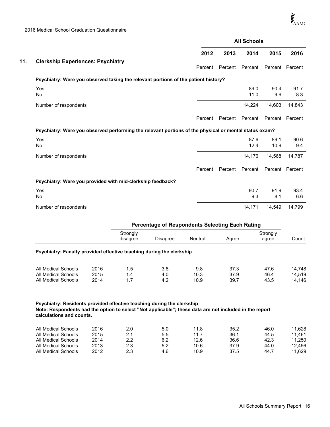All Medical Schools

|     |                                                                                                       |         |         | <b>All Schools</b> |              |             |
|-----|-------------------------------------------------------------------------------------------------------|---------|---------|--------------------|--------------|-------------|
|     |                                                                                                       | 2012    | 2013    | 2014               | 2015         | 2016        |
| 11. | <b>Clerkship Experiences: Psychiatry</b>                                                              | Percent | Percent | Percent            | Percent      | Percent     |
|     | Psychiatry: Were you observed taking the relevant portions of the patient history?                    |         |         |                    |              |             |
|     | Yes<br><b>No</b>                                                                                      |         |         | 89.0<br>11.0       | 90.4<br>9.6  | 91.7<br>8.3 |
|     | Number of respondents                                                                                 |         |         | 14,224             | 14,603       | 14,843      |
|     |                                                                                                       | Percent | Percent | Percent            | Percent      | Percent     |
|     | Psychiatry: Were you observed performing the relevant portions of the physical or mental status exam? |         |         |                    |              |             |
|     | Yes<br>No                                                                                             |         |         | 87.6<br>12.4       | 89.1<br>10.9 | 90.6<br>9.4 |
|     | Number of respondents                                                                                 |         |         | 14,176             | 14,568       | 14,787      |
|     |                                                                                                       | Percent | Percent | Percent            | Percent      | Percent     |
|     | Psychiatry: Were you provided with mid-clerkship feedback?                                            |         |         |                    |              |             |
|     | Yes<br>No                                                                                             |         |         | 90.7<br>9.3        | 91.9<br>8.1  | 93.4<br>6.6 |
|     | Number of respondents                                                                                 |         |         | 14,171             | 14,549       | 14,799      |

|                                                                                                                                                                                                              |                              | <b>Percentage of Respondents Selecting Each Rating</b> |                          |                              |                              |                              |                                      |
|--------------------------------------------------------------------------------------------------------------------------------------------------------------------------------------------------------------|------------------------------|--------------------------------------------------------|--------------------------|------------------------------|------------------------------|------------------------------|--------------------------------------|
|                                                                                                                                                                                                              |                              | Strongly<br>disagree                                   | Disagree                 | Neutral                      | Agree                        | Strongly<br>agree            | Count                                |
| <b>Psychiatry: Faculty provided effective teaching during the clerkship</b>                                                                                                                                  |                              |                                                        |                          |                              |                              |                              |                                      |
| All Medical Schools<br>All Medical Schools<br>All Medical Schools                                                                                                                                            | 2016<br>2015<br>2014         | 1.5<br>1.4<br>1.7                                      | 3.8<br>4.0<br>4.2        | 9.8<br>10.3<br>10.9          | 37.3<br>37.9<br>39.7         | 47.6<br>46.4<br>43.5         | 14,748<br>14,519<br>14,146           |
| Psychiatry: Residents provided effective teaching during the clerkship<br>Note: Respondents had the option to select "Not applicable"; these data are not included in the report<br>calculations and counts. |                              |                                                        |                          |                              |                              |                              |                                      |
| All Medical Schools<br>All Medical Schools<br>All Medical Schools<br>All Medical Schools                                                                                                                     | 2016<br>2015<br>2014<br>2013 | 2.0<br>2.1<br>2.2<br>2.3                               | 5.0<br>5.5<br>6.2<br>5.2 | 11.8<br>11.7<br>12.6<br>10.6 | 35.2<br>36.1<br>36.6<br>37.9 | 46.0<br>44.5<br>42.3<br>44.0 | 11,628<br>11,461<br>11,250<br>12,456 |

All Medical Schools 2013 2.3 5.2 10.6 37.9 44.0 12,456<br>All Medical Schools 2012 2.3 4.6 10.9 37.5 44.7 11,629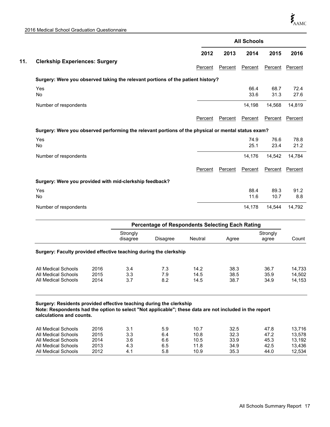|     |                                                                                                    | <b>All Schools</b> |         |              |              |              |  |
|-----|----------------------------------------------------------------------------------------------------|--------------------|---------|--------------|--------------|--------------|--|
|     |                                                                                                    | 2012               | 2013    | 2014         | 2015         | 2016         |  |
| 11. | <b>Clerkship Experiences: Surgery</b>                                                              | Percent            | Percent | Percent      | Percent      | Percent      |  |
|     | Surgery: Were you observed taking the relevant portions of the patient history?                    |                    |         |              |              |              |  |
|     | Yes<br>No                                                                                          |                    |         | 66.4<br>33.6 | 68.7<br>31.3 | 72.4<br>27.6 |  |
|     | Number of respondents                                                                              |                    |         | 14,198       | 14,568       | 14,819       |  |
|     |                                                                                                    | Percent            | Percent | Percent      | Percent      | Percent      |  |
|     | Surgery: Were you observed performing the relevant portions of the physical or mental status exam? |                    |         |              |              |              |  |
|     | Yes<br>No                                                                                          |                    |         | 74.9<br>25.1 | 76.6<br>23.4 | 78.8<br>21.2 |  |
|     | Number of respondents                                                                              |                    |         | 14,176       | 14.542       | 14,784       |  |
|     |                                                                                                    | Percent            | Percent | Percent      | Percent      | Percent      |  |
|     | Surgery: Were you provided with mid-clerkship feedback?                                            |                    |         |              |              |              |  |
|     | Yes<br>No                                                                                          |                    |         | 88.4<br>11.6 | 89.3<br>10.7 | 91.2<br>8.8  |  |
|     | Number of respondents                                                                              |                    |         | 14,178       | 14,544       | 14,792       |  |

|                                                                                                                                    |               |                      | <b>Percentage of Respondents Selecting Each Rating</b> |              |              |                   |                  |
|------------------------------------------------------------------------------------------------------------------------------------|---------------|----------------------|--------------------------------------------------------|--------------|--------------|-------------------|------------------|
|                                                                                                                                    |               | Strongly<br>disagree | Disagree                                               | Neutral      | Agree        | Strongly<br>agree | Count            |
| Surgery: Faculty provided effective teaching during the clerkship                                                                  |               |                      |                                                        |              |              |                   |                  |
| All Medical Schools<br>All Medical Schools                                                                                         | 2016<br>2015  | 3.4<br>3.3           | 7.3<br>7.9                                             | 14.2<br>14.5 | 38.3<br>38.5 | 36.7<br>35.9      | 14.733<br>14.502 |
| All Medical Schools                                                                                                                | 2014          | 3.7                  | 8.2                                                    | 14.5         | 38.7         | 34.9              | 14.153           |
| Surgery: Residents provided effective teaching during the clerkship                                                                |               |                      |                                                        |              |              |                   |                  |
| Note: Respondents had the option to select "Not applicable"; these data are not included in the report<br>calculations and counts. |               |                      |                                                        |              |              |                   |                  |
| $\cdots$ $\cdots$ $\cdots$                                                                                                         | $\sim$ $\sim$ | $\sim$ $\sim$        |                                                        |              |              |                   |                  |

| All Medical Schools | 2016 |     | 5.9 | 10.7 | 32.5 | 47.8 | 13.716 |
|---------------------|------|-----|-----|------|------|------|--------|
| All Medical Schools | 2015 | 3.3 | 6.4 | 10.8 | 32.3 | 47.2 | 13.578 |
| All Medical Schools | 2014 | 3.6 | 6.6 | 10.5 | 33.9 | 45.3 | 13.192 |
| All Medical Schools | 2013 | 4.3 | 6.5 | 11.8 | 34.9 | 42.5 | 13.436 |
| All Medical Schools | 2012 |     | 5.8 | 10.9 | 35.3 | 44.0 | 12.534 |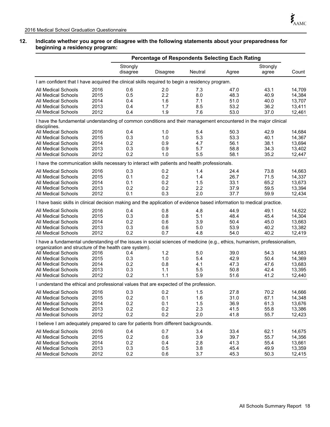# **12. Indicate whether you agree or disagree with the following statements about your preparedness for beginning a residency program:**

|                                                                                                                                                                                     | <b>Percentage of Respondents Selecting Each Rating</b> |                 |            |              |              |                  |
|-------------------------------------------------------------------------------------------------------------------------------------------------------------------------------------|--------------------------------------------------------|-----------------|------------|--------------|--------------|------------------|
|                                                                                                                                                                                     | Strongly                                               |                 |            |              | Strongly     |                  |
|                                                                                                                                                                                     | disagree                                               | <b>Disagree</b> | Neutral    | Agree        | agree        | Count            |
| I am confident that I have acquired the clinical skills required to begin a residency program.                                                                                      |                                                        |                 |            |              |              |                  |
| All Medical Schools<br>2016                                                                                                                                                         | 0.6                                                    | 2.0             | 7.3        | 47.0         | 43.1         | 14,709           |
| 2015<br><b>All Medical Schools</b>                                                                                                                                                  | 0.5                                                    | 2.2             | 8.0        | 48.3         | 40.9         | 14,384           |
| 2014<br>All Medical Schools                                                                                                                                                         | 0.4                                                    | 1.6             | 7.1        | 51.0         | 40.0         | 13,707           |
| 2013<br><b>All Medical Schools</b>                                                                                                                                                  | 0.4                                                    | 1.7             | 8.5        | 53.2         | 36.2         | 13,411           |
| All Medical Schools<br>2012                                                                                                                                                         | 0.4                                                    | 1.9             | 7.6        | 53.0         | 37.0         | 12,461           |
| I have the fundamental understanding of common conditions and their management encountered in the major clinical<br>disciplines.                                                    |                                                        |                 |            |              |              |                  |
| All Medical Schools<br>2016                                                                                                                                                         | 0.4                                                    | 1.0             | 5.4        | 50.3         | 42.9         | 14,684           |
| 2015<br><b>All Medical Schools</b>                                                                                                                                                  | 0.3                                                    | 1.0             | 5.3        | 53.3         | 40.1         | 14,367           |
| 2014<br><b>All Medical Schools</b>                                                                                                                                                  | 0.2                                                    | 0.9             | 4.7        | 56.1         | 38.1         | 13,694           |
| 2013<br><b>All Medical Schools</b>                                                                                                                                                  | 0.3                                                    | 0.9             | 5.7        | 58.8         | 34.3         | 13,402           |
| <b>All Medical Schools</b><br>2012                                                                                                                                                  | 0.2                                                    | 1.0             | 5.5        | 58.1         | 35.2         | 12,447           |
| I have the communication skills necessary to interact with patients and health professionals.                                                                                       |                                                        |                 |            |              |              |                  |
| 2016<br>All Medical Schools                                                                                                                                                         | 0.3                                                    | 0.2             | 1.4        | 24.4         | 73.8         | 14,663           |
| 2015<br>All Medical Schools                                                                                                                                                         | 0.1                                                    | 0.2             | 1.4        | 26.7         | 71.5         | 14,337           |
| 2014<br><b>All Medical Schools</b>                                                                                                                                                  | 0.1                                                    | 0.2             | 1.5        | 33.1         | 65.2         | 13,673           |
| 2013<br><b>All Medical Schools</b>                                                                                                                                                  | 0.2                                                    | 0.2             | 2.2        | 37.9         | 59.5         | 13,394           |
| 2012<br>All Medical Schools                                                                                                                                                         | 0.1                                                    | 0.3             | 2.0        | 37.7         | 59.9         | 12,434           |
| I have basic skills in clinical decision making and the application of evidence based information to medical practice.                                                              |                                                        |                 |            |              |              |                  |
| 2016                                                                                                                                                                                |                                                        |                 |            |              |              |                  |
| All Medical Schools<br>All Medical Schools<br>2015                                                                                                                                  | 0.4<br>0.3                                             | 0.8<br>0.8      | 4.8<br>5.1 | 44.9<br>48.4 | 49.1<br>45.4 | 14,622<br>14,304 |
| 2014<br><b>All Medical Schools</b>                                                                                                                                                  | 0.2                                                    | 0.6             | 3.9        | 50.4         | 45.0         | 13,663           |
| <b>All Medical Schools</b><br>2013                                                                                                                                                  | 0.3                                                    | 0.6             | 5.0        | 53.9         | 40.2         | 13,382           |
| 2012<br>All Medical Schools                                                                                                                                                         | 0.2                                                    | 0.7             | 4.8        | 54.0         | 40.2         | 12,419           |
|                                                                                                                                                                                     |                                                        |                 |            |              |              |                  |
| I have a fundamental understanding of the issues in social sciences of medicine (e.g., ethics, humanism, professionalism,<br>organization and structure of the health care system). |                                                        |                 |            |              |              |                  |
| 2016<br>All Medical Schools                                                                                                                                                         | 0.4                                                    | 1.2             | 5.0        | 39.0         | 54.3         | 14,683           |
| 2015<br><b>All Medical Schools</b>                                                                                                                                                  | 0.3                                                    | 1.0             | 5.4        | 42.9         | 50.4         | 14,369           |
| 2014<br><b>All Medical Schools</b>                                                                                                                                                  | 0.2                                                    | 0.8             | 4.1        | 47.3         | 47.6         | 13,683           |
| 2013<br>All Medical Schools                                                                                                                                                         | 0.3                                                    | 1.1             | 5.5        | 50.8         | 42.4         | 13,395           |
| 2012<br>All Medical Schools                                                                                                                                                         | 0.2                                                    | 1.1             | 5.9        | 51.6         | 41.2         | 12,440           |
| I understand the ethical and professional values that are expected of the profession.                                                                                               |                                                        |                 |            |              |              |                  |
| 2016<br><b>All Medical Schools</b>                                                                                                                                                  | 0.3                                                    | 0.2             | 1.5        | 27.8         | 70.2         | 14,666           |
| All Medical Schools<br>2015                                                                                                                                                         | 0.2                                                    | 0.1             | 1.6        | 31.0         | 67.1         | 14,348           |
| All Medical Schools<br>2014                                                                                                                                                         | 0.2                                                    | 0.1             | 1.5        | 36.9         | 61.3         | 13,676           |
| 2013<br><b>All Medical Schools</b>                                                                                                                                                  | 0.2                                                    | 0.2             | 2.3        | 41.5         | 55.8         | 13,386           |
| 2012<br>All Medical Schools                                                                                                                                                         | 0.2                                                    | 0.2             | 2.0        | 41.8         | 55.7         | 12,423           |
| I believe I am adequately prepared to care for patients from different backgrounds.                                                                                                 |                                                        |                 |            |              |              |                  |
| <b>All Medical Schools</b><br>2016                                                                                                                                                  |                                                        | 0.7             |            |              |              | 14,675           |
| 2015<br>All Medical Schools                                                                                                                                                         | 0.4<br>0.2                                             | 0.6             | 3.4<br>3.9 | 33.4<br>39.7 | 62.1<br>55.7 | 14,356           |
| 2014<br><b>All Medical Schools</b>                                                                                                                                                  | 0.2                                                    | 0.4             | 2.8        | 41.3         | 55.4         | 13,661           |
| All Medical Schools<br>2013                                                                                                                                                         | 0.3                                                    | 0.5             | 3.8        | 45.4         | 49.9         | 13,359           |
| 2012<br>All Medical Schools                                                                                                                                                         | 0.2                                                    | 0.6             | 3.7        | 45.3         | 50.3         | 12,415           |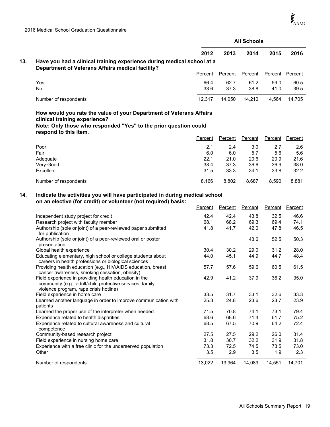|     |                                                                                                                                   | <b>All Schools</b> |                |                |         |                 |  |  |  |  |  |  |
|-----|-----------------------------------------------------------------------------------------------------------------------------------|--------------------|----------------|----------------|---------|-----------------|--|--|--|--|--|--|
|     |                                                                                                                                   | 2012               | 2013           | 2014           | 2015    | 2016            |  |  |  |  |  |  |
| 13. | Have you had a clinical training experience during medical school at a<br><b>Department of Veterans Affairs medical facility?</b> |                    |                |                |         |                 |  |  |  |  |  |  |
|     |                                                                                                                                   | Percent            | Percent        | Percent        | Percent | Percent         |  |  |  |  |  |  |
|     | Yes                                                                                                                               | 66.4               | 62.7           | 61.2           | 59.0    | 60.5            |  |  |  |  |  |  |
|     | <b>No</b>                                                                                                                         | 33.6               | 37.3           | 38.8           | 41.0    | 39.5            |  |  |  |  |  |  |
|     | Number of respondents                                                                                                             | 12,317             | 14,050         | 14,210         | 14,564  | 14,705          |  |  |  |  |  |  |
|     | How would you rate the value of your Department of Veterans Affairs                                                               |                    |                |                |         |                 |  |  |  |  |  |  |
|     | clinical training experience?<br>Note: Only those who responded "Yes" to the prior question could                                 |                    |                |                |         |                 |  |  |  |  |  |  |
|     | respond to this item.                                                                                                             | Percent            | <b>Percent</b> | <b>Percent</b> |         | Percent Percent |  |  |  |  |  |  |
|     | Poor                                                                                                                              | 2.1                | 2.4            | 3.0            | 2.7     | 2.6             |  |  |  |  |  |  |
|     | Fair                                                                                                                              | 6.0                | 6.0            | 5.7            | 5.6     | 5.6             |  |  |  |  |  |  |
|     | Adequate                                                                                                                          | 22.1               | 21.0           | 20.6           | 20.9    | 21.6            |  |  |  |  |  |  |
|     | Very Good                                                                                                                         | 38.4               | 37.3           | 36.6           | 36.9    | 38.0            |  |  |  |  |  |  |
|     | Excellent                                                                                                                         | 31.5               | 33.3           | 34.1           | 33.8    | 32.2            |  |  |  |  |  |  |
|     | Number of respondents                                                                                                             | 8,166              | 8,802          | 8,687          | 8,590   | 8,881           |  |  |  |  |  |  |
| 14. | Indicate the activities you will have participated in during medical school                                                       |                    |                |                |         |                 |  |  |  |  |  |  |
|     | on an elective (for credit) or volunteer (not required) basis:                                                                    |                    |                |                |         |                 |  |  |  |  |  |  |
|     |                                                                                                                                   | Percent            | Percent        | Percent        |         | Percent Percent |  |  |  |  |  |  |
|     | Independent study project for credit                                                                                              | 42.4               | 42.4           | 43.8           | 32.5    | 46.6            |  |  |  |  |  |  |
|     | Research project with faculty member                                                                                              | 68.1               | 68.2           | 69.3           | 69.4    | 74.1            |  |  |  |  |  |  |
|     | Authorship (sole or joint) of a peer-reviewed paper submitted<br>for publication                                                  | 41.8               | 41.7           | 42.0           | 47.8    | 46.5            |  |  |  |  |  |  |
|     | Authorship (sole or joint) of a peer-reviewed oral or poster<br>presentation                                                      |                    |                | 43.6           | 52.5    | 50.3            |  |  |  |  |  |  |
|     | Global health experience                                                                                                          | 30.4               | 30.2           | 29.0           | 31.2    | 28.0            |  |  |  |  |  |  |
|     | Educating elementary, high school or college students about<br>careers in health professions or biological sciences               | 44.0               | 45.1           | 44.9           | 44.7    | 48.4            |  |  |  |  |  |  |
|     | Providing health education (e.g., HIV/AIDS education, breast<br>cancer awareness, smoking cessation, obesity)                     | 57.7               | 57.6           | 59.6           | 60.5    | 61.5            |  |  |  |  |  |  |

| Providing health education (e.g., HIV/AIDS education, breast        | 57.7   | 57.6   | 59.6   | 60.5   | 61.5   |
|---------------------------------------------------------------------|--------|--------|--------|--------|--------|
| cancer awareness, smoking cessation, obesity)                       |        |        |        |        |        |
| Field experience in providing health education in the               | 42.9   | 41.2   | 37.9   | 36.2   | 35.0   |
| community (e.g., adult/child protective services, family            |        |        |        |        |        |
| violence program, rape crisis hotline)                              |        |        |        |        |        |
| Field experience in home care                                       | 33.5   | 31.7   | 33.1   | 32.6   | 33.3   |
| Learned another language in order to improve communication with     | 25.3   | 24.8   | 23.6   | 23.7   | 23.9   |
| patients                                                            |        |        |        |        |        |
| Learned the proper use of the interpreter when needed               | 71.5   | 70.8   | 74.1   | 73.1   | 79.4   |
| Experience related to health disparities                            | 68.6   | 68.6   | 71.4   | 61.7   | 75.2   |
| Experience related to cultural awareness and cultural<br>competence | 68.5   | 67.5   | 70.9   | 64.2   | 72.4   |
| Community-based research project                                    | 27.5   | 27.5   | 29.2   | 26.0   | 31.4   |
| Field experience in nursing home care                               | 31.8   | 30.7   | 32.2   | 31.9   | 31.8   |
| Experience with a free clinic for the underserved population        | 73.3   | 72.5   | 74.5   | 73.5   | 73.0   |
| Other                                                               | 3.5    | 2.9    | 3.5    | 1.9    | 2.3    |
| Number of respondents                                               | 13.022 | 13.964 | 14.089 | 14.551 | 14.701 |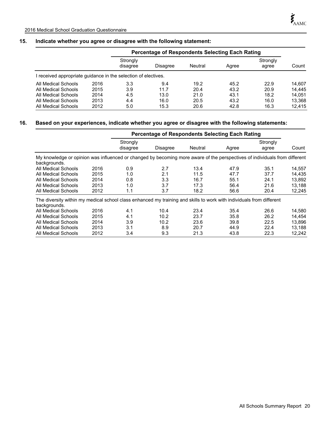# **15. Indicate whether you agree or disagree with the following statement:**

|                                                                |      |                      | <b>Percentage of Respondents Selecting Each Rating</b> |         |       |                   |        |  |  |
|----------------------------------------------------------------|------|----------------------|--------------------------------------------------------|---------|-------|-------------------|--------|--|--|
|                                                                |      | Strongly<br>disagree | Disagree                                               | Neutral | Agree | Strongly<br>agree | Count  |  |  |
| I received appropriate guidance in the selection of electives. |      |                      |                                                        |         |       |                   |        |  |  |
| All Medical Schools                                            | 2016 | 3.3                  | 9.4                                                    | 19.2    | 45.2  | 22.9              | 14.607 |  |  |
| All Medical Schools                                            | 2015 | 3.9                  | 11.7                                                   | 20.4    | 43.2  | 20.9              | 14.445 |  |  |
| All Medical Schools                                            | 2014 | 4.5                  | 13.0                                                   | 21.0    | 43.1  | 18.2              | 14.051 |  |  |
| All Medical Schools                                            | 2013 | 4.4                  | 16.0                                                   | 20.5    | 43.2  | 16.0              | 13.368 |  |  |
| All Medical Schools                                            | 2012 | 5.0                  | 15.3                                                   | 20.6    | 42.8  | 16.3              | 12.415 |  |  |

# **16. Based on your experiences, indicate whether you agree or disagree with the following statements:**

|                                                                                                                                            |      |                      | <b>Percentage of Respondents Selecting Each Rating</b> |         |       |                   |        |
|--------------------------------------------------------------------------------------------------------------------------------------------|------|----------------------|--------------------------------------------------------|---------|-------|-------------------|--------|
|                                                                                                                                            |      | Strongly<br>disagree | Disagree                                               | Neutral | Agree | Strongly<br>agree | Count  |
| My knowledge or opinion was influenced or changed by becoming more aware of the perspectives of individuals from different<br>backgrounds. |      |                      |                                                        |         |       |                   |        |
| All Medical Schools                                                                                                                        | 2016 | 0.9                  | 2.7                                                    | 13.4    | 47.9  | 35.1              | 14,557 |
| All Medical Schools                                                                                                                        | 2015 | 1.0                  | 2.1                                                    | 11.5    | 47.7  | 37.7              | 14.435 |
| All Medical Schools                                                                                                                        | 2014 | 0.8                  | 3.3                                                    | 16.7    | 55.1  | 24.1              | 13,892 |
| All Medical Schools                                                                                                                        | 2013 | 1.0                  | 3.7                                                    | 17.3    | 56.4  | 21.6              | 13,188 |
| All Medical Schools                                                                                                                        | 2012 | 1.1                  | 3.7                                                    | 18.2    | 56.6  | 20.4              | 12.245 |
| The diversity within my medical school class enhanced my training and skills to work with individuals from different<br>backgrounds.       |      |                      |                                                        |         |       |                   |        |
| All Medical Schools                                                                                                                        | 2016 | 4.1                  | 10.4                                                   | 23.4    | 35.4  | 26.6              | 14,580 |
| All Medical Schools                                                                                                                        | 2015 | 4.1                  | 10.2                                                   | 23.7    | 35.8  | 26.2              | 14.454 |
| All Medical Schools                                                                                                                        | 2014 | 3.9                  | 10.2                                                   | 23.6    | 39.8  | 22.5              | 13.896 |
| All Medical Schools                                                                                                                        | 2013 | 3.1                  | 8.9                                                    | 20.7    | 44.9  | 22.4              | 13,188 |
| All Medical Schools                                                                                                                        | 2012 | 3.4                  | 9.3                                                    | 21.3    | 43.8  | 22.3              | 12,242 |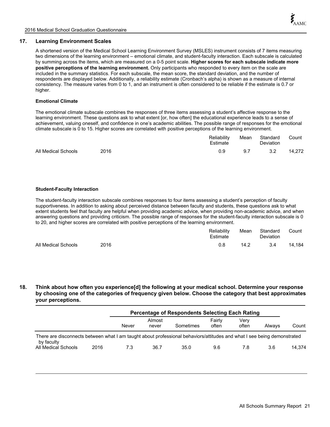# **17. Learning Environment Scales**

A shortened version of the Medical School Learning Environment Survey (MSLES) instrument consists of 7 items measuring two dimensions of the learning environment – emotional climate, and student-faculty interaction. Each subscale is calculated by summing across the items, which are measured on a 0-5 point scale. **Higher scores for each subscale indicate more positive perceptions of the learning environment.** Only participants who responded to every item on the scale are included in the summary statistics. For each subscale, the mean score, the standard deviation, and the number of respondents are displayed below. Additionally, a reliability estimate (Cronbach's alpha) is shown as a measure of internal consistency. The measure varies from 0 to 1, and an instrument is often considered to be reliable if the estimate is 0.7 or higher.

# **Emotional Climate**

The emotional climate subscale combines the responses of three items assessing a student's affective response to the learning environment. These questions ask to what extent [or, how often] the educational experience leads to a sense of achievement, valuing oneself, and confidence in one's academic abilities. The possible range of responses for the emotional climate subscale is 0 to 15. Higher scores are correlated with positive perceptions of the learning environment.

|                     |      | Reliability<br>Estimate | Mean | Standard<br><b>Deviation</b> | Count  |
|---------------------|------|-------------------------|------|------------------------------|--------|
| All Medical Schools | 2016 | 0.9                     | 9.7  | 3.2                          | 14.272 |

## **Student-Faculty Interaction**

The student-faculty interaction subscale combines responses to four items assessing a student's perception of faculty supportiveness. In addition to asking about perceived distance between faculty and students, these questions ask to what extent students feel that faculty are helpful when providing academic advice, when providing non-academic advice, and when answering questions and providing criticism. The possible range of responses for the student-faculty interaction subscale is 0 to 20, and higher scores are correlated with positive perceptions of the learning environment.

|                     |      | Reliability<br>Estimate | Mean | Standard<br>Deviation | Count  |
|---------------------|------|-------------------------|------|-----------------------|--------|
| All Medical Schools | 2016 | 0.8                     | 14.2 | 3.4                   | 14.184 |

**18. Think about how often you experience[d] the following at your medical school. Determine your response by choosing one of the categories of frequency given below. Choose the category that best approximates your perceptions.**

|                                                                                                                                       |      | Percentage of Respondents Selecting Each Rating |                 |           |                 |               |        |        |
|---------------------------------------------------------------------------------------------------------------------------------------|------|-------------------------------------------------|-----------------|-----------|-----------------|---------------|--------|--------|
|                                                                                                                                       |      | Never                                           | Almost<br>never | Sometimes | Fairly<br>often | Verv<br>often | Always | Count  |
| There are disconnects between what I am taught about professional behaviors/attitudes and what I see being demonstrated<br>by faculty |      |                                                 |                 |           |                 |               |        |        |
| All Medical Schools                                                                                                                   | 2016 | 7.3                                             | 36.7            | 35.0      | 9.6             | 7.8           | 3.6    | 14.374 |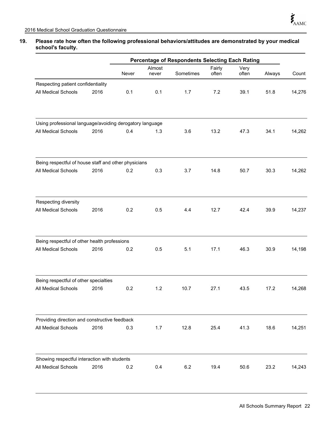# **19. Please rate how often the following professional behaviors/attitudes are demonstrated by your medical school's faculty.**

|                                                          |      | Percentage of Respondents Selecting Each Rating |                 |           |                 |               |        |        |
|----------------------------------------------------------|------|-------------------------------------------------|-----------------|-----------|-----------------|---------------|--------|--------|
|                                                          |      | Never                                           | Almost<br>never | Sometimes | Fairly<br>often | Very<br>often | Always | Count  |
| Respecting patient confidentiality                       |      |                                                 |                 |           |                 |               |        |        |
| All Medical Schools                                      | 2016 | 0.1                                             | 0.1             | 1.7       | 7.2             | 39.1          | 51.8   | 14,276 |
| Using professional language/avoiding derogatory language |      |                                                 |                 |           |                 |               |        |        |
| All Medical Schools                                      | 2016 | 0.4                                             | 1.3             | 3.6       | 13.2            | 47.3          | 34.1   | 14,262 |
| Being respectful of house staff and other physicians     |      |                                                 |                 |           |                 |               |        |        |
| All Medical Schools                                      | 2016 | 0.2                                             | 0.3             | 3.7       | 14.8            | 50.7          | 30.3   | 14,262 |
| Respecting diversity                                     |      |                                                 |                 |           |                 |               |        |        |
| All Medical Schools                                      | 2016 | 0.2                                             | 0.5             | 4.4       | 12.7            | 42.4          | 39.9   | 14,237 |
| Being respectful of other health professions             |      |                                                 |                 |           |                 |               |        |        |
| All Medical Schools                                      | 2016 | 0.2                                             | 0.5             | 5.1       | 17.1            | 46.3          | 30.9   | 14,198 |
| Being respectful of other specialties                    |      |                                                 |                 |           |                 |               |        |        |
| All Medical Schools                                      | 2016 | 0.2                                             | 1.2             | 10.7      | 27.1            | 43.5          | 17.2   | 14,268 |
| Providing direction and constructive feedback            |      |                                                 |                 |           |                 |               |        |        |
| All Medical Schools                                      | 2016 | 0.3                                             | 1.7             | 12.8      | 25.4            | 41.3          | 18.6   | 14,251 |
| Showing respectful interaction with students             |      |                                                 |                 |           |                 |               |        |        |
| All Medical Schools                                      | 2016 | 0.2                                             | 0.4             | 6.2       | 19.4            | 50.6          | 23.2   | 14,243 |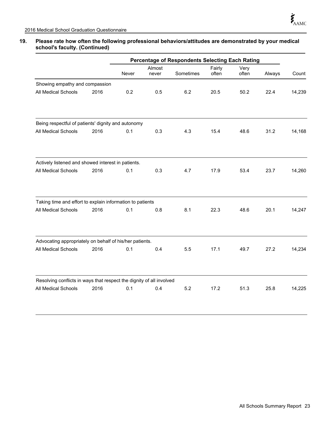# **19. Please rate how often the following professional behaviors/attitudes are demonstrated by your medical school's faculty. (Continued)**

|                                                                      |      | Percentage of Respondents Selecting Each Rating |                 |           |                 |               |        |        |
|----------------------------------------------------------------------|------|-------------------------------------------------|-----------------|-----------|-----------------|---------------|--------|--------|
|                                                                      |      | Never                                           | Almost<br>never | Sometimes | Fairly<br>often | Very<br>often | Always | Count  |
| Showing empathy and compassion                                       |      |                                                 |                 |           |                 |               |        |        |
| All Medical Schools                                                  | 2016 | 0.2                                             | 0.5             | 6.2       | 20.5            | 50.2          | 22.4   | 14,239 |
| Being respectful of patients' dignity and autonomy                   |      |                                                 |                 |           |                 |               |        |        |
| All Medical Schools                                                  | 2016 | 0.1                                             | 0.3             | 4.3       | 15.4            | 48.6          | 31.2   | 14,168 |
| Actively listened and showed interest in patients.                   |      |                                                 |                 |           |                 |               |        |        |
| All Medical Schools                                                  | 2016 | 0.1                                             | 0.3             | 4.7       | 17.9            | 53.4          | 23.7   | 14,260 |
| Taking time and effort to explain information to patients            |      |                                                 |                 |           |                 |               |        |        |
| All Medical Schools                                                  | 2016 | 0.1                                             | 0.8             | 8.1       | 22.3            | 48.6          | 20.1   | 14,247 |
| Advocating appropriately on behalf of his/her patients.              |      |                                                 |                 |           |                 |               |        |        |
| All Medical Schools                                                  | 2016 | 0.1                                             | 0.4             | 5.5       | 17.1            | 49.7          | 27.2   | 14,234 |
| Resolving conflicts in ways that respect the dignity of all involved |      |                                                 |                 |           |                 |               |        |        |
| All Medical Schools                                                  | 2016 | 0.1                                             | 0.4             | 5.2       | 17.2            | 51.3          | 25.8   | 14,225 |
|                                                                      |      |                                                 |                 |           |                 |               |        |        |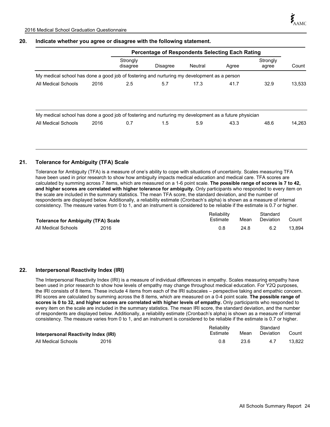# **20. Indicate whether you agree or disagree with the following statement.**

|                                                                                                       |      | <b>Percentage of Respondents Selecting Each Rating</b> |                 |         |       |                   |        |
|-------------------------------------------------------------------------------------------------------|------|--------------------------------------------------------|-----------------|---------|-------|-------------------|--------|
|                                                                                                       |      | Strongly<br>disagree                                   | <b>Disagree</b> | Neutral | Agree | Strongly<br>agree | Count  |
| My medical school has done a good job of fostering and nurturing my development as a person           |      |                                                        |                 |         |       |                   |        |
| All Medical Schools                                                                                   | 2016 | 2.5                                                    | 5.7             | 17.3    | 41.7  | 32.9              | 13,533 |
|                                                                                                       |      |                                                        |                 |         |       |                   |        |
| My medical school has done a good job of fostering and nurturing my development as a future physician |      |                                                        |                 |         |       |                   |        |
| All Medical Schools                                                                                   | 2016 | 0.7                                                    | 1.5             | 5.9     | 43.3  | 48.6              | 14.263 |
|                                                                                                       |      |                                                        |                 |         |       |                   |        |
|                                                                                                       |      |                                                        |                 |         |       |                   |        |

# **21. Tolerance for Ambiguity (TFA) Scale**

Tolerance for Ambiguity (TFA) is a measure of one's ability to cope with situations of uncertainty. Scales measuring TFA have been used in prior research to show how ambiguity impacts medical education and medical care. TFA scores are calculated by summing across 7 items, which are measured on a 1-6 point scale. **The possible range of scores is 7 to 42, and higher scores are correlated with higher tolerance for ambiguity.** Only participants who responded to every item on the scale are included in the summary statistics. The mean TFA score, the standard deviation, and the number of respondents are displayed below. Additionally, a reliability estimate (Cronbach's alpha) is shown as a measure of internal consistency. The measure varies from 0 to 1, and an instrument is considered to be reliable if the estimate is 0.7 or higher.

|                                            |      | Reliability |      | Standard  |        |
|--------------------------------------------|------|-------------|------|-----------|--------|
| <b>Tolerance for Ambiguity (TFA) Scale</b> |      | Estimate    | Mean | Deviation | Count  |
| All Medical Schools                        | 2016 | 0.8         | 24.8 | 6.2       | 13.894 |

# **22. Interpersonal Reactivity Index (IRI)**

The Interpersonal Reactivity Index (IRI) is a measure of individual differences in empathy. Scales measuring empathy have been used in prior research to show how levels of empathy may change throughout medical education. For Y2Q purposes, the IRI consists of 8 items. These include 4 items from each of the IRI subscales – perspective taking and empathic concern. IRI scores are calculated by summing across the 8 items, which are measured on a 0-4 point scale. **The possible range of scores is 0 to 32, and higher scores are correlated with higher levels of empathy.** Only participants who responded to every item on the scale are included in the summary statistics. The mean IRI score, the standard deviation, and the number of respondents are displayed below. Additionally, a reliability estimate (Cronbach's alpha) is shown as a measure of internal consistency. The measure varies from 0 to 1, and an instrument is considered to be reliable if the estimate is 0.7 or higher.

|                                      |          | Reliabilitv |           | Standard |        |
|--------------------------------------|----------|-------------|-----------|----------|--------|
| Interpersonal Reactivity Index (IRI) | Estimate | Mean        | Deviation | Count    |        |
| All Medical Schools                  | 2016     |             | 23.6      | 47       | 13.822 |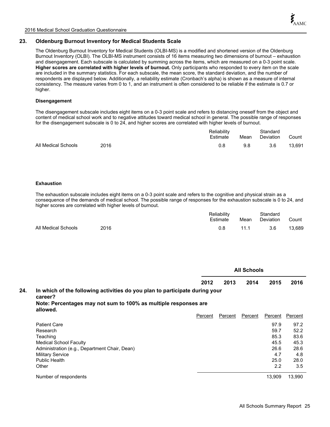# **23. Oldenburg Burnout Inventory for Medical Students Scale**

The Oldenburg Burnout Inventory for Medical Students (OLBI-MS) is a modified and shortened version of the Oldenburg Burnout Inventory (OLBI). The OLBI-MS instrument consists of 16 items measuring two dimensions of burnout – exhaustion and disengagement. Each subscale is calculated by summing across the items, which are measured on a 0-3 point scale. **Higher scores are correlated with higher levels of burnout.** Only participants who responded to every item on the scale are included in the summary statistics. For each subscale, the mean score, the standard deviation, and the number of respondents are displayed below. Additionally, a reliability estimate (Cronbach's alpha) is shown as a measure of internal consistency. The measure varies from 0 to 1, and an instrument is often considered to be reliable if the estimate is 0.7 or higher.

## **Disengagement**

The disengagement subscale includes eight items on a 0-3 point scale and refers to distancing oneself from the object and content of medical school work and to negative attitudes toward medical school in general. The possible range of responses for the disengagement subscale is 0 to 24, and higher scores are correlated with higher levels of burnout.

|                     |      | Reliability<br>Estimate | Mean | Standard<br>Deviation | Count  |
|---------------------|------|-------------------------|------|-----------------------|--------|
| All Medical Schools | 2016 |                         | 9.8  | 3.6                   | 13.691 |

### **Exhaustion**

The exhaustion subscale includes eight items on a 0-3 point scale and refers to the cognitive and physical strain as a consequence of the demands of medical school. The possible range of responses for the exhaustion subscale is 0 to 24, and higher scores are correlated with higher levels of burnout.

|                     |      | Reliability<br>Estimate | Mean | Standard<br>Deviation | Count  |
|---------------------|------|-------------------------|------|-----------------------|--------|
| All Medical Schools | 2016 | 0.8                     | 11.1 | 3.6                   | 13.689 |

|     |                                                                                        |         | <b>All Schools</b> |         |         |         |  |  |  |
|-----|----------------------------------------------------------------------------------------|---------|--------------------|---------|---------|---------|--|--|--|
|     |                                                                                        | 2012    | 2013               | 2014    | 2015    | 2016    |  |  |  |
| 24. | In which of the following activities do you plan to participate during your<br>career? |         |                    |         |         |         |  |  |  |
|     | Note: Percentages may not sum to 100% as multiple responses are<br>allowed.            |         |                    |         |         |         |  |  |  |
|     |                                                                                        | Percent | Percent            | Percent | Percent | Percent |  |  |  |
|     | <b>Patient Care</b>                                                                    |         |                    |         | 97.9    | 97.2    |  |  |  |
|     | Research                                                                               |         |                    |         | 59.7    | 52.2    |  |  |  |
|     | Teaching                                                                               |         |                    |         | 85.3    | 83.6    |  |  |  |
|     | <b>Medical School Faculty</b>                                                          |         |                    |         | 45.5    | 45.3    |  |  |  |
|     | Administration (e.g., Department Chair, Dean)                                          |         |                    |         | 26.6    | 28.6    |  |  |  |
|     | <b>Military Service</b>                                                                |         |                    |         | 4.7     | 4.8     |  |  |  |
|     | Public Health                                                                          |         |                    |         | 25.0    | 28.0    |  |  |  |
|     | Other                                                                                  |         |                    |         | 2.2     | 3.5     |  |  |  |
|     | Number of respondents                                                                  |         |                    |         | 13.909  | 13.990  |  |  |  |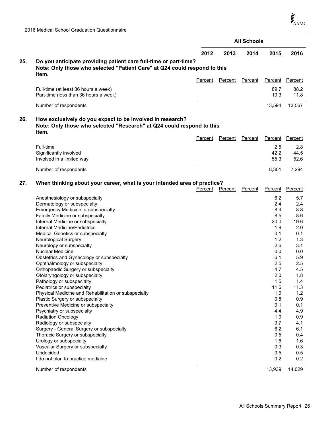|     |                                                                                                                                             | <b>All Schools</b> |         |         |              |              |  |
|-----|---------------------------------------------------------------------------------------------------------------------------------------------|--------------------|---------|---------|--------------|--------------|--|
|     |                                                                                                                                             | 2012               | 2013    | 2014    | 2015         | 2016         |  |
| 25. | Do you anticipate providing patient care full-time or part-time?                                                                            |                    |         |         |              |              |  |
|     | Note: Only those who selected "Patient Care" at Q24 could respond to this<br>item.                                                          |                    |         |         |              |              |  |
|     |                                                                                                                                             | Percent            | Percent | Percent | Percent      | Percent      |  |
|     | Full-time (at least 36 hours a week)<br>Part-time (less than 36 hours a week)                                                               |                    |         |         | 89.7<br>10.3 | 88.2<br>11.8 |  |
|     | Number of respondents                                                                                                                       |                    |         |         | 13,594       | 13,567       |  |
| 26. | How exclusively do you expect to be involved in research?<br>Note: Only those who selected "Research" at Q24 could respond to this<br>item. |                    |         |         |              |              |  |
|     |                                                                                                                                             | Percent            | Percent | Percent | Percent      | Percent      |  |
|     | Full-time                                                                                                                                   |                    |         |         | 2.5          | 2.8          |  |
|     | Significantly involved<br>Involved in a limited way                                                                                         |                    |         |         | 42.2<br>55.3 | 44.5<br>52.6 |  |
|     | Number of respondents                                                                                                                       |                    |         |         | 8,301        | 7,294        |  |
| 27. | When thinking about your career, what is your intended area of practice?                                                                    |                    |         |         |              |              |  |
|     |                                                                                                                                             | Percent            | Percent | Percent | Percent      | Percent      |  |
|     | Anesthesiology or subspecialty                                                                                                              |                    |         |         | 6.2          | 5.7          |  |
|     | Dermatology or subspecialty                                                                                                                 |                    |         |         | 2.4          | 2.4          |  |
|     | Emergency Medicine or subspecialty                                                                                                          |                    |         |         | 8.4          | 8.8          |  |
|     | Family Medicine or subspecialty                                                                                                             |                    |         |         | 8.5          | 8.6          |  |
|     | Internal Medicine or subspecialty                                                                                                           |                    |         |         | 20.0         | 19.6         |  |
|     | Internal Medicine/Pediatrics                                                                                                                |                    |         |         | 1.9          | 2.0          |  |
|     | Medical Genetics or subspecialty                                                                                                            |                    |         |         | 0.1          | 0.1          |  |
|     | Neurological Surgery                                                                                                                        |                    |         |         | 1.2          | 1.3          |  |
|     | Neurology or subspecialty<br><b>Nuclear Medicine</b>                                                                                        |                    |         |         | 2.6<br>0.0   | 3.1<br>0.0   |  |
|     | Obstetrics and Gynecology or subspecialty                                                                                                   |                    |         |         | 6.1          | 5.9          |  |
|     | Ophthalmology or subspecialty                                                                                                               |                    |         |         | 2.5          | 2.5          |  |
|     | Orthopaedic Surgery or subspecialty                                                                                                         |                    |         |         | 4.7          | 4.5          |  |
|     | Otolaryngology or subspecialty                                                                                                              |                    |         |         | 2.0          | 1.8          |  |
|     | Pathology or subspecialty                                                                                                                   |                    |         |         | 1.5          | 1.4          |  |
|     | Pediatrics or subspecialty                                                                                                                  |                    |         |         | 11.6         | 11.3         |  |
|     | Physical Medicine and Rehabilitation or subspecialty                                                                                        |                    |         |         | 1.0          | 1.2          |  |
|     | Plastic Surgery or subspecialty                                                                                                             |                    |         |         | 0.8          | 0.9          |  |
|     | Preventive Medicine or subspecialty                                                                                                         |                    |         |         | 0.1          | 0.1          |  |
|     | Psychiatry or subspecialty                                                                                                                  |                    |         |         | 4.4          | 4.9          |  |
|     | <b>Radiation Oncology</b>                                                                                                                   |                    |         |         | 1.0          | 0.9          |  |
|     | Radiology or subspecialty<br>Surgery - General Surgery or subspecialty                                                                      |                    |         |         | 3.7<br>6.2   | 4.1<br>6.1   |  |
|     | Thoracic Surgery or subspecialty                                                                                                            |                    |         |         | 0.5          | 0.4          |  |
|     | Urology or subspecialty                                                                                                                     |                    |         |         | 1.6          | 1.6          |  |
|     | Vascular Surgery or subspecialty                                                                                                            |                    |         |         | 0.3          | 0.3          |  |
|     | Undecided                                                                                                                                   |                    |         |         | 0.5          | 0.5          |  |
|     | I do not plan to practice medicine                                                                                                          |                    |         |         | 0.2          | 0.2          |  |
|     | Number of respondents                                                                                                                       |                    |         |         | 13,939       | 14,029       |  |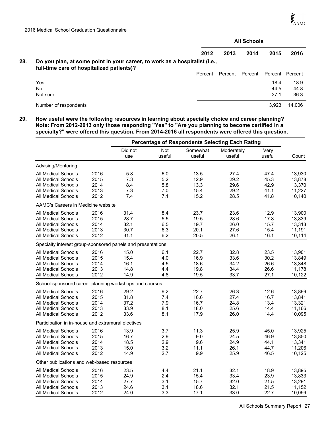|     |                                                                                                                         | <b>All Schools</b> |         |         |         |         |  |
|-----|-------------------------------------------------------------------------------------------------------------------------|--------------------|---------|---------|---------|---------|--|
|     |                                                                                                                         | 2012               | 2013    | 2014    | 2015    | 2016    |  |
| 28. | Do you plan, at some point in your career, to work as a hospitalist (i.e.,<br>full-time care of hospitalized patients)? |                    |         |         |         |         |  |
|     |                                                                                                                         | Percent            | Percent | Percent | Percent | Percent |  |
|     | Yes                                                                                                                     |                    |         |         | 18.4    | 18.9    |  |
|     | No                                                                                                                      |                    |         |         | 44.5    | 44.8    |  |
|     | Not sure                                                                                                                |                    |         |         | 37.1    | 36.3    |  |
|     | Number of respondents                                                                                                   |                    |         |         | 13.923  | 14.006  |  |

**29. How useful were the following resources in learning about specialty choice and career planning? Note: From 2012-2013 only those responding "Yes" to "Are you planning to become certified in a specialty?" were offered this question. From 2014-2016 all respondents were offered this question.**

|                                                             |      | <b>Percentage of Respondents Selecting Each Rating</b> |               |                    |                      |                |        |
|-------------------------------------------------------------|------|--------------------------------------------------------|---------------|--------------------|----------------------|----------------|--------|
|                                                             |      | Did not<br>use                                         | Not<br>useful | Somewhat<br>useful | Moderately<br>useful | Very<br>useful | Count  |
| Advising/Mentoring                                          |      |                                                        |               |                    |                      |                |        |
| <b>All Medical Schools</b>                                  | 2016 | 5.8                                                    | 6.0           | 13.5               | 27.4                 | 47.4           | 13,930 |
| All Medical Schools                                         | 2015 | 7.3                                                    | 5.2           | 12.9               | 29.2                 | 45.3           | 13,878 |
| All Medical Schools                                         | 2014 | 8.4                                                    | 5.8           | 13.3               | 29.6                 | 42.9           | 13,370 |
| All Medical Schools                                         | 2013 | 7.3                                                    | 7.0           | 15.4               | 29.2                 | 41.1           | 11,227 |
| All Medical Schools                                         | 2012 | 7.4                                                    | 7.1           | 15.2               | 28.5                 | 41.8           | 10,140 |
| AAMC's Careers in Medicine website                          |      |                                                        |               |                    |                      |                |        |
| All Medical Schools                                         | 2016 | 31.4                                                   | 8.4           | 23.7               | 23.6                 | 12.9           | 13,900 |
| All Medical Schools                                         | 2015 | 28.7                                                   | 5.5           | 19.5               | 28.6                 | 17.8           | 13,839 |
| <b>All Medical Schools</b>                                  | 2014 | 32.1                                                   | 6.5           | 19.7               | 26.0                 | 15.7           | 13,313 |
| All Medical Schools                                         | 2013 | 30.7                                                   | 6.3           | 20.1               | 27.6                 | 15.4           | 11,191 |
| All Medical Schools                                         | 2012 | 31.1                                                   | 6.2           | 20.5               | 26.1                 | 16.1           | 10,114 |
| Specialty interest group-sponsored panels and presentations |      |                                                        |               |                    |                      |                |        |
| All Medical Schools                                         | 2016 | 15.0                                                   | 6.1           | 22.7               | 32.8                 | 23.5           | 13,901 |
| All Medical Schools                                         | 2015 | 15.4                                                   | 4.0           | 16.9               | 33.6                 | 30.2           | 13,849 |
| All Medical Schools                                         | 2014 | 16.1                                                   | 4.5           | 18.6               | 34.2                 | 26.6           | 13,348 |
| All Medical Schools                                         | 2013 | 14.8                                                   | 4.4           | 19.8               | 34.4                 | 26.6           | 11,178 |
| All Medical Schools                                         | 2012 | 14.9                                                   | 4.8           | 19.5               | 33.7                 | 27.1           | 10,122 |
| School-sponsored career planning workshops and courses      |      |                                                        |               |                    |                      |                |        |
| All Medical Schools                                         | 2016 | 29.2                                                   | 9.2           | 22.7               | 26.3                 | 12.6           | 13,899 |
| All Medical Schools                                         | 2015 | 31.8                                                   | 7.4           | 16.6               | 27.4                 | 16.7           | 13,841 |
| All Medical Schools                                         | 2014 | 37.2                                                   | 7.9           | 16.7               | 24.8                 | 13.4           | 13,321 |
| All Medical Schools                                         | 2013 | 33.9                                                   | 8.1           | 18.0               | 25.6                 | 14.4           | 11,166 |
| All Medical Schools                                         | 2012 | 33.6                                                   | 8.1           | 17.9               | 26.0                 | 14.4           | 10,095 |
| Participation in in-house and extramural electives          |      |                                                        |               |                    |                      |                |        |
| All Medical Schools                                         | 2016 | 13.9                                                   | 3.7           | 11.3               | 25.9                 | 45.0           | 13,925 |
| All Medical Schools                                         | 2015 | 16.7                                                   | 2.9           | 9.0                | 24.5                 | 46.9           | 13,850 |
| All Medical Schools                                         | 2014 | 18.5                                                   | 2.9           | 9.6                | 24.9                 | 44.1           | 13,341 |
| All Medical Schools                                         | 2013 | 15.0                                                   | 3.2           | 11.1               | 26.1                 | 44.7           | 11,206 |
| All Medical Schools                                         | 2012 | 14.9                                                   | 2.7           | 9.9                | 25.9                 | 46.5           | 10,125 |
| Other publications and web-based resources                  |      |                                                        |               |                    |                      |                |        |
| All Medical Schools                                         | 2016 | 23.5                                                   | 4.4           | 21.1               | 32.1                 | 18.9           | 13,895 |
| All Medical Schools                                         | 2015 | 24.9                                                   | 2.4           | 15.4               | 33.4                 | 23.9           | 13,833 |
| All Medical Schools                                         | 2014 | 27.7                                                   | 3.1           | 15.7               | 32.0                 | 21.5           | 13,291 |
| All Medical Schools                                         | 2013 | 24.6                                                   | 3.1           | 18.6               | 32.1                 | 21.5           | 11,152 |
| All Medical Schools                                         | 2012 | 24.0                                                   | 3.3           | 17.1               | 33.0                 | 22.7           | 10,099 |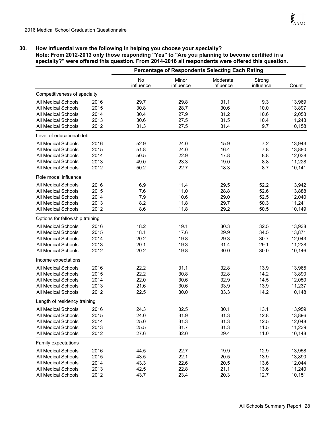# **30. How influential were the following in helping you choose your specialty? Note: From 2012-2013 only those responding "Yes" to "Are you planning to become certified in a specialty?" were offered this question. From 2014-2016 all respondents were offered this question.**

|                                 |      |                 |                    | <b>Percentage of Respondents Selecting Each Rating</b> |                     |        |
|---------------------------------|------|-----------------|--------------------|--------------------------------------------------------|---------------------|--------|
|                                 |      | No<br>influence | Minor<br>influence | Moderate<br>influence                                  | Strong<br>influence | Count  |
| Competitiveness of specialty    |      |                 |                    |                                                        |                     |        |
| All Medical Schools             | 2016 | 29.7            | 29.8               | 31.1                                                   | 9.3                 | 13,969 |
| <b>All Medical Schools</b>      | 2015 | 30.8            | 28.7               | 30.6                                                   | 10.0                | 13,897 |
| All Medical Schools             | 2014 | 30.4            | 27.9               | 31.2                                                   | 10.6                | 12,053 |
| All Medical Schools             | 2013 | 30.6            | 27.5               | 31.5                                                   | 10.4                | 11,243 |
| All Medical Schools             | 2012 | 31.3            | 27.5               | 31.4                                                   | 9.7                 | 10,158 |
| Level of educational debt       |      |                 |                    |                                                        |                     |        |
| All Medical Schools             | 2016 | 52.9            | 24.0               | 15.9                                                   | 7.2                 | 13,943 |
| <b>All Medical Schools</b>      | 2015 | 51.8            | 24.0               | 16.4                                                   | 7.8                 | 13,880 |
| All Medical Schools             | 2014 | 50.5            | 22.9               | 17.8                                                   | 8.8                 | 12,038 |
| All Medical Schools             | 2013 | 49.0            | 23.3               | 19.0                                                   | 8.8                 | 11,228 |
| All Medical Schools             | 2012 | 50.2            | 22.7               | 18.3                                                   | 8.7                 | 10,141 |
| Role model influence            |      |                 |                    |                                                        |                     |        |
| <b>All Medical Schools</b>      | 2016 | 6.9             | 11.4               | 29.5                                                   | 52.2                | 13,942 |
| <b>All Medical Schools</b>      | 2015 | 7.6             | 11.0               | 28.8                                                   | 52.6                | 13,888 |
| All Medical Schools             | 2014 | 7.9             | 10.6               | 29.0                                                   | 52.5                | 12,040 |
| All Medical Schools             | 2013 | 8.2             | 11.8               | 29.7                                                   | 50.3                | 11,241 |
| All Medical Schools             | 2012 | 8.6             | 11.8               | 29.2                                                   | 50.5                | 10,149 |
| Options for fellowship training |      |                 |                    |                                                        |                     |        |
| All Medical Schools             | 2016 | 18.2            | 19.1               | 30.3                                                   | 32.5                | 13,938 |
| All Medical Schools             | 2015 | 18.1            | 17.6               | 29.9                                                   | 34.5                | 13,871 |
| All Medical Schools             | 2014 | 20.2            | 19.8               | 29.3                                                   | 30.7                | 12,043 |
| All Medical Schools             | 2013 | 20.1            | 19.3               | 31.4                                                   | 29.1                | 11,238 |
| All Medical Schools             | 2012 | 20.2            | 19.8               | 30.0                                                   | 30.0                | 10,146 |
| Income expectations             |      |                 |                    |                                                        |                     |        |
| <b>All Medical Schools</b>      | 2016 | 22.2            | 31.1               | 32.8                                                   | 13.9                | 13,965 |
| All Medical Schools             | 2015 | 22.2            | 30.8               | 32.8                                                   | 14.2                | 13,890 |
| <b>All Medical Schools</b>      | 2014 | 22.0            | 30.6               | 32.9                                                   | 14.5                | 12,050 |
| <b>All Medical Schools</b>      | 2013 | 21.6            | 30.6               | 33.9                                                   | 13.9                | 11,237 |
| All Medical Schools             | 2012 | 22.5            | 30.0               | 33.3                                                   | 14.2                | 10,148 |
| Length of residency training    |      |                 |                    |                                                        |                     |        |
| All Medical Schools             | 2016 | 24.3            | 32.5               | 30.1                                                   | 13.1                | 13,959 |
| All Medical Schools             | 2015 | 24.0            | 31.9               | 31.3                                                   | 12.8                | 13,896 |
| All Medical Schools             | 2014 | 25.0            | 31.3               | 31.3                                                   | 12.5                | 12,048 |
| All Medical Schools             | 2013 | 25.5            | 31.7               | 31.3                                                   | 11.5                | 11,239 |
| <b>All Medical Schools</b>      | 2012 | 27.6            | 32.0               | 29.4                                                   | 11.0                | 10,148 |
| Family expectations             |      |                 |                    |                                                        |                     |        |
| All Medical Schools             | 2016 | 44.5            | 22.7               | 19.9                                                   | 12.9                | 13,958 |
| All Medical Schools             | 2015 | 43.5            | 22.1               | 20.5                                                   | 13.9                | 13,890 |
| All Medical Schools             | 2014 | 43.3            | 22.6               | 20.5                                                   | 13.6                | 12,044 |
| All Medical Schools             | 2013 | 42.5            | 22.8               | 21.1                                                   | 13.6                | 11,240 |
| All Medical Schools             | 2012 | 43.7            | 23.4               | 20.3                                                   | 12.7                | 10,151 |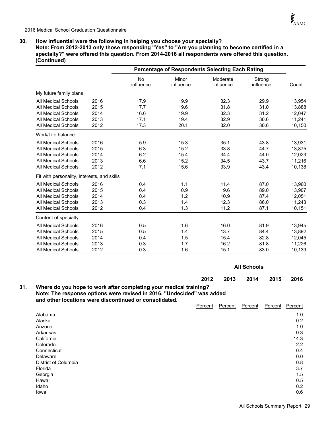# **30. How influential were the following in helping you choose your specialty?**

**Note: From 2012-2013 only those responding "Yes" to "Are you planning to become certified in a specialty?" were offered this question. From 2014-2016 all respondents were offered this question. (Continued)**

|                                             |      |                        | <b>Percentage of Respondents Selecting Each Rating</b> |                       |                     |        |  |
|---------------------------------------------|------|------------------------|--------------------------------------------------------|-----------------------|---------------------|--------|--|
|                                             |      | <b>No</b><br>influence | Minor<br>influence                                     | Moderate<br>influence | Strong<br>influence | Count  |  |
| My future family plans                      |      |                        |                                                        |                       |                     |        |  |
| <b>All Medical Schools</b>                  | 2016 | 17.9                   | 19.9                                                   | 32.3                  | 29.9                | 13,954 |  |
| <b>All Medical Schools</b>                  | 2015 | 17.7                   | 19.6                                                   | 31.8                  | 31.0                | 13,888 |  |
| <b>All Medical Schools</b>                  | 2014 | 16.6                   | 19.9                                                   | 32.3                  | 31.2                | 12,047 |  |
| <b>All Medical Schools</b>                  | 2013 | 17.1                   | 19.4                                                   | 32.9                  | 30.6                | 11,241 |  |
| <b>All Medical Schools</b>                  | 2012 | 17.3                   | 20.1                                                   | 32.0                  | 30.6                | 10,150 |  |
| Work/Life balance                           |      |                        |                                                        |                       |                     |        |  |
| <b>All Medical Schools</b>                  | 2016 | 5.9                    | 15.3                                                   | 35.1                  | 43.8                | 13,931 |  |
| <b>All Medical Schools</b>                  | 2015 | 6.3                    | 15.2                                                   | 33.8                  | 44.7                | 13,875 |  |
| <b>All Medical Schools</b>                  | 2014 | 6.2                    | 15.4                                                   | 34.4                  | 44.0                | 12,023 |  |
| All Medical Schools                         | 2013 | 6.6                    | 15.2                                                   | 34.5                  | 43.7                | 11,216 |  |
| All Medical Schools                         | 2012 | 7.1                    | 15.6                                                   | 33.9                  | 43.4                | 10,138 |  |
| Fit with personality, interests, and skills |      |                        |                                                        |                       |                     |        |  |
| <b>All Medical Schools</b>                  | 2016 | 0.4                    | 1.1                                                    | 11.4                  | 87.0                | 13,960 |  |
| All Medical Schools                         | 2015 | 0.4                    | 0.9                                                    | 9.6                   | 89.0                | 13,907 |  |
| All Medical Schools                         | 2014 | 0.4                    | 1.2                                                    | 10.9                  | 87.4                | 12,051 |  |
| <b>All Medical Schools</b>                  | 2013 | 0.3                    | 1.4                                                    | 12.3                  | 86.0                | 11,243 |  |
| All Medical Schools                         | 2012 | 0.4                    | 1.3                                                    | 11.2                  | 87.1                | 10,151 |  |
| Content of specialty                        |      |                        |                                                        |                       |                     |        |  |
| All Medical Schools                         | 2016 | 0.5                    | 1.6                                                    | 16.0                  | 81.9                | 13,945 |  |
| <b>All Medical Schools</b>                  | 2015 | 0.5                    | 1.4                                                    | 13.7                  | 84.4                | 13,892 |  |
| <b>All Medical Schools</b>                  | 2014 | 0.4                    | 1.5                                                    | 15.4                  | 82.8                | 12,045 |  |
| <b>All Medical Schools</b>                  | 2013 | 0.3                    | 1.7                                                    | 16.2                  | 81.8                | 11,226 |  |
| <b>All Medical Schools</b>                  | 2012 | 0.3                    | 1.6                                                    | 15.1                  | 83.0                | 10,139 |  |

|                                                                                               |      | <b>All Schools</b><br>2016<br>2013<br>2014  2015 |  |  |  |  |
|-----------------------------------------------------------------------------------------------|------|--------------------------------------------------|--|--|--|--|
|                                                                                               | 2012 |                                                  |  |  |  |  |
| الأسماعا وبالمسالم والمحمومات والمتنازع والمسجوم محافظ واسمين المفارع والمراريحين المامر لمسا |      |                                                  |  |  |  |  |

**Where do you hope to work after completing your medical training? Note: The response options were revised in 2016. "Undecided" was added and other locations were discontinued or consolidated. 31.**

|                      | <b>Percent</b> | Percent | Percent | Percent | Percent |
|----------------------|----------------|---------|---------|---------|---------|
| Alabama              |                |         |         |         | 1.0     |
| Alaska               |                |         |         |         | 0.2     |
| Arizona              |                |         |         |         | 1.0     |
| Arkansas             |                |         |         |         | 0.3     |
| California           |                |         |         |         | 14.3    |
| Colorado             |                |         |         |         | 2.2     |
| Connecticut          |                |         |         |         | 0.4     |
| Delaware             |                |         |         |         | 0.0     |
| District of Columbia |                |         |         |         | 0.8     |
| Florida              |                |         |         |         | 3.7     |
| Georgia              |                |         |         |         | 1.5     |
| Hawaii               |                |         |         |         | 0.5     |
| Idaho                |                |         |         |         | 0.2     |
| lowa                 |                |         |         |         | 0.6     |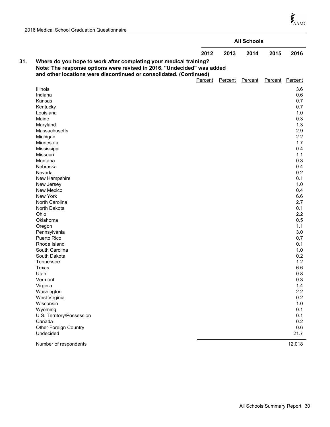|     |                                                                        |         |         | <b>All Schools</b> |      |                 |
|-----|------------------------------------------------------------------------|---------|---------|--------------------|------|-----------------|
|     |                                                                        | 2012    | 2013    | 2014               | 2015 | 2016            |
| 31. | Where do you hope to work after completing your medical training?      |         |         |                    |      |                 |
|     | Note: The response options were revised in 2016. "Undecided" was added |         |         |                    |      |                 |
|     | and other locations were discontinued or consolidated. (Continued)     |         |         |                    |      |                 |
|     |                                                                        | Percent | Percent | Percent            |      | Percent Percent |
|     | Illinois                                                               |         |         |                    |      | 3.6             |
|     | Indiana                                                                |         |         |                    |      | 0.6             |
|     | Kansas                                                                 |         |         |                    |      | 0.7             |
|     | Kentucky                                                               |         |         |                    |      | 0.7             |
|     | Louisiana                                                              |         |         |                    |      | 1.0             |
|     | Maine                                                                  |         |         |                    |      | 0.3             |
|     | Maryland                                                               |         |         |                    |      | 1.3             |
|     | Massachusetts                                                          |         |         |                    |      | 2.9             |
|     | Michigan                                                               |         |         |                    |      | 2.2             |
|     | Minnesota                                                              |         |         |                    |      | 1.7             |
|     | Mississippi                                                            |         |         |                    |      | 0.4             |
|     | Missouri                                                               |         |         |                    |      | 1.1             |
|     | Montana                                                                |         |         |                    |      | 0.3             |
|     | Nebraska                                                               |         |         |                    |      | 0.4             |
|     | Nevada                                                                 |         |         |                    |      | 0.2             |
|     | New Hampshire                                                          |         |         |                    |      | 0.1             |
|     | New Jersey                                                             |         |         |                    |      | 1.0             |
|     | New Mexico                                                             |         |         |                    |      | 0.4             |
|     | New York                                                               |         |         |                    |      | 6.6             |
|     | North Carolina                                                         |         |         |                    |      | 2.7             |
|     | North Dakota                                                           |         |         |                    |      | 0.1             |
|     | Ohio                                                                   |         |         |                    |      | 2.2             |
|     | Oklahoma                                                               |         |         |                    |      | 0.5             |
|     | Oregon                                                                 |         |         |                    |      | 1.1             |
|     | Pennsylvania                                                           |         |         |                    |      | 3.0             |
|     | Puerto Rico                                                            |         |         |                    |      | 0.7             |
|     | Rhode Island                                                           |         |         |                    |      | 0.1             |
|     | South Carolina<br>South Dakota                                         |         |         |                    |      | 1.0<br>0.2      |
|     | Tennessee                                                              |         |         |                    |      | 1.2             |
|     | Texas                                                                  |         |         |                    |      | 6.6             |
|     | Utah                                                                   |         |         |                    |      | 0.8             |
|     | Vermont                                                                |         |         |                    |      | 0.3             |
|     | Virginia                                                               |         |         |                    |      | 1.4             |
|     | Washington                                                             |         |         |                    |      | 2.2             |
|     | West Virginia                                                          |         |         |                    |      | 0.2             |
|     | Wisconsin                                                              |         |         |                    |      | 1.0             |
|     | Wyoming                                                                |         |         |                    |      | 0.1             |
|     | U.S. Territory/Possession                                              |         |         |                    |      | 0.1             |
|     | Canada                                                                 |         |         |                    |      | 0.2             |
|     | <b>Other Foreign Country</b>                                           |         |         |                    |      | 0.6             |
|     | Undecided                                                              |         |         |                    |      | 21.7            |
|     | Number of respondents                                                  |         |         |                    |      | 12,018          |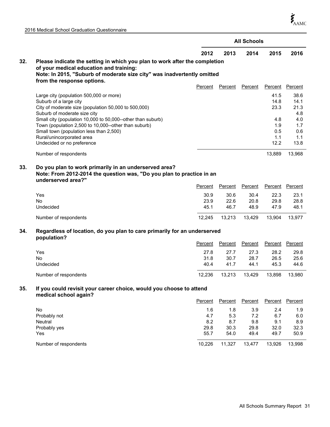$\boldsymbol{\dot{\zeta}}_{\mathrm{AMC}}$ 

| 2016 Medical School Graduation Questionnaire |  |
|----------------------------------------------|--|
|----------------------------------------------|--|

|     |                                                                                                                                                                                                                                |                |                | <b>All Schools</b> |                                  |                                  |
|-----|--------------------------------------------------------------------------------------------------------------------------------------------------------------------------------------------------------------------------------|----------------|----------------|--------------------|----------------------------------|----------------------------------|
|     |                                                                                                                                                                                                                                | 2012           | 2013           | 2014               | 2015                             | 2016                             |
| 32. | Please indicate the setting in which you plan to work after the completion<br>of your medical education and training:<br>Note: In 2015, "Suburb of moderate size city" was inadvertently omitted<br>from the response options. |                |                |                    |                                  |                                  |
|     |                                                                                                                                                                                                                                | Percent        | Percent        | Percent            | Percent                          | Percent                          |
|     | Large city (population 500,000 or more)<br>Suburb of a large city<br>City of moderate size (population 50,000 to 500,000)<br>Suburb of moderate size city                                                                      |                |                |                    | 41.5<br>14.8<br>23.3             | 38.6<br>14.1<br>21.3<br>4.8      |
|     | Small city (population 10,000 to 50,000--other than suburb)<br>Town (population 2,500 to 10,000--other than suburb)<br>Small town (population less than 2,500)<br>Rural/unincorporated area<br>Undecided or no preference      |                |                |                    | 4.8<br>1.9<br>0.5<br>1.1<br>12.2 | 4.0<br>1.7<br>0.6<br>1.1<br>13.8 |
|     | Number of respondents                                                                                                                                                                                                          |                |                |                    | 13,889                           | 13,968                           |
| 33. | Do you plan to work primarily in an underserved area?<br>Note: From 2012-2014 the question was, "Do you plan to practice in an<br>underserved area?"                                                                           | <b>Percent</b> | <b>Percent</b> | <b>Percent</b>     | Percent                          | <b>Percent</b>                   |
|     | Yes                                                                                                                                                                                                                            | 30.9           | 30.6           | 30.4               | 22.3                             | 23.1                             |
|     | No<br>Undecided                                                                                                                                                                                                                | 23.9<br>45.1   | 22.6<br>46.7   | 20.8<br>48.9       | 29.8<br>47.9                     | 28.8<br>48.1                     |
|     | Number of respondents                                                                                                                                                                                                          | 12,245         | 13,213         | 13,429             | 13,904                           | 13,977                           |
| 34. | Regardless of location, do you plan to care primarily for an underserved<br>population?                                                                                                                                        |                |                |                    |                                  |                                  |
|     |                                                                                                                                                                                                                                | Percent        | Percent        | Percent            | Percent                          | Percent                          |
|     | Yes                                                                                                                                                                                                                            | 27.8           | 27.7           | 27.3               | 28.2                             | 29.8                             |
|     | <b>No</b>                                                                                                                                                                                                                      | 31.8           | 30.7           | 28.7               | 26.5                             | 25.6                             |
|     | Undecided                                                                                                                                                                                                                      | 40.4           | 41.7           | 44.1               | 45.3                             | 44.6                             |
|     | Number of respondents                                                                                                                                                                                                          | 12,236         | 13,213         | 13,429             | 13,898                           | 13,980                           |
| 35. | If you could revisit your career choice, would you choose to attend<br>medical school again?                                                                                                                                   |                |                |                    |                                  |                                  |
|     |                                                                                                                                                                                                                                | Percent        | Percent        | Percent            | Percent                          | Percent                          |
|     | <b>No</b>                                                                                                                                                                                                                      | 1.6            | 1.8            | 3.9                | 2.4                              | 1.9                              |
|     | Probably not<br>Neutral                                                                                                                                                                                                        | 4.7<br>8.2     | 5.3<br>8.7     | 7.2<br>9.8         | 6.7<br>9.1                       | 6.0<br>8.9                       |
|     | Probably yes                                                                                                                                                                                                                   | 29.8           | 30.3           | 29.8               | 32.0                             | 32.3                             |
|     | Yes                                                                                                                                                                                                                            | 55.7           | 54.0           | 49.4               | 49.7                             | 50.9                             |

Number of respondents 10,226 11,327 13,477 13,926 13,998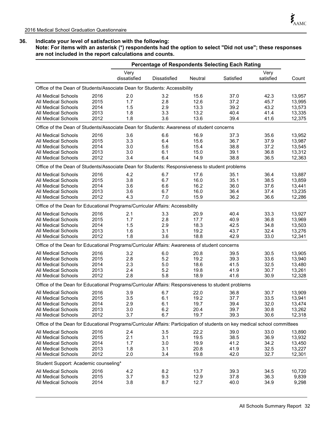**Note: For items with an asterisk (\*) respondents had the option to select "Did not use"; these responses are not included in the report calculations and counts.**

| <b>Percentage of Respondents Selecting Each Rating</b>                                                                     |                      |              |         |           |                   |        |  |  |
|----------------------------------------------------------------------------------------------------------------------------|----------------------|--------------|---------|-----------|-------------------|--------|--|--|
|                                                                                                                            | Very<br>dissatisfied | Dissatisfied | Neutral | Satisfied | Very<br>satisfied | Count  |  |  |
| Office of the Dean of Students/Associate Dean for Students: Accessibility                                                  |                      |              |         |           |                   |        |  |  |
| All Medical Schools<br>2016                                                                                                | 2.0                  | 3.2          | 15.6    | 37.0      | 42.3              | 13.957 |  |  |
| 2015<br><b>All Medical Schools</b>                                                                                         | 1.7                  | 2.8          | 12.6    | 37.2      | 45.7              | 13,995 |  |  |
| 2014<br><b>All Medical Schools</b>                                                                                         | 1.5                  | 2.9          | 13.3    | 39.2      | 43.2              | 13,573 |  |  |
| 2013<br><b>All Medical Schools</b>                                                                                         | 1.8                  | 3.3          | 13.2    | 40.4      | 41.4              | 13,335 |  |  |
| <b>All Medical Schools</b><br>2012                                                                                         | 1.8                  | 3.6          | 13.6    | 39.4      | 41.6              | 12,375 |  |  |
| Office of the Dean of Students/Associate Dean for Students: Awareness of student concerns                                  |                      |              |         |           |                   |        |  |  |
| 2016<br><b>All Medical Schools</b>                                                                                         | 3.6                  | 6.6          | 16.9    | 37.3      | 35.6              | 13,952 |  |  |
| 2015<br><b>All Medical Schools</b>                                                                                         | 3.3                  | 6.4          | 15.6    | 36.7      | 37.9              | 13,987 |  |  |
| 2014<br><b>All Medical Schools</b>                                                                                         | 3.0                  | 5.6          | 15.4    | 38.8      | 37.2              | 13,545 |  |  |
| <b>All Medical Schools</b><br>2013                                                                                         | 3.0                  | 6.1          | 15.0    | 39.1      | 36.8              | 13,312 |  |  |
| 2012<br>All Medical Schools                                                                                                | 3.4                  | 6.4          | 14.9    | 38.8      | 36.5              | 12,363 |  |  |
| Office of the Dean of Students/Associate Dean for Students: Responsiveness to student problems                             |                      |              |         |           |                   |        |  |  |
| 2016<br>All Medical Schools                                                                                                | 4.2                  | 6.7          | 17.6    | 35.1      | 36.4              | 13,887 |  |  |
| <b>All Medical Schools</b><br>2015                                                                                         | 3.8                  | 6.7          | 16.0    | 35.1      | 38.5              | 13,859 |  |  |
| 2014<br><b>All Medical Schools</b>                                                                                         | 3.6                  | 6.6          | 16.2    | 36.0      | 37.6              | 13,441 |  |  |
| 2013<br><b>All Medical Schools</b>                                                                                         | 3.6                  | 6.7          | 16.0    | 36.4      | 37.4              | 13,235 |  |  |
| 2012<br><b>All Medical Schools</b>                                                                                         | 4.3                  | 7.0          | 15.9    | 36.2      | 36.6              | 12,286 |  |  |
| Office of the Dean for Educational Programs/Curricular Affairs: Accessibility                                              |                      |              |         |           |                   |        |  |  |
| 2016<br><b>All Medical Schools</b>                                                                                         | 2.1                  | 3.3          | 20.9    | 40.4      | 33.3              | 13,927 |  |  |
| 2015<br><b>All Medical Schools</b>                                                                                         | 1.7                  | 2.8          | 17.7    | 40.9      | 36.8              | 13,969 |  |  |
| 2014<br><b>All Medical Schools</b>                                                                                         | 1.5                  | 2.9          | 18.3    | 42.5      | 34.8              | 13,503 |  |  |
| 2013<br>All Medical Schools                                                                                                | 1.6                  | 3.1          | 19.2    | 43.7      | 32.4              | 13,276 |  |  |
| 2012<br>All Medical Schools                                                                                                | 1.8                  | 3.6          | 18.8    | 42.9      | 33.0              | 12,341 |  |  |
| Office of the Dean for Educational Programs/Curricular Affairs: Awareness of student concerns                              |                      |              |         |           |                   |        |  |  |
| <b>All Medical Schools</b><br>2016                                                                                         | 3.2                  | 6.0          | 20.8    | 39.5      | 30.5              | 13,905 |  |  |
| 2015<br><b>All Medical Schools</b>                                                                                         | 2.8                  | 5.2          | 19.2    | 39.3      | 33.6              | 13,940 |  |  |
| 2014<br><b>All Medical Schools</b>                                                                                         | 2.3                  | 5.0          | 18.6    | 41.5      | 32.5              | 13,480 |  |  |
| 2013<br><b>All Medical Schools</b>                                                                                         | 2.4                  | 5.2          | 19.8    | 41.9      | 30.7              | 13,261 |  |  |
| 2012<br><b>All Medical Schools</b>                                                                                         | 2.8                  | 5.8          | 18.9    | 41.6      | 30.9              | 12,328 |  |  |
| Office of the Dean for Educational Programs/Curricular Affairs: Responsiveness to student problems                         |                      |              |         |           |                   |        |  |  |
| All Medical Schools<br>2016                                                                                                | 3.9                  | 6.7          | 22.0    | 36.8      | 30.7              | 13,909 |  |  |
| 2015<br><b>All Medical Schools</b>                                                                                         | 3.5                  | 6.1          | 19.2    | 37.7      | 33.5              | 13,941 |  |  |
| 2014<br>All Medical Schools                                                                                                | 2.9                  | 6.1          | 19.7    | 39.4      | 32.0              | 13,474 |  |  |
| <b>All Medical Schools</b><br>2013                                                                                         | 3.0                  | 6.2          | 20.4    | 39.7      | 30.8              | 13,262 |  |  |
| All Medical Schools<br>2012                                                                                                | 3.7                  | 6.7          | 19.7    | 39.3      | 30.6              | 12,318 |  |  |
| Office of the Dean for Educational Programs/Curricular Affairs: Participation of students on key medical school committees |                      |              |         |           |                   |        |  |  |
| 2016<br>All Medical Schools                                                                                                | 2.4                  | 3.5          | 22.2    | 39.0      | 33.0              | 13,890 |  |  |
| 2015<br>All Medical Schools                                                                                                | 2.1                  | 3.1          | 19.5    | 38.5      | 36.9              | 13,932 |  |  |
| <b>All Medical Schools</b><br>2014                                                                                         | 1.7                  | 3.0          | 19.9    | 41.2      | 34.2              | 13,450 |  |  |
| <b>All Medical Schools</b><br>2013                                                                                         | 1.8                  | 3.1          | 20.8    | 41.9      | 32.5              | 13,227 |  |  |
| <b>All Medical Schools</b><br>2012                                                                                         | 2.0                  | 3.4          | 19.8    | 42.0      | 32.7              | 12,301 |  |  |
| Student Support: Academic counseling*                                                                                      |                      |              |         |           |                   |        |  |  |
| 2016<br><b>All Medical Schools</b>                                                                                         | 4.2                  | 8.2          | 13.7    | 39.3      | 34.5              | 10,720 |  |  |
| All Medical Schools<br>2015                                                                                                | 3.7                  | 9.3          | 12.9    | 37.8      | 36.3              | 9,839  |  |  |
| All Medical Schools<br>2014                                                                                                | 3.8                  | 8.7          | 12.7    | 40.0      | 34.9              | 9,298  |  |  |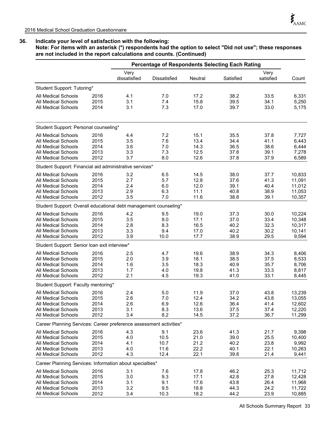**Note: For items with an asterisk (\*) respondents had the option to select "Did not use"; these responses are not included in the report calculations and counts. (Continued)**

|                                                                          |                      | <b>Percentage of Respondents Selecting Each Rating</b> |                     |                      |                      |                      |                         |
|--------------------------------------------------------------------------|----------------------|--------------------------------------------------------|---------------------|----------------------|----------------------|----------------------|-------------------------|
|                                                                          |                      | Very<br>dissatisfied                                   | <b>Dissatisfied</b> | Neutral              | Satisfied            | Very<br>satisfied    | Count                   |
| Student Support: Tutoring*                                               |                      |                                                        |                     |                      |                      |                      |                         |
| All Medical Schools<br>All Medical Schools<br><b>All Medical Schools</b> | 2016<br>2015<br>2014 | 4.1<br>3.1<br>3.1                                      | 7.0<br>7.4<br>7.3   | 17.2<br>15.8<br>17.0 | 38.2<br>39.5<br>39.7 | 33.5<br>34.1<br>33.0 | 6,331<br>5,250<br>5,175 |
| Student Support: Personal counseling*                                    |                      |                                                        |                     |                      |                      |                      |                         |
| All Medical Schools                                                      | 2016                 | 4.4                                                    | 7.2                 | 15.1                 | 35.5                 | 37.8                 | 7,727                   |
| All Medical Schools                                                      | 2015                 | 3.5                                                    | 7.6                 | 13.4                 | 34.4                 | 41.1                 | 6,443                   |
| All Medical Schools                                                      | 2014                 | 3.6                                                    | 7.0                 | 14.3                 | 36.5                 | 38.6                 | 6,444                   |
| <b>All Medical Schools</b>                                               | 2013                 | 3.3                                                    | 7.3                 | 12.5                 | 37.8                 | 39.1                 | 7,278                   |
| All Medical Schools                                                      | 2012                 | 3.7                                                    | 8.0                 | 12.6                 | 37.8                 | 37.9                 | 6,589                   |
| Student Support: Financial aid administrative services*                  |                      |                                                        |                     |                      |                      |                      |                         |
| All Medical Schools                                                      | 2016                 | 3.2                                                    | 6.5                 | 14.5                 | 38.0                 | 37.7                 | 10,833                  |
| <b>All Medical Schools</b>                                               | 2015                 | 2.7                                                    | 5.7                 | 12.8                 | 37.6                 | 41.3                 | 11,091                  |
| <b>All Medical Schools</b>                                               | 2014                 | 2.4                                                    | 6.0                 | 12.0                 | 39.1                 | 40.4                 | 11,012                  |
| All Medical Schools                                                      | 2013                 | 2.9                                                    | 6.3                 | 11.1                 | 40.8                 | 38.9                 | 11,053                  |
| <b>All Medical Schools</b>                                               | 2012                 | 3.5                                                    | 7.0                 | 11.6                 | 38.8                 | 39.1                 | 10,357                  |
| Student Support: Overall educational debt management counseling*         |                      |                                                        |                     |                      |                      |                      |                         |
| <b>All Medical Schools</b>                                               | 2016                 | 4.2                                                    | 9.5                 | 19.0                 | 37.3                 | 30.0                 | 10,224                  |
| All Medical Schools                                                      | 2015                 | 3.5                                                    | 9.0                 | 17.1<br>16.5         | 37.0<br>40.2         | 33.4                 | 10,348                  |
| All Medical Schools<br><b>All Medical Schools</b>                        | 2014<br>2013         | 2.8<br>3.3                                             | 8.3<br>9.4          | 17.0                 | 40.2                 | 32.3<br>30.2         | 10,317<br>10,141        |
| All Medical Schools                                                      | 2012                 | 3.9                                                    | 10.0                | 17.7                 | 38.9                 | 29.5                 | 9,594                   |
| Student Support: Senior Ioan exit interview*                             |                      |                                                        |                     |                      |                      |                      |                         |
| All Medical Schools                                                      | 2016                 | 2.5                                                    | 4.7                 | 19.6                 | 38.9                 | 34.3                 | 8,406                   |
| <b>All Medical Schools</b>                                               | 2015                 | 2.0                                                    | 3.9                 | 18.1                 | 38.5                 | 37.5                 | 8,533                   |
| All Medical Schools                                                      | 2014                 | 1.6                                                    | 3.5                 | 18.3                 | 40.9                 | 35.7                 | 8,706                   |
| <b>All Medical Schools</b>                                               | 2013                 | 1.7                                                    | 4.0                 | 19.8                 | 41.3                 | 33.3                 | 8,817                   |
| <b>All Medical Schools</b>                                               | 2012                 | 2.1                                                    | 4.5                 | 19.3                 | 41.0                 | 33.1                 | 8,445                   |
| Student Support: Faculty mentoring*                                      |                      |                                                        |                     |                      |                      |                      |                         |
| All Medical Schools                                                      | 2016                 | 2.4                                                    | 5.0                 | 11.9                 | 37.0                 | 43.8                 | 13,239                  |
| All Medical Schools                                                      | 2015                 | 2.6                                                    | 7.0                 | 12.4                 | 34.2                 | 43.8                 | 13,055                  |
| All Medical Schools                                                      | 2014                 | 2.6                                                    | 6.9                 | 12.6                 | 36.4                 | 41.4                 | 12,602                  |
| <b>All Medical Schools</b><br><b>All Medical Schools</b>                 | 2013<br>2012         | 3.1<br>3.4                                             | 8.3<br>8.2          | 13.6<br>14.5         | 37.5<br>37.2         | 37.4<br>36.7         | 12,220<br>11,299        |
| Career Planning Services: Career preference assessment activities*       |                      |                                                        |                     |                      |                      |                      |                         |
|                                                                          |                      |                                                        |                     |                      |                      |                      |                         |
| All Medical Schools<br>All Medical Schools                               | 2016<br>2015         | 4.3<br>4.0                                             | 9.1<br>10.5         | 23.6<br>21.0         | 41.3<br>39.0         | 21.7<br>25.5         | 9,398<br>10,400         |
| All Medical Schools                                                      | 2014                 | 4.1                                                    | 10.7                | 21.2                 | 40.2                 | 23.8                 | 9,992                   |
| All Medical Schools                                                      | 2013                 | 4.0                                                    | 11.6                | 22.2                 | 40.1                 | 22.1                 | 10,263                  |
| All Medical Schools                                                      | 2012                 | 4.3                                                    | 12.4                | 22.1                 | 39.8                 | 21.4                 | 9,441                   |
| Career Planning Services: Information about specialties*                 |                      |                                                        |                     |                      |                      |                      |                         |
| All Medical Schools                                                      | 2016                 | 3.1                                                    | 7.6                 | 17.8                 | 46.2                 | 25.3                 | 11,712                  |
| All Medical Schools                                                      | 2015                 | 3.0                                                    | 9.3                 | 17.1                 | 42.8                 | 27.8                 | 12,428                  |
| All Medical Schools                                                      | 2014                 | 3.1                                                    | 9.1                 | 17.6                 | 43.8                 | 26.4                 | 11,968                  |
| All Medical Schools                                                      | 2013                 | 3.2                                                    | 9.5                 | 18.8                 | 44.3                 | 24.2                 | 11,722                  |
| All Medical Schools                                                      | 2012                 | 3.4                                                    | 10.3                | 18.2                 | 44.2                 | 23.9                 | 10,885                  |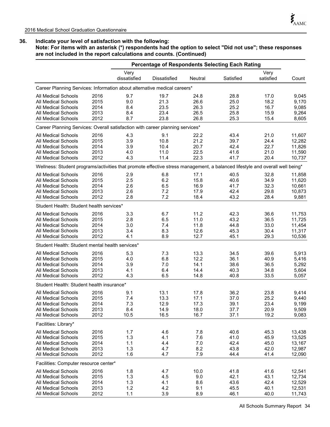**Note: For items with an asterisk (\*) respondents had the option to select "Did not use"; these responses are not included in the report calculations and counts. (Continued)**

|                                                                                                                              |      | <b>Percentage of Respondents Selecting Each Rating</b> |                     |         |              |                   |        |
|------------------------------------------------------------------------------------------------------------------------------|------|--------------------------------------------------------|---------------------|---------|--------------|-------------------|--------|
|                                                                                                                              |      | Very<br>dissatisfied                                   | <b>Dissatisfied</b> | Neutral | Satisfied    | Very<br>satisfied | Count  |
| Career Planning Services: Information about alternative medical careers*                                                     |      |                                                        |                     |         |              |                   |        |
| All Medical Schools                                                                                                          | 2016 | 9.7                                                    | 19.7                | 24.8    | 28.8         | 17.0              | 9,045  |
| All Medical Schools                                                                                                          | 2015 | 9.0                                                    | 21.3                | 26.6    | 25.0         | 18.2              | 9,170  |
| <b>All Medical Schools</b>                                                                                                   | 2014 | 8.4                                                    | 23.5                | 26.3    | 25.2         | 16.7              | 9,085  |
| <b>All Medical Schools</b>                                                                                                   | 2013 | 8.4                                                    | 23.4                | 26.5    | 25.8         | 15.9              | 9,264  |
| All Medical Schools                                                                                                          | 2012 | 8.7                                                    | 23.8                | 26.8    | 25.3         | 15.4              | 8,605  |
| Career Planning Services: Overall satisfaction with career planning services*                                                |      |                                                        |                     |         |              |                   |        |
| All Medical Schools                                                                                                          | 2016 | 4.3                                                    | 9.1                 | 22.2    | 43.4         | 21.0              | 11,607 |
| <b>All Medical Schools</b>                                                                                                   | 2015 | 3.9                                                    | 10.8                | 21.2    | 39.7         | 24.4              | 12,282 |
| All Medical Schools                                                                                                          | 2014 | 3.9                                                    | 10.4                | 20.7    | 42.4         | 22.7              | 11,826 |
| <b>All Medical Schools</b>                                                                                                   | 2013 | 4.0                                                    | 11.0                | 22.5    | 41.6         | 21.0              | 11,590 |
| <b>All Medical Schools</b>                                                                                                   | 2012 | 4.3                                                    | 11.4                | 22.3    | 41.7         | 20.4              | 10,737 |
| Wellness: Student programs/activities that promote effective stress management, a balanced lifestyle and overall well being* |      |                                                        |                     |         |              |                   |        |
| All Medical Schools                                                                                                          | 2016 | 2.9                                                    | 6.8                 | 17.1    | 40.5         | 32.8              | 11,858 |
| <b>All Medical Schools</b>                                                                                                   | 2015 | 2.5                                                    | 6.2                 | 15.8    | 40.6         | 34.9              | 11,620 |
| All Medical Schools                                                                                                          | 2014 | 2.6                                                    | 6.5                 | 16.9    | 41.7         | 32.3              | 10,661 |
| <b>All Medical Schools</b>                                                                                                   | 2013 | 2.6                                                    | 7.2                 | 17.9    | 42.4         | 29.8              | 10,873 |
| All Medical Schools                                                                                                          | 2012 | 2.8                                                    | 7.2                 | 18.4    | 43.2         | 28.4              | 9,881  |
| Student Health: Student health services*                                                                                     |      |                                                        |                     |         |              |                   |        |
| All Medical Schools                                                                                                          | 2016 | 3.3                                                    | 6.7                 | 11.2    | 42.3         | 36.6              | 11,753 |
| <b>All Medical Schools</b>                                                                                                   | 2015 | 2.8                                                    | 6.5                 | 11.0    | 43.2         | 36.5              | 11,725 |
| <b>All Medical Schools</b>                                                                                                   | 2014 | 3.0                                                    | 7.4                 | 11.8    | 44.8         | 33.0              | 11,454 |
| <b>All Medical Schools</b>                                                                                                   | 2013 | 3.4                                                    | 8.3                 | 12.6    | 45.3         | 30.4              | 11,317 |
| All Medical Schools                                                                                                          | 2012 | 4.1                                                    | 8.9                 | 12.7    | 45.1         | 29.3              | 10,536 |
| Student Health: Student mental health services*                                                                              |      |                                                        |                     |         |              |                   |        |
| <b>All Medical Schools</b>                                                                                                   | 2016 | 5.3                                                    | 7.3                 | 13.3    | 34.5         | 39.6              | 5,913  |
| <b>All Medical Schools</b>                                                                                                   | 2015 | 4.0                                                    | 6.8                 | 12.2    | 36.1         | 40.9              | 5,416  |
| <b>All Medical Schools</b>                                                                                                   | 2014 | 3.9                                                    | 7.0                 | 14.1    | 38.6         | 36.5              | 5,292  |
| <b>All Medical Schools</b>                                                                                                   | 2013 | 4.1                                                    | 6.4                 | 14.4    | 40.3         | 34.8              | 5,604  |
| <b>All Medical Schools</b>                                                                                                   | 2012 | 4.3                                                    | 6.5                 | 14.8    | 40.8         | 33.5              | 5,057  |
| Student Health: Student health insurance*                                                                                    |      |                                                        |                     |         |              |                   |        |
| <b>All Medical Schools</b>                                                                                                   | 2016 | 9.1                                                    | 13.1                | 17.8    | 36.2         | 23.8              | 9.414  |
| <b>All Medical Schools</b>                                                                                                   | 2015 | 7.4                                                    | 13.3                | 17.1    | 37.0         | 25.2              | 9,440  |
| All Medical Schools                                                                                                          | 2014 | 7.3                                                    | 12.9                | 17.3    | 39.1         | 23.4              | 9,199  |
| All Medical Schools                                                                                                          | 2013 | 8.4                                                    | 14.9                | 18.0    | 37.7         | 20.9              | 9,509  |
| All Medical Schools                                                                                                          | 2012 | 10.5                                                   | 16.5                | 16.7    | 37.1         | 19.2              | 9,083  |
| Facilities: Library*                                                                                                         |      |                                                        |                     |         |              |                   |        |
| All Medical Schools                                                                                                          | 2016 | 1.7                                                    | 4.6                 | 7.8     | 40.6         | 45.3              | 13,438 |
| All Medical Schools                                                                                                          | 2015 | 1.3                                                    | 4.1                 | 7.6     | 41.0         | 45.9              | 13,525 |
| All Medical Schools                                                                                                          | 2014 | 1.1                                                    | 4.4                 | 7.0     | 42.4         | 45.0              | 13,167 |
| <b>All Medical Schools</b>                                                                                                   | 2013 | 1.3                                                    | 4.7                 | 8.2     | 43.8         | 42.0              | 12,987 |
| All Medical Schools                                                                                                          | 2012 | 1.6                                                    | 4.7                 | 7.9     | 44.4         | 41.4              | 12,090 |
| Facilities: Computer resource center*                                                                                        |      |                                                        |                     |         |              |                   |        |
| All Medical Schools                                                                                                          | 2016 | 1.8                                                    | 4.7                 | 10.0    | 41.8         | 41.6              | 12,541 |
| <b>All Medical Schools</b>                                                                                                   | 2015 |                                                        | 4.5                 | 9.0     | 42.1         | 43.1              |        |
| <b>All Medical Schools</b>                                                                                                   |      | 1.3                                                    |                     |         |              | 42.4              | 12,734 |
| <b>All Medical Schools</b>                                                                                                   | 2014 | 1.3                                                    | 4.1<br>4.2          | 8.6     | 43.6<br>45.5 | 40.1              | 12,529 |
| <b>All Medical Schools</b>                                                                                                   | 2013 | 1.2                                                    | 3.9                 | 9.1     |              |                   | 12,531 |
|                                                                                                                              | 2012 | 1.1                                                    |                     | 8.9     | 46.1         | 40.0              | 11,743 |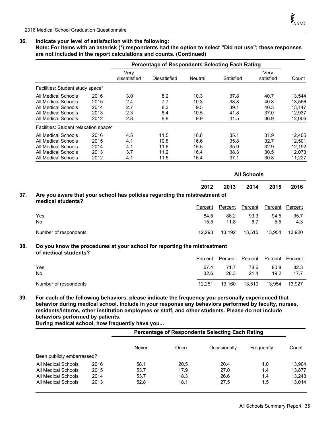**Note: For items with an asterisk (\*) respondents had the option to select "Did not use"; these responses are not included in the report calculations and counts. (Continued)**

|                                       |      |                      | <b>Percentage of Respondents Selecting Each Rating</b> |         |           |                   |        |  |
|---------------------------------------|------|----------------------|--------------------------------------------------------|---------|-----------|-------------------|--------|--|
|                                       |      | Very<br>dissatisfied | Dissatisfied                                           | Neutral | Satisfied | Very<br>satisfied | Count  |  |
| Facilities: Student study space*      |      |                      |                                                        |         |           |                   |        |  |
| All Medical Schools                   | 2016 | 3.0                  | 8.2                                                    | 10.3    | 37.8      | 40.7              | 13,544 |  |
| All Medical Schools                   | 2015 | 2.4                  | 7.7                                                    | 10.3    | 38.8      | 40.8              | 13.556 |  |
| All Medical Schools                   | 2014 | 2.7                  | 8.3                                                    | 9.5     | 39.1      | 40.3              | 13,147 |  |
| All Medical Schools                   | 2013 | 2.3                  | 8.4                                                    | 10.5    | 41.8      | 37.0              | 12.937 |  |
| All Medical Schools                   | 2012 | 2.8                  | 8.8                                                    | 9.9     | 41.5      | 36.9              | 12.006 |  |
| Facilities: Student relaxation space* |      |                      |                                                        |         |           |                   |        |  |
| All Medical Schools                   | 2016 | 4.5                  | 11.5                                                   | 16.8    | 35.1      | 31.9              | 12.405 |  |
| All Medical Schools                   | 2015 | 4.1                  | 10.8                                                   | 16.6    | 35.8      | 32.7              | 12.501 |  |
| All Medical Schools                   | 2014 | 4.1                  | 11.6                                                   | 15.5    | 35.9      | 32.9              | 12,192 |  |
| All Medical Schools                   | 2013 | 3.7                  | 11.2                                                   | 16.4    | 38.3      | 30.5              | 12,073 |  |
| All Medical Schools                   | 2012 | 4.1                  | 11.5                                                   | 16.4    | 37.1      | 30.8              | 11,227 |  |

|     |                                                                                                |         | <b>All Schools</b> |         |         |         |  |  |
|-----|------------------------------------------------------------------------------------------------|---------|--------------------|---------|---------|---------|--|--|
|     |                                                                                                | 2012    | 2013               | 2014    | 2015    | 2016    |  |  |
| 37. | Are you aware that your school has policies regarding the mistreatment of<br>medical students? |         |                    |         |         |         |  |  |
|     |                                                                                                | Percent | Percent            | Percent | Percent | Percent |  |  |
|     | Yes                                                                                            | 84.5    | 88.2               | 93.3    | 94.5    | 95.7    |  |  |
|     | No                                                                                             | 15.5    | 11.8               | 6.7     | 5.5     | 4.3     |  |  |
|     | Number of respondents                                                                          | 12.293  | 13.192             | 13,515  | 13,954  | 13.920  |  |  |

#### **Do you know the procedures at your school for reporting the mistreatment of medical students? 38.**

|                       | Percent | Percent | Percent | Percent Percent |        |
|-----------------------|---------|---------|---------|-----------------|--------|
| Yes                   | 67.4    | 71.7    | 78.6    | 80.8            | 82.3   |
| <b>No</b>             | 32.6    | 28.3    | 21.4    | 19.2            | 17.7   |
| Number of respondents | 12.251  | 13.160  | 13.510  | 13.954          | 13.927 |

**39. For each of the following behaviors, please indicate the frequency you personally experienced that behavior during medical school. Include in your response any behaviors performed by faculty, nurses, residents/interns, other institution employees or staff, and other students. Please do not include behaviors performed by patients.** 

**During medical school, how frequently have you...**

|                            |      | <b>Percentage of Respondents Selecting Each Rating</b> |      |              |            |        |  |  |  |
|----------------------------|------|--------------------------------------------------------|------|--------------|------------|--------|--|--|--|
|                            |      | Never                                                  | Once | Occasionally | Frequently | Count  |  |  |  |
| Been publicly embarrassed? |      |                                                        |      |              |            |        |  |  |  |
| All Medical Schools        | 2016 | 58.1                                                   | 20.5 | 20.4         | 1.0        | 13.904 |  |  |  |
| All Medical Schools        | 2015 | 53.7                                                   | 17.9 | 27.0         | 1.4        | 13.877 |  |  |  |
| All Medical Schools        | 2014 | 53.7                                                   | 18.3 | 26.6         | 1.4        | 13.243 |  |  |  |
| All Medical Schools        | 2013 | 52.8                                                   | 18.1 | 27.5         | 1.5        | 13.014 |  |  |  |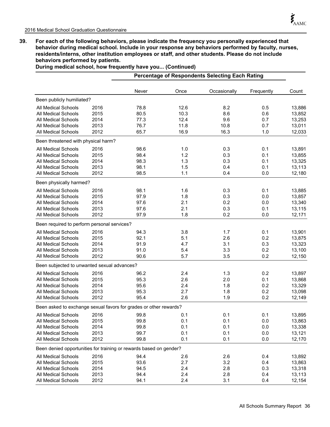**39. For each of the following behaviors, please indicate the frequency you personally experienced that behavior during medical school. Include in your response any behaviors performed by faculty, nurses, residents/interns, other institution employees or staff, and other students. Please do not include behaviors performed by patients.** 

**During medical school, how frequently have you... (Continued)**

|                                                                    |      |       |      | Percentage of Respondents Selecting Each Rating |            |        |
|--------------------------------------------------------------------|------|-------|------|-------------------------------------------------|------------|--------|
|                                                                    |      | Never | Once | Occasionally                                    | Frequently | Count  |
| Been publicly humiliated?                                          |      |       |      |                                                 |            |        |
| All Medical Schools                                                | 2016 | 78.8  | 12.6 | 8.2                                             | 0.5        | 13,886 |
| <b>All Medical Schools</b>                                         | 2015 | 80.5  | 10.3 | 8.6                                             | 0.6        | 13,852 |
| All Medical Schools                                                | 2014 | 77.3  | 12.4 | 9.6                                             | 0.7        | 13,253 |
| <b>All Medical Schools</b>                                         | 2013 | 76.7  | 11.8 | 10.8                                            | 0.7        | 13,011 |
| <b>All Medical Schools</b>                                         | 2012 | 65.7  | 16.9 | 16.3                                            | 1.0        | 12,033 |
| Been threatened with physical harm?                                |      |       |      |                                                 |            |        |
| <b>All Medical Schools</b>                                         | 2016 | 98.6  | 1.0  | 0.3                                             | 0.1        | 13,891 |
| <b>All Medical Schools</b>                                         | 2015 | 98.4  | 1.2  | 0.3                                             | 0.1        | 13,855 |
| <b>All Medical Schools</b>                                         | 2014 | 98.3  | 1.3  | 0.3                                             | 0.1        | 13,325 |
| <b>All Medical Schools</b>                                         | 2013 | 98.1  | 1.5  | 0.4                                             | 0.1        | 13,113 |
| <b>All Medical Schools</b>                                         | 2012 | 98.5  | 1.1  | 0.4                                             | 0.0        | 12,180 |
| Been physically harmed?                                            |      |       |      |                                                 |            |        |
| All Medical Schools                                                | 2016 | 98.1  | 1.6  | 0.3                                             | 0.1        | 13,885 |
| <b>All Medical Schools</b>                                         | 2015 | 97.9  | 1.8  | 0.3                                             | 0.0        | 13,857 |
| <b>All Medical Schools</b>                                         | 2014 | 97.6  | 2.1  | 0.2                                             | 0.0        | 13,340 |
| All Medical Schools                                                | 2013 | 97.6  | 2.1  | 0.3                                             | 0.1        | 13,115 |
| All Medical Schools                                                | 2012 | 97.9  | 1.8  | 0.2                                             | 0.0        | 12,171 |
| Been required to perform personal services?                        |      |       |      |                                                 |            |        |
| All Medical Schools                                                | 2016 | 94.3  | 3.8  | 1.7                                             | 0.1        | 13,901 |
| <b>All Medical Schools</b>                                         | 2015 | 92.1  | 5.1  | 2.6                                             | 0.2        | 13,875 |
| All Medical Schools                                                | 2014 | 91.9  | 4.7  | 3.1                                             | 0.3        | 13,323 |
| All Medical Schools                                                | 2013 | 91.0  | 5.4  | 3.3                                             | 0.2        | 13,100 |
| <b>All Medical Schools</b>                                         | 2012 | 90.6  | 5.7  | 3.5                                             | 0.2        | 12,150 |
| Been subjected to unwanted sexual advances?                        |      |       |      |                                                 |            |        |
| All Medical Schools                                                | 2016 | 96.2  | 2.4  | 1.3                                             | 0.2        | 13,897 |
| <b>All Medical Schools</b>                                         | 2015 | 95.3  | 2.6  | 2.0                                             | 0.1        | 13,868 |
| <b>All Medical Schools</b>                                         | 2014 | 95.6  | 2.4  | 1.8                                             | 0.2        | 13,329 |
| <b>All Medical Schools</b>                                         | 2013 | 95.3  | 2.7  | 1.8                                             | 0.2        | 13,098 |
| All Medical Schools                                                | 2012 | 95.4  | 2.6  | 1.9                                             | 0.2        | 12,149 |
| Been asked to exchange sexual favors for grades or other rewards?  |      |       |      |                                                 |            |        |
| All Medical Schools                                                | 2016 | 99.8  | 0.1  | 0.1                                             | 0.1        | 13,895 |
| All Medical Schools                                                | 2015 | 99.8  | 0.1  | 0.1                                             | 0.0        | 13,863 |
| All Medical Schools                                                | 2014 | 99.8  | 0.1  | 0.1                                             | 0.0        | 13,338 |
| All Medical Schools                                                | 2013 | 99.7  | 0.1  | 0.1                                             | 0.0        | 13,121 |
| All Medical Schools                                                | 2012 | 99.8  | 0.1  | 0.1                                             | 0.0        | 12,170 |
| Been denied opportunities for training or rewards based on gender? |      |       |      |                                                 |            |        |
| All Medical Schools                                                | 2016 | 94.4  | 2.6  | 2.6                                             | 0.4        | 13,892 |
| All Medical Schools                                                | 2015 | 93.6  | 2.7  | 3.2                                             | 0.4        | 13,863 |
| All Medical Schools                                                | 2014 | 94.5  | 2.4  | 2.8                                             | 0.3        | 13,318 |
| <b>All Medical Schools</b>                                         | 2013 | 94.4  | 2.4  | 2.8                                             | 0.4        | 13,113 |
| All Medical Schools                                                | 2012 | 94.1  | 2.4  | 3.1                                             | 0.4        | 12,154 |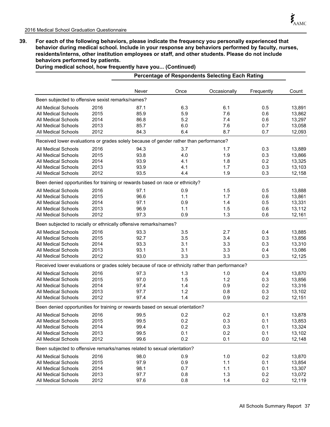**39. For each of the following behaviors, please indicate the frequency you personally experienced that behavior during medical school. Include in your response any behaviors performed by faculty, nurses, residents/interns, other institution employees or staff, and other students. Please do not include behaviors performed by patients.** 

|                                                                                                   |      |       |      | <b>Percentage of Respondents Selecting Each Rating</b> |            |        |
|---------------------------------------------------------------------------------------------------|------|-------|------|--------------------------------------------------------|------------|--------|
|                                                                                                   |      | Never | Once | Occasionally                                           | Frequently | Count  |
| Been subjected to offensive sexist remarks/names?                                                 |      |       |      |                                                        |            |        |
| <b>All Medical Schools</b>                                                                        | 2016 | 87.1  | 6.3  | 6.1                                                    | 0.5        | 13,891 |
| <b>All Medical Schools</b>                                                                        | 2015 | 85.9  | 5.9  | 7.6                                                    | 0.6        | 13,862 |
| <b>All Medical Schools</b>                                                                        | 2014 | 86.8  | 5.2  | 7.4                                                    | 0.6        | 13,297 |
| <b>All Medical Schools</b>                                                                        | 2013 | 85.7  | 6.0  | 7.6                                                    | 0.7        | 13,058 |
| All Medical Schools                                                                               | 2012 | 84.3  | 6.4  | 8.7                                                    | 0.7        | 12,093 |
| Received lower evaluations or grades solely because of gender rather than performance?            |      |       |      |                                                        |            |        |
| <b>All Medical Schools</b>                                                                        | 2016 | 94.3  | 3.7  | 1.7                                                    | 0.3        | 13,889 |
| <b>All Medical Schools</b>                                                                        | 2015 | 93.8  | 4.0  | 1.9                                                    | 0.3        | 13,866 |
| <b>All Medical Schools</b>                                                                        | 2014 | 93.9  | 4.1  | 1.8                                                    | 0.2        | 13,325 |
| <b>All Medical Schools</b>                                                                        | 2013 | 93.9  | 4.1  | 1.7                                                    | 0.3        | 13,103 |
| <b>All Medical Schools</b>                                                                        | 2012 | 93.5  | 4.4  | 1.9                                                    | 0.3        | 12,158 |
| Been denied opportunities for training or rewards based on race or ethnicity?                     |      |       |      |                                                        |            |        |
| All Medical Schools                                                                               | 2016 | 97.1  | 0.9  | 1.5                                                    | 0.5        | 13,888 |
| All Medical Schools                                                                               | 2015 | 96.6  | 1.1  | 1.7                                                    | 0.6        | 13,861 |
| <b>All Medical Schools</b>                                                                        | 2014 | 97.1  | 0.9  | 1.4                                                    | 0.5        | 13,331 |
| <b>All Medical Schools</b>                                                                        | 2013 | 96.9  | 1.1  | 1.5                                                    | 0.6        | 13,112 |
| All Medical Schools                                                                               | 2012 | 97.3  | 0.9  | 1.3                                                    | 0.6        | 12,161 |
| Been subjected to racially or ethnically offensive remarks/names?                                 |      |       |      |                                                        |            |        |
| All Medical Schools                                                                               | 2016 | 93.3  | 3.5  | 2.7                                                    | 0.4        | 13,885 |
| <b>All Medical Schools</b>                                                                        | 2015 | 92.7  | 3.5  | 3.4                                                    | 0.3        | 13,856 |
| All Medical Schools                                                                               | 2014 | 93.3  | 3.1  | 3.3                                                    | 0.3        | 13,310 |
| All Medical Schools                                                                               | 2013 | 93.1  | 3.1  | 3.3                                                    | 0.4        | 13,086 |
| All Medical Schools                                                                               | 2012 | 93.0  | 3.3  | 3.3                                                    | 0.3        | 12,125 |
| Received lower evaluations or grades solely because of race or ethnicity rather than performance? |      |       |      |                                                        |            |        |
| All Medical Schools                                                                               | 2016 | 97.3  | 1.3  | 1.0                                                    | 0.4        | 13,870 |
| <b>All Medical Schools</b>                                                                        | 2015 | 97.0  | 1.5  | 1.2                                                    | 0.3        | 13,856 |
| All Medical Schools                                                                               | 2014 | 97.4  | 1.4  | 0.9                                                    | 0.2        | 13,316 |
| <b>All Medical Schools</b>                                                                        | 2013 | 97.7  | 1.2  | 0.8                                                    | 0.3        | 13,102 |
| All Medical Schools                                                                               | 2012 | 97.4  | 1.4  | 0.9                                                    | 0.2        | 12,151 |
| Been denied opportunities for training or rewards based on sexual orientation?                    |      |       |      |                                                        |            |        |
| All Medical Schools 2016                                                                          |      | 99.5  | 0.2  | 0.2                                                    | 0.1        | 13,878 |
| All Medical Schools                                                                               | 2015 | 99.5  | 0.2  | 0.3                                                    | 0.1        | 13,853 |
| All Medical Schools                                                                               | 2014 | 99.4  | 0.2  | 0.3                                                    | 0.1        | 13,324 |
| <b>All Medical Schools</b>                                                                        | 2013 | 99.5  | 0.1  | 0.2                                                    | 0.1        | 13,102 |
| <b>All Medical Schools</b>                                                                        | 2012 | 99.6  | 0.2  | 0.1                                                    | 0.0        | 12,148 |
| Been subjected to offensive remarks/names related to sexual orientation?                          |      |       |      |                                                        |            |        |
| All Medical Schools                                                                               | 2016 | 98.0  | 0.9  | 1.0                                                    | 0.2        | 13,870 |
| All Medical Schools                                                                               | 2015 | 97.9  | 0.9  | 1.1                                                    | 0.1        | 13,854 |
| All Medical Schools                                                                               | 2014 | 98.1  | 0.7  | 1.1                                                    | 0.1        | 13,307 |
| All Medical Schools                                                                               | 2013 | 97.7  | 0.8  | 1.3                                                    | 0.2        | 13,072 |
| All Medical Schools                                                                               | 2012 | 97.6  | 0.8  | 1.4                                                    | 0.2        | 12,119 |

**During medical school, how frequently have you... (Continued)**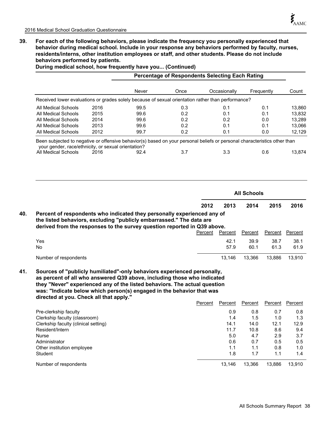**40.**

**41.**

**39. For each of the following behaviors, please indicate the frequency you personally experienced that behavior during medical school. Include in your response any behaviors performed by faculty, nurses, residents/interns, other institution employees or staff, and other students. Please do not include behaviors performed by patients.** 

|                                                                                                                                                                                                                                                                                                                                                     |      | <b>Percentage of Respondents Selecting Each Rating</b> |      |         |              |                    |                |                |
|-----------------------------------------------------------------------------------------------------------------------------------------------------------------------------------------------------------------------------------------------------------------------------------------------------------------------------------------------------|------|--------------------------------------------------------|------|---------|--------------|--------------------|----------------|----------------|
|                                                                                                                                                                                                                                                                                                                                                     |      | Never                                                  | Once |         | Occasionally |                    | Frequently     | Count          |
| Received lower evaluations or grades solely because of sexual orientation rather than performance?                                                                                                                                                                                                                                                  |      |                                                        |      |         |              |                    |                |                |
| All Medical Schools                                                                                                                                                                                                                                                                                                                                 | 2016 | 99.5                                                   | 0.3  |         | 0.1          |                    | 0.1            | 13,860         |
| All Medical Schools                                                                                                                                                                                                                                                                                                                                 | 2015 | 99.6                                                   | 0.2  |         | 0.1          |                    | 0.1            | 13,832         |
| All Medical Schools                                                                                                                                                                                                                                                                                                                                 | 2014 | 99.6                                                   | 0.2  |         | 0.2          |                    | 0.0            | 13,289         |
| All Medical Schools                                                                                                                                                                                                                                                                                                                                 | 2013 | 99.6                                                   | 0.2  |         | 0.1          |                    | 0.1            | 13,066         |
| All Medical Schools                                                                                                                                                                                                                                                                                                                                 | 2012 | 99.7                                                   | 0.2  |         | 0.1          |                    | 0.0            | 12,129         |
| Been subjected to negative or offensive behavior(s) based on your personal beliefs or personal characteristics other than                                                                                                                                                                                                                           |      |                                                        |      |         |              |                    |                |                |
| your gender, race/ethnicity, or sexual orientation?<br>All Medical Schools                                                                                                                                                                                                                                                                          | 2016 | 92.4                                                   | 3.7  |         | 3.3          |                    | 0.6            | 13,874         |
|                                                                                                                                                                                                                                                                                                                                                     |      |                                                        |      |         |              |                    |                |                |
|                                                                                                                                                                                                                                                                                                                                                     |      |                                                        |      |         |              | <b>All Schools</b> |                |                |
|                                                                                                                                                                                                                                                                                                                                                     |      |                                                        |      |         |              |                    |                |                |
|                                                                                                                                                                                                                                                                                                                                                     |      |                                                        |      | 2012    | 2013         | 2014               | 2015           | 2016           |
| Percent of respondents who indicated they personally experienced any of<br>the listed behaviors, excluding "publicly embarrassed." The data are<br>derived from the responses to the survey question reported in Q39 above.                                                                                                                         |      |                                                        |      | Percent | Percent      | <b>Percent</b>     | <b>Percent</b> | <b>Percent</b> |
| Yes                                                                                                                                                                                                                                                                                                                                                 |      |                                                        |      |         | 42.1         |                    | 38.7           | 38.1           |
| No                                                                                                                                                                                                                                                                                                                                                  |      |                                                        |      |         | 57.9         | 39.9<br>60.1       | 61.3           | 61.9           |
| Number of respondents                                                                                                                                                                                                                                                                                                                               |      |                                                        |      |         | 13,146       | 13,366             | 13,886         | 13,910         |
| Sources of "publicly humiliated"-only behaviors experienced personally,<br>as percent of all who answered Q39 above, including those who indicated<br>they "Never" experienced any of the listed behaviors. The actual question<br>was: "Indicate below which person(s) engaged in the behavior that was<br>directed at you. Check all that apply." |      |                                                        |      |         |              |                    |                |                |
|                                                                                                                                                                                                                                                                                                                                                     |      |                                                        |      | Percent | Percent      | Percent            | Percent        | Percent        |
|                                                                                                                                                                                                                                                                                                                                                     |      |                                                        |      |         | 0.9          | 0.8                | 0.7            | 0.8            |
|                                                                                                                                                                                                                                                                                                                                                     |      |                                                        |      |         | 1.4          | 1.5                | 1.0            | 1.3            |
|                                                                                                                                                                                                                                                                                                                                                     |      |                                                        |      |         | 14.1         | 14.0               | 12.1           | 12.9           |
|                                                                                                                                                                                                                                                                                                                                                     |      |                                                        |      |         | 11.7         | 10.8               | 8.6            | 9.4            |
|                                                                                                                                                                                                                                                                                                                                                     |      |                                                        |      |         | 5.0          | 4.7                | 2.9            | 3.7            |
| Pre-clerkship faculty<br>Clerkship faculty (classroom)<br>Clerkship faculty (clinical setting)<br>Resident/Intern<br>Nurse<br>Administrator                                                                                                                                                                                                         |      |                                                        |      |         | 0.6          | 0.7                | 0.5            | 0.5            |
| Other institution employee<br>Student                                                                                                                                                                                                                                                                                                               |      |                                                        |      |         | 1.1<br>1.8   | 1.1<br>1.7         | 0.8<br>1.1     | 1.0<br>1.4     |

Number of respondents 13,910 and 13,366 13,910 and 13,366 13,886 13,910

**During medical school, how frequently have you... (Continued)**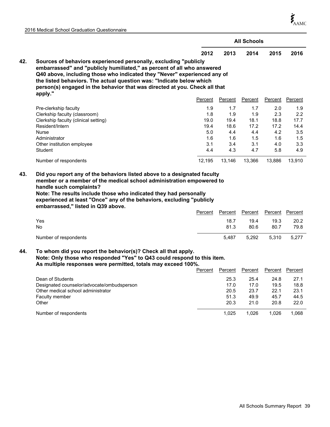$\boldsymbol{\dot{\xi}}_{\rm AMC}$ 

|     |                                                                                                                                                                                                                                                                                                                                                                                                                                                                                                                                                   |                                                                  |                                                                  | <b>All Schools</b>                                               |                                                                  |                                                                  |
|-----|---------------------------------------------------------------------------------------------------------------------------------------------------------------------------------------------------------------------------------------------------------------------------------------------------------------------------------------------------------------------------------------------------------------------------------------------------------------------------------------------------------------------------------------------------|------------------------------------------------------------------|------------------------------------------------------------------|------------------------------------------------------------------|------------------------------------------------------------------|------------------------------------------------------------------|
|     |                                                                                                                                                                                                                                                                                                                                                                                                                                                                                                                                                   | 2012                                                             | 2013                                                             | 2014                                                             | 2015                                                             | 2016                                                             |
| 42. | Sources of behaviors experienced personally, excluding "publicly<br>embarrassed" and "publicly humiliated," as percent of all who answered<br>Q40 above, including those who indicated they "Never" experienced any of<br>the listed behaviors. The actual question was: "Indicate below which<br>person(s) engaged in the behavior that was directed at you. Check all that<br>apply."                                                                                                                                                           |                                                                  |                                                                  |                                                                  |                                                                  |                                                                  |
|     |                                                                                                                                                                                                                                                                                                                                                                                                                                                                                                                                                   | Percent                                                          | Percent                                                          | Percent                                                          | Percent                                                          | <b>Percent</b>                                                   |
| 43. | Pre-clerkship faculty<br>Clerkship faculty (classroom)<br>Clerkship faculty (clinical setting)<br>Resident/Intern<br><b>Nurse</b><br>Administrator<br>Other institution employee<br>Student<br>Number of respondents<br>Did you report any of the behaviors listed above to a designated faculty<br>member or a member of the medical school administration empowered to<br>handle such complaints?<br>Note: The results include those who indicated they had personally<br>experienced at least "Once" any of the behaviors, excluding "publicly | 1.9<br>1.8<br>19.0<br>19.4<br>5.0<br>1.6<br>3.1<br>4.4<br>12,195 | 1.7<br>1.9<br>19.4<br>18.6<br>4.4<br>1.6<br>3.4<br>4.3<br>13,146 | 1.7<br>1.9<br>18.1<br>17.2<br>4.4<br>1.5<br>3.1<br>4.7<br>13,366 | 2.0<br>2.3<br>18.8<br>17.2<br>4.2<br>1.6<br>4.0<br>5.8<br>13,886 | 1.9<br>2.2<br>17.7<br>14.4<br>3.5<br>1.5<br>3.3<br>4.9<br>13,910 |
|     | embarrassed," listed in Q39 above.                                                                                                                                                                                                                                                                                                                                                                                                                                                                                                                | Percent                                                          | Percent                                                          | Percent                                                          | Percent                                                          | Percent                                                          |
|     | Yes<br>No.                                                                                                                                                                                                                                                                                                                                                                                                                                                                                                                                        |                                                                  | 18.7<br>81.3                                                     | 19.4<br>80.6                                                     | 19.3<br>80.7                                                     | 20.2<br>79.8                                                     |
|     | Number of respondents                                                                                                                                                                                                                                                                                                                                                                                                                                                                                                                             |                                                                  | 5,487                                                            | 5,292                                                            | 5,310                                                            | 5,277                                                            |
| 44. | To whom did you report the behavior(s)? Check all that apply.<br>Note: Only those who responded "Yes" to Q43 could respond to this item.<br>As multiple responses were permitted, totals may exceed 100%.<br>Dean of Students<br>Designated counselor/advocate/ombudsperson<br>Other medical school administrator                                                                                                                                                                                                                                 | Percent                                                          | Percent<br>25.3<br>17.0<br>20.5                                  | Percent<br>25.4<br>17.0<br>23.7                                  | Percent<br>24.8<br>19.5<br>22.1                                  | Percent<br>27.1<br>18.8<br>23.1                                  |
|     | Faculty member<br>Other                                                                                                                                                                                                                                                                                                                                                                                                                                                                                                                           |                                                                  | 51.3<br>20.3                                                     | 49.9<br>21.0                                                     | 45.7<br>20.8                                                     | 44.5<br>22.0                                                     |

Number of respondents **1,025** 1,026 1,026 1,026 1,068

2016 Medical School Graduation Questionnaire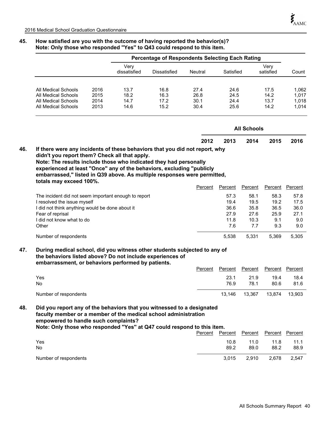# **Percentage of Respondents Selecting Each Rating** Dissatisfied Neutral Satisfied Count Very dissatisfied Very satisfied All Medical Schools 2016 13.7 16.8 27.4 24.6 17.5 1,062 All Medical Schools 2015 18.2 16.3 26.8 24.5 14.2 1,017 All Medical Schools  $2014$  14.7 17.2 30.1 24.4 13.7 1,018 All Medical Schools 2013 14.6 15.2 30.4 25.6 14.2 1,014 **All Schools 2012 2013 2014 2015 2016 If there were any incidents of these behaviors that you did not report, why didn't you report them? Check all that apply. Note: The results include those who indicated they had personally experienced at least "Once" any of the behaviors, excluding "publicly embarrassed," listed in Q39 above. As multiple responses were permitted, totals may exceed 100%. 46.** Percent Percent Percent Percent Percent The incident did not seem important enough to report 57.3 58.1 58.3 57.8 I resolved the issue myself **19.4** 19.5 19.2 17.5 19.2 17.5 I did not think anything would be done about it  $\frac{36.6}{35.8}$  36.5 36.0 Fear of reprisal 27.9 27.6 25.9 27.1 I did not know what to do 11.8 10.3 9.1 9.0 Other 7.6 7.7 9.3 9.0 Number of respondents 5,538 5,331 5,369 5,305 **During medical school, did you witness other students subjected to any of the behaviors listed above? Do not include experiences of embarrassment, or behaviors performed by patients. 47.** Percent Percent Percent Percent Percent Yes 23.1 21.9 19.4 18.4 No 76.9 78.1 80.6 81.6 Number of respondents 13,903 13,146 13,367 13,874 13,903 **Did you report any of the behaviors that you witnessed to a designated faculty member or a member of the medical school administration empowered to handle such complaints? Note: Only those who responded ''Yes'' at Q47 could respond to this item. 48.** Percent Percent Percent Percent Percent Yes 10.8 11.0 11.8 11.1 No 89.2 89.0 88.2 88.9

# **45. How satisfied are you with the outcome of having reported the behavior(s)? Note: Only those who responded ''Yes'' to Q43 could respond to this item.**

Number of respondents 3,015 2,910 2,678 2,547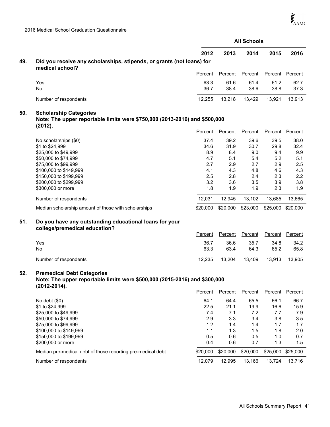|     |                                                                                                                                 |              |              | <b>All Schools</b> |              |              |
|-----|---------------------------------------------------------------------------------------------------------------------------------|--------------|--------------|--------------------|--------------|--------------|
|     |                                                                                                                                 | 2012         | 2013         | 2014               | 2015         | 2016         |
| 49. | Did you receive any scholarships, stipends, or grants (not loans) for<br>medical school?                                        |              |              |                    |              |              |
|     |                                                                                                                                 | Percent      | Percent      | Percent            | Percent      | Percent      |
|     | Yes<br>No                                                                                                                       | 63.3<br>36.7 | 61.6<br>38.4 | 61.4<br>38.6       | 61.2<br>38.8 | 62.7<br>37.3 |
|     | Number of respondents                                                                                                           | 12,255       | 13,218       | 13,429             | 13,921       | 13,913       |
| 50. | <b>Scholarship Categories</b><br>Note: The upper reportable limits were \$750,000 (2013-2016) and \$500,000<br>(2012).          |              |              |                    |              |              |
|     |                                                                                                                                 | Percent      | Percent      | Percent            | Percent      | Percent      |
|     | No scholarships (\$0)<br>\$1 to \$24,999                                                                                        | 37.4<br>34.6 | 39.2<br>31.9 | 39.6<br>30.7       | 39.5<br>29.8 | 38.0<br>32.4 |
|     | \$25,000 to \$49,999                                                                                                            | 8.9          | 8.4          | 9.0                | 9.4          | 9.9          |
|     | \$50,000 to \$74,999<br>\$75,000 to \$99,999                                                                                    | 4.7<br>2.7   | 5.1<br>2.9   | 5.4<br>2.7         | 5.2<br>2.9   | 5.1<br>2.5   |
|     | \$100,000 to \$149,999                                                                                                          | 4.1          | 4.3          | 4.8                | 4.6          | 4.3          |
|     | \$150,000 to \$199,999                                                                                                          | 2.5          | 2.8          | 2.4                | 2.3          | 2.2          |
|     | \$200,000 to \$299,999                                                                                                          | 3.2          | 3.6          | 3.5                | 3.9          | 3.8          |
|     | \$300,000 or more                                                                                                               | 1.8          | 1.9          | 1.9                | 2.3          | 1.9          |
|     | Number of respondents                                                                                                           | 12,031       | 12,945       | 13,102             | 13,685       | 13,665       |
|     | Median scholarship amount of those with scholarships                                                                            | \$20,000     | \$20,000     | \$23,000           | \$25,000     | \$20,000     |
| 51. | Do you have any outstanding educational loans for your<br>college/premedical education?                                         |              |              |                    |              |              |
|     |                                                                                                                                 | Percent      | Percent      | Percent            | Percent      | Percent      |
|     | Yes                                                                                                                             | 36.7         | 36.6         | 35.7               | 34.8         | 34.2         |
|     | No.                                                                                                                             | 63.3         | 63.4         | 64.3               | 65.2         | 65.8         |
|     | Number of respondents                                                                                                           | 12,235       | 13,204       | 13,409             | 13,913       | 13,905       |
| 52. | <b>Premedical Debt Categories</b><br>Note: The upper reportable limits were \$500,000 (2015-2016) and \$300,000<br>(2012-2014). |              |              |                    |              |              |

|                                                             | Percent  | Percent  | Percent  | Percent  | Percent  |
|-------------------------------------------------------------|----------|----------|----------|----------|----------|
| No debt $(\$0)$                                             | 64.1     | 64.4     | 65.5     | 66.1     | 66.7     |
| \$1 to \$24,999                                             | 22.5     | 21.1     | 19.9     | 16.6     | 15.9     |
| \$25,000 to \$49,999                                        | 7.4      | 7.1      | 7.2      | 7.7      | 7.9      |
| \$50,000 to \$74,999                                        | 2.9      | 3.3      | 3.4      | 3.8      | 3.5      |
| \$75,000 to \$99,999                                        | 1.2      | 1.4      | 1.4      | 1.7      | 1.7      |
| \$100,000 to \$149,999                                      | 1.1      | 1.3      | 1.5      | 1.8      | 2.0      |
| \$150,000 to \$199,999                                      | 0.5      | 0.6      | 0.5      | 1.0      | 0.7      |
| \$200,000 or more                                           | 0.4      | 0.6      | 0.7      | 1.3      | 1.5      |
| Median pre-medical debt of those reporting pre-medical debt | \$20,000 | \$20,000 | \$20,000 | \$25,000 | \$25,000 |
| Number of respondents                                       | 12.079   | 12.995   | 13.166   | 13.724   | 13.716   |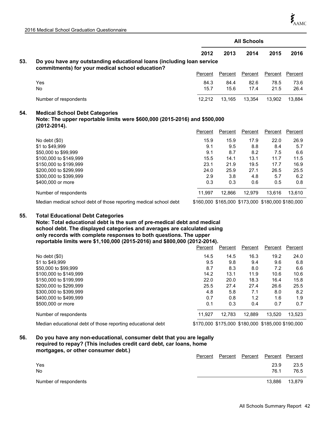|     |                                                                                                                                         |         |         | <b>All Schools</b> |                |            |
|-----|-----------------------------------------------------------------------------------------------------------------------------------------|---------|---------|--------------------|----------------|------------|
|     |                                                                                                                                         | 2012    | 2013    | 2014               | 2015           | 2016       |
| 53. | Do you have any outstanding educational loans (including loan service<br>commitments) for your medical school education?                |         |         |                    |                |            |
|     |                                                                                                                                         | Percent | Percent | Percent            | Percent        | Percent    |
|     | Yes                                                                                                                                     | 84.3    | 84.4    | 82.6               | 78.5           | 73.6       |
|     | <b>No</b>                                                                                                                               | 15.7    | 15.6    | 17.4               | 21.5           | 26.4       |
|     | Number of respondents                                                                                                                   | 12,212  | 13,165  | 13,354             | 13,902         | 13,884     |
| 54. | <b>Medical School Debt Categories</b><br>Note: The upper reportable limits were \$600,000 (2015-2016) and \$500,000<br>$(2012 - 2014).$ | Percent | Percent | Percent            | <b>Percent</b> | Percent    |
|     | No debt $(\$0)$                                                                                                                         | 15.9    | 15.9    | 17.9               | 22.0           | 26.9       |
|     | \$1 to \$49,999                                                                                                                         | 9.1     | 9.5     | 8.8                | 8.4            |            |
|     | \$50,000 to \$99,999                                                                                                                    | 9.1     | 8.7     | 8.2                | 7.5            |            |
|     |                                                                                                                                         |         |         |                    |                | 5.7<br>6.6 |
|     |                                                                                                                                         | 15.5    | 14.1    |                    | 11.7           | 11.5       |
|     | \$100,000 to \$149,999<br>\$150,000 to \$199,999                                                                                        | 23.1    | 21.9    | 13.1<br>19.5       | 17.7           | 16.9       |
|     | \$200,000 to \$299,999                                                                                                                  | 24.0    | 25.9    | 27.1               | 26.5           | 25.5       |
|     | \$300,000 to \$399,999                                                                                                                  | 2.9     | 3.8     | 4.8                | 5.7            | 6.2        |
|     | \$400,000 or more                                                                                                                       | 0.3     | 0.3     | 0.6                | 0.5            | 0.8        |

Median medical school debt of those reporting medical school debt \$160,000 \$165,000 \$173,000 \$180,000 \$180,000

#### **Total Educational Debt Categories 55.**

**Note: Total educational debt is the sum of pre-medical debt and medical school debt. The displayed categories and averages are calculated using only records with complete responses to both questions. The upper reportable limits were \$1,100,000 (2015-2016) and \$800,000 (2012-2014).**

|                                                             | Percent | Percent | Percent | Percent                                           | Percent |
|-------------------------------------------------------------|---------|---------|---------|---------------------------------------------------|---------|
| No debt $(\$0)$                                             | 14.5    | 14.5    | 16.3    | 19.2                                              | 24.0    |
| \$1 to \$49,999                                             | 9.5     | 9.8     | 9.4     | 9.6                                               | 6.8     |
| \$50,000 to \$99,999                                        | 8.7     | 8.3     | 8.0     | 7.2                                               | 6.6     |
| \$100,000 to \$149,999                                      | 14.2    | 13.1    | 11.9    | 10.6                                              | 10.6    |
| \$150,000 to \$199,999                                      | 22.0    | 20.0    | 18.3    | 16.4                                              | 15.8    |
| \$200,000 to \$299,999                                      | 25.5    | 27.4    | 27.4    | 26.6                                              | 25.5    |
| \$300,000 to \$399,999                                      | 4.8     | 5.8     | 7.1     | 8.0                                               | 8.2     |
| \$400,000 to \$499,999                                      | 0.7     | 0.8     | 1.2     | 1.6                                               | 1.9     |
| \$500,000 or more                                           | 0.1     | 0.3     | 0.4     | 0.7                                               | 0.7     |
| Number of respondents                                       | 11.927  | 12.783  | 12.889  | 13.520                                            | 13.523  |
| Median educational debt of those reporting educational debt |         |         |         | \$170,000 \$175,000 \$180,000 \$185,000 \$190,000 |         |

#### **Do you have any non-educational, consumer debt that you are legally required to repay? (This includes credit card debt, car loans, home mortgages, or other consumer debt.) 56.**

|                       | Percent | Percent | Percent | Percent Percent |        |
|-----------------------|---------|---------|---------|-----------------|--------|
| Yes                   |         |         |         | 23.9            | 23.5   |
| No                    |         |         |         | 76.1            | 76.5   |
| Number of respondents |         |         |         | 13.886          | 13.879 |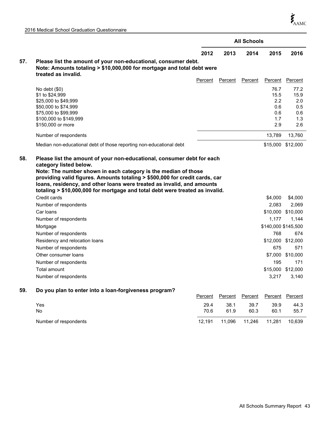$\boldsymbol{\dot{\zeta}}_{\mathrm{AAMC}}$ 

|     |                                                                                                                                                                                                                                       |         |         | <b>All Schools</b> |                     |                   |
|-----|---------------------------------------------------------------------------------------------------------------------------------------------------------------------------------------------------------------------------------------|---------|---------|--------------------|---------------------|-------------------|
|     |                                                                                                                                                                                                                                       | 2012    | 2013    | 2014               | 2015                | 2016              |
| 57. | Please list the amount of your non-educational, consumer debt.<br>Note: Amounts totaling > \$10,000,000 for mortgage and total debt were<br>treated as invalid.                                                                       |         |         |                    |                     |                   |
|     |                                                                                                                                                                                                                                       | Percent | Percent | Percent            | Percent             | Percent           |
|     | No debt $(\$0)$                                                                                                                                                                                                                       |         |         |                    | 76.7                | 77.2              |
|     | \$1 to \$24,999                                                                                                                                                                                                                       |         |         |                    | 15.5                | 15.9              |
|     | \$25,000 to \$49,999                                                                                                                                                                                                                  |         |         |                    | 2.2                 | 2.0               |
|     | \$50,000 to \$74,999                                                                                                                                                                                                                  |         |         |                    | 0.6                 | 0.5               |
|     | \$75,000 to \$99,999                                                                                                                                                                                                                  |         |         |                    | 0.6                 | 0.6               |
|     | \$100,000 to \$149,999                                                                                                                                                                                                                |         |         |                    | 1.7                 | 1.3               |
|     | \$150,000 or more                                                                                                                                                                                                                     |         |         |                    | 2.9                 | 2.6               |
|     | Number of respondents                                                                                                                                                                                                                 |         |         |                    | 13,789              | 13,760            |
|     | Median non-educational debt of those reporting non-educational debt                                                                                                                                                                   |         |         |                    |                     | \$15,000 \$12,000 |
|     | providing valid figures. Amounts totaling > \$500,000 for credit cards, car<br>loans, residency, and other loans were treated as invalid, and amounts<br>totaling > \$10,000,000 for mortgage and total debt were treated as invalid. |         |         |                    |                     |                   |
|     | Credit cards                                                                                                                                                                                                                          |         |         |                    | \$4,000             | \$4,000           |
|     | Number of respondents                                                                                                                                                                                                                 |         |         |                    | 2,083               | 2,069             |
|     | Car Ioans                                                                                                                                                                                                                             |         |         |                    |                     | \$10,000 \$10,000 |
|     | Number of respondents                                                                                                                                                                                                                 |         |         |                    | 1,177               | 1,144             |
|     | Mortgage                                                                                                                                                                                                                              |         |         |                    | \$140,000 \$145,500 |                   |
|     | Number of respondents                                                                                                                                                                                                                 |         |         |                    | 768                 | 674               |
|     | Residency and relocation loans                                                                                                                                                                                                        |         |         |                    |                     | \$12,000 \$12,000 |
|     | Number of respondents                                                                                                                                                                                                                 |         |         |                    | 675                 | 571               |
|     | Other consumer loans                                                                                                                                                                                                                  |         |         |                    |                     | \$7,000 \$10,000  |
|     | Number of respondents                                                                                                                                                                                                                 |         |         |                    | 195                 | 171               |
|     | Total amount                                                                                                                                                                                                                          |         |         |                    |                     | \$15,000 \$12,000 |
|     | Number of respondents                                                                                                                                                                                                                 |         |         |                    | 3,217               | 3,140             |
| 59. | Do you plan to enter into a loan-forgiveness program?                                                                                                                                                                                 |         |         |                    |                     |                   |
|     |                                                                                                                                                                                                                                       | Percent | Percent | Percent            | <b>Percent</b>      | Percent           |
|     | Yes                                                                                                                                                                                                                                   | 29.4    | 38.1    | 39.7               | 39.9                | 44.3              |
|     | No                                                                                                                                                                                                                                    | 70.6    | 61.9    | 60.3               | 60.1                | 55.7              |

Number of respondents 12,191 11,096 11,246 11,281 10,639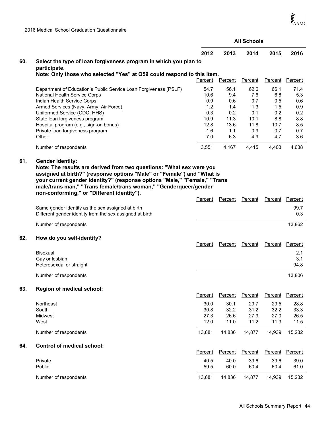$\boldsymbol{\dot{\zeta}}_{\mathrm{AAMC}}$ 

| 2016 Medical School Graduation Questionnaire |  |
|----------------------------------------------|--|
|----------------------------------------------|--|

|     |                                                                                                   |                |                | <b>All Schools</b> |                |                |
|-----|---------------------------------------------------------------------------------------------------|----------------|----------------|--------------------|----------------|----------------|
|     |                                                                                                   | 2012           | 2013           | 2014               | 2015           | 2016           |
| 60. | Select the type of loan forgiveness program in which you plan to                                  |                |                |                    |                |                |
|     | participate.<br>Note: Only those who selected "Yes" at Q59 could respond to this item.            |                |                |                    |                |                |
|     |                                                                                                   | <b>Percent</b> | <b>Percent</b> | <b>Percent</b>     | <b>Percent</b> | <b>Percent</b> |
|     |                                                                                                   |                |                |                    |                |                |
|     | Department of Education's Public Service Loan Forgiveness (PSLF)<br>National Health Service Corps | 54.7           | 56.1<br>9.4    | 62.6<br>7.6        | 66.1           | 71.4           |
|     | Indian Health Service Corps                                                                       | 10.6<br>0.9    | 0.6            | 0.7                | 6.8<br>0.5     | 5.3<br>0.6     |
|     | Armed Services (Navy, Army, Air Force)                                                            | 1.2            | 1.4            | 1.3                | 1.5            | 0.9            |
|     | Uniformed Service (CDC, HHS)                                                                      | 0.3            | 0.2            | 0.1                | 0.2            | 0.2            |
|     | State loan forgiveness program                                                                    | 10.9           | 11.3           | 10.1               | 8.8            | 8.8            |
|     | Hospital program (e.g., sign-on bonus)                                                            | 12.8           | 13.6           | 11.8               | 10.7           | 8.5            |
|     | Private loan forgiveness program                                                                  | 1.6            | 1.1            | 0.9                | 0.7            | 0.7            |
|     | Other                                                                                             | 7.0            | 6.3            | 4.9                | 4.7            | 3.6            |
|     | Number of respondents                                                                             | 3,551          | 4,167          | 4,415              | 4,403          | 4,638          |
| 61. | <b>Gender Identity:</b>                                                                           |                |                |                    |                |                |
|     | Note: The results are derived from two questions: "What sex were you                              |                |                |                    |                |                |
|     | assigned at birth?" (response options "Male" or "Female") and "What is                            |                |                |                    |                |                |
|     | your current gender identity?" (response options "Male," "Female," "Trans                         |                |                |                    |                |                |
|     | male/trans man," "Trans female/trans woman," "Genderqueer/gender                                  |                |                |                    |                |                |
|     | non-conforming," or "Different identity").                                                        |                |                |                    |                |                |
|     |                                                                                                   | Percent        | Percent        | Percent            | Percent        | Percent        |
|     | Same gender identity as the sex assigned at birth                                                 |                |                |                    |                | 99.7           |
|     | Different gender identity from the sex assigned at birth                                          |                |                |                    |                | 0.3            |
|     | Number of respondents                                                                             |                |                |                    |                | 13,862         |
|     |                                                                                                   |                |                |                    |                |                |
| 62. | How do you self-identify?                                                                         |                |                |                    |                |                |
|     |                                                                                                   | Percent        | Percent        | Percent            | Percent        | Percent        |
|     | <b>Bisexual</b>                                                                                   |                |                |                    |                | 2.1            |
|     | Gay or lesbian                                                                                    |                |                |                    |                | 3.1            |
|     | Heterosexual or straight                                                                          |                |                |                    |                | 94.8           |
|     | Number of respondents                                                                             |                |                |                    |                | 13,806         |
|     |                                                                                                   |                |                |                    |                |                |
| 63. | Region of medical school:                                                                         |                |                |                    |                |                |
|     |                                                                                                   | Percent        | <b>Percent</b> | Percent            | Percent        | Percent        |
|     | Northeast                                                                                         | 30.0           | 30.1           | 29.7               | 29.5           | 28.8           |
|     | South                                                                                             | 30.8           | 32.2           | 31.2               | 32.2           | 33.3           |
|     | Midwest                                                                                           | 27.3           | 26.6           | 27.9               | 27.0           | 26.5           |
|     | West                                                                                              | 12.0           | 11.0           | 11.2               | 11.3           | 11.5           |
|     |                                                                                                   |                |                |                    |                |                |
|     | Number of respondents                                                                             | 13,681         | 14,836         | 14,877             | 14,939         | 15,232         |
| 64. | <b>Control of medical school:</b>                                                                 |                |                |                    |                |                |
|     |                                                                                                   | Percent        | Percent        | Percent            | Percent        | <b>Percent</b> |
|     |                                                                                                   |                |                |                    |                |                |
|     | Private                                                                                           | 40.5           | 40.0           | 39.6               | 39.6           | 39.0           |
|     | Public                                                                                            | 59.5           | 60.0           | 60.4               | 60.4           | 61.0           |
|     | Number of respondents                                                                             | 13,681         | 14,836         | 14,877             | 14,939         | 15,232         |